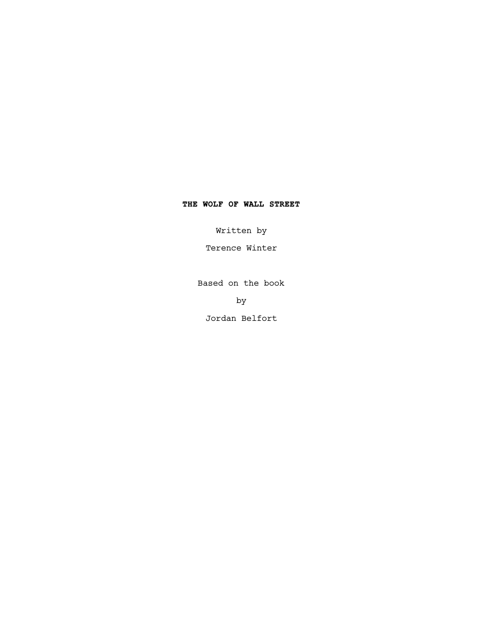# **THE WOLF OF WALL STREET**

Written by

Terence Winter

Based on the book

by

Jordan Belfort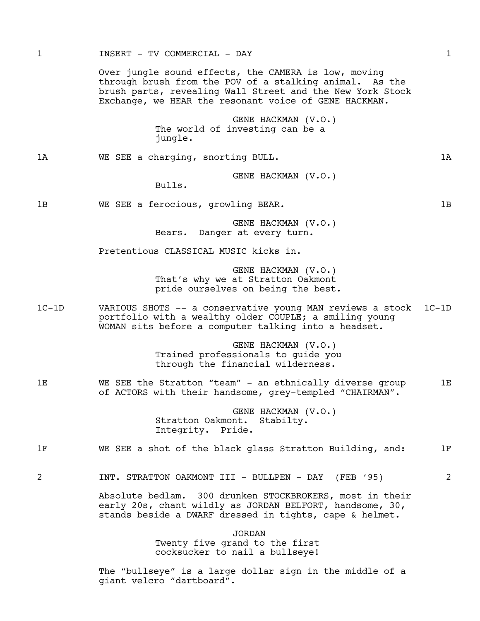Over jungle sound effects, the CAMERA is low, moving through brush from the POV of a stalking animal. As the brush parts, revealing Wall Street and the New York Stock Exchange, we HEAR the resonant voice of GENE HACKMAN.

> GENE HACKMAN (V.O.) The world of investing can be a jungle.

1A WE SEE a charging, snorting BULL. 1A

GENE HACKMAN (V.O.)

Bulls.

1B WE SEE a ferocious, growling BEAR. The mass of the ME SEE and the SEE and ME SEE a ferocious, growling BEAR.

GENE HACKMAN (V.O.) Bears. Danger at every turn.

Pretentious CLASSICAL MUSIC kicks in.

GENE HACKMAN (V.O.) That's why we at Stratton Oakmont pride ourselves on being the best.

1C-1D VARIOUS SHOTS -- a conservative young MAN reviews a stock 1C-1D portfolio with a wealthy older COUPLE; a smiling young WOMAN sits before a computer talking into a headset.

> GENE HACKMAN (V.O.) Trained professionals to guide you through the financial wilderness.

1E WE SEE the Stratton "team" - an ethnically diverse group 1E of ACTORS with their handsome, grey-templed "CHAIRMAN".

> GENE HACKMAN (V.O.) Stratton Oakmont. Stabilty. Integrity. Pride.

1F WE SEE a shot of the black glass Stratton Building, and: 1F

2 INT. STRATTON OAKMONT III - BULLPEN - DAY (FEB '95) 2

Absolute bedlam. 300 drunken STOCKBROKERS, most in their early 20s, chant wildly as JORDAN BELFORT, handsome, 30, stands beside a DWARF dressed in tights, cape & helmet.

> JORDAN Twenty five grand to the first cocksucker to nail a bullseye!

The "bullseye" is a large dollar sign in the middle of a giant velcro "dartboard".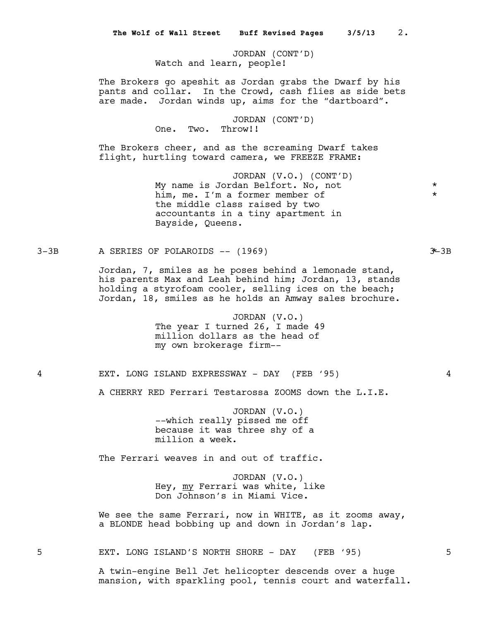JORDAN (CONT'D) Watch and learn, people!

The Brokers go apeshit as Jordan grabs the Dwarf by his pants and collar. In the Crowd, cash flies as side bets are made. Jordan winds up, aims for the "dartboard".

> JORDAN (CONT'D) One. Two. Throw!!

The Brokers cheer, and as the screaming Dwarf takes flight, hurtling toward camera, we FREEZE FRAME:

> JORDAN (V.O.) (CONT'D) My name is Jordan Belfort. No, not \* him, me. I'm a former member of the middle class raised by two accountants in a tiny apartment in Bayside, Queens.

 $3-3B$  A SERIES OF POLAROIDS  $-(-1969)$  3-3B

Jordan, 7, smiles as he poses behind a lemonade stand, his parents Max and Leah behind him; Jordan, 13, stands holding a styrofoam cooler, selling ices on the beach; Jordan, 18, smiles as he holds an Amway sales brochure.

> JORDAN (V.O.) The year I turned 26, I made 49 million dollars as the head of my own brokerage firm--

4 EXT. LONG ISLAND EXPRESSWAY - DAY (FEB '95) 4

A CHERRY RED Ferrari Testarossa ZOOMS down the L.I.E.

JORDAN (V.O.) --which really pissed me off because it was three shy of a million a week.

The Ferrari weaves in and out of traffic.

JORDAN (V.O.) Hey, my Ferrari was white, like Don Johnson's in Miami Vice.

We see the same Ferrari, now in WHITE, as it zooms away, a BLONDE head bobbing up and down in Jordan's lap.

5 EXT. LONG ISLAND'S NORTH SHORE - DAY (FEB '95) 5

A twin-engine Bell Jet helicopter descends over a huge mansion, with sparkling pool, tennis court and waterfall.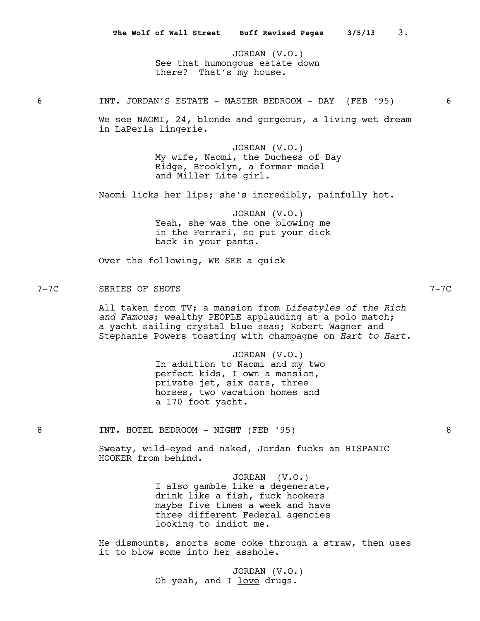JORDAN (V.O.) See that humongous estate down there? That's my house.

6 INT. JORDAN'S ESTATE - MASTER BEDROOM - DAY (FEB '95) 6

We see NAOMI, 24, blonde and gorgeous, a living wet dream in LaPerla lingerie.

> JORDAN (V.O.) My wife, Naomi, the Duchess of Bay Ridge, Brooklyn, a former model and Miller Lite girl.

Naomi licks her lips; she's incredibly, painfully hot.

JORDAN (V.O.) Yeah, she was the one blowing me in the Ferrari, so put your dick back in your pants.

Over the following, WE SEE a quick

# 7-7C SERIES OF SHOTS 7-7C

All taken from TV; a mansion from *Lifestyles of the Rich and Famous*; wealthy PEOPLE applauding at a polo match; a yacht sailing crystal blue seas; Robert Wagner and Stephanie Powers toasting with champagne on *Hart to Hart.*

> JORDAN (V.O.) In addition to Naomi and my two perfect kids, I own a mansion, private jet, six cars, three horses, two vacation homes and a 170 foot yacht.

8 INT. HOTEL BEDROOM - NIGHT (FEB '95) 3

Sweaty, wild-eyed and naked, Jordan fucks an HISPANIC HOOKER from behind.

> JORDAN (V.O.) I also gamble like a degenerate, drink like a fish, fuck hookers maybe five times a week and have three different Federal agencies looking to indict me.

He dismounts, snorts some coke through a straw, then uses it to blow some into her asshole.

> JORDAN (V.O.) Oh yeah, and I love drugs.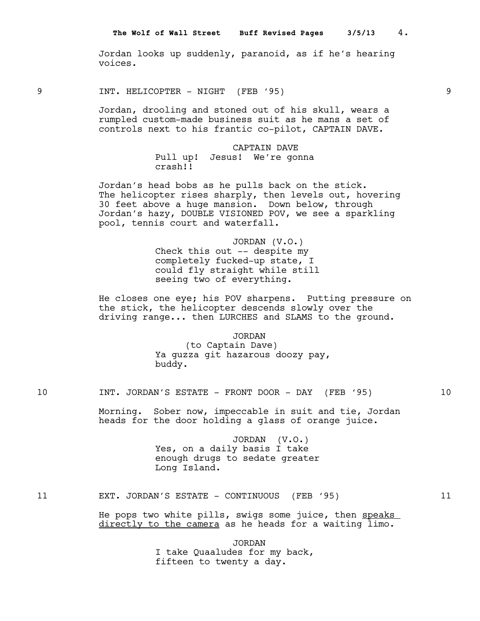Jordan looks up suddenly, paranoid, as if he's hearing voices.

9 INT. HELICOPTER - NIGHT (FEB '95) 9

Jordan, drooling and stoned out of his skull, wears a rumpled custom-made business suit as he mans a set of controls next to his frantic co-pilot, CAPTAIN DAVE.

> CAPTAIN DAVE Pull up! Jesus! We're gonna crash!!

Jordan's head bobs as he pulls back on the stick. The helicopter rises sharply, then levels out, hovering 30 feet above a huge mansion. Down below, through Jordan's hazy, DOUBLE VISIONED POV, we see a sparkling pool, tennis court and waterfall.

> JORDAN (V.O.) Check this out -- despite my completely fucked-up state, I could fly straight while still seeing two of everything.

He closes one eye; his POV sharpens. Putting pressure on the stick, the helicopter descends slowly over the driving range... then LURCHES and SLAMS to the ground.

> JORDAN (to Captain Dave) Ya guzza git hazarous doozy pay, buddy.

10 INT. JORDAN'S ESTATE - FRONT DOOR - DAY (FEB '95) 10

Morning. Sober now, impeccable in suit and tie, Jordan heads for the door holding a glass of orange juice.

> JORDAN (V.O.) Yes, on a daily basis I take enough drugs to sedate greater Long Island.

# 11 EXT. JORDAN'S ESTATE - CONTINUOUS (FEB '95) 11

He pops two white pills, swigs some juice, then speaks directly to the camera as he heads for a waiting limo.

> JORDAN I take Quaaludes for my back, fifteen to twenty a day.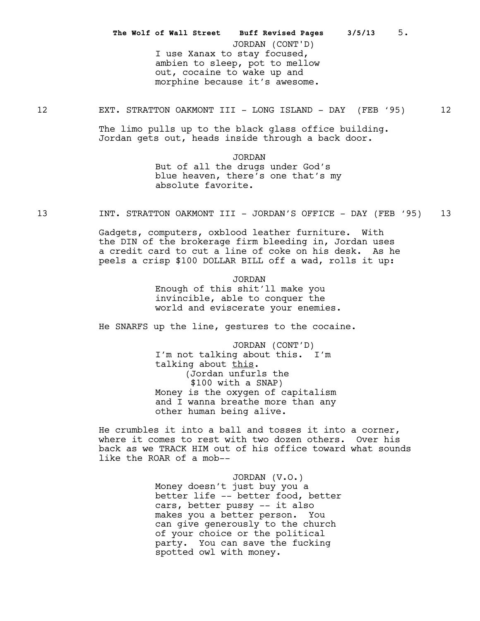I use Xanax to stay focused, ambien to sleep, pot to mellow out, cocaine to wake up and morphine because it's awesome. **The Wolf of Wall Street Buff Revised Pages 3/5/13** 5. JORDAN (CONT'D)

12 EXT. STRATTON OAKMONT III - LONG ISLAND - DAY (FEB '95) 12

The limo pulls up to the black glass office building. Jordan gets out, heads inside through a back door.

> JORDAN But of all the drugs under God's blue heaven, there's one that's my absolute favorite.

13 19 INT. STRATTON OAKMONT III - JORDAN'S OFFICE - DAY (FEB '95) 13

Gadgets, computers, oxblood leather furniture. With the DIN of the brokerage firm bleeding in, Jordan uses a credit card to cut a line of coke on his desk. As he peels a crisp \$100 DOLLAR BILL off a wad, rolls it up:

> JORDAN Enough of this shit'll make you invincible, able to conquer the world and eviscerate your enemies.

He SNARFS up the line, gestures to the cocaine.

JORDAN (CONT'D) I'm not talking about this. I'm talking about this. (Jordan unfurls the \$100 with a SNAP) Money is the oxygen of capitalism and I wanna breathe more than any other human being alive.

He crumbles it into a ball and tosses it into a corner, where it comes to rest with two dozen others. Over his back as we TRACK HIM out of his office toward what sounds like the ROAR of a mob--

> JORDAN (V.O.) Money doesn't just buy you a better life -- better food, better cars, better pussy -- it also makes you a better person. You can give generously to the church of your choice or the political party. You can save the fucking spotted owl with money.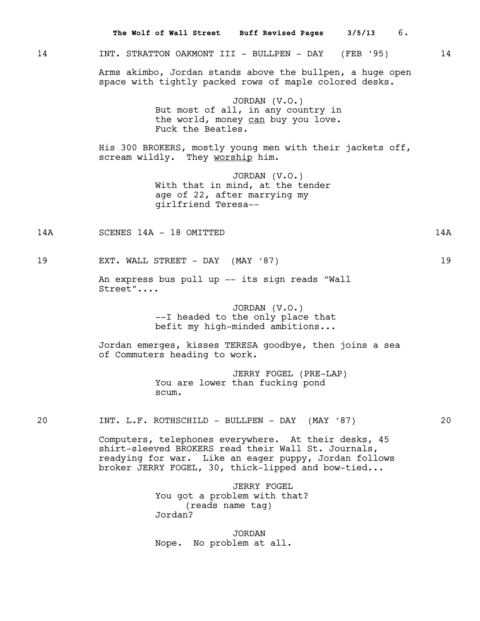|     | 6.<br>The Wolf of Wall Street Buff Revised Pages 3/5/13                                                                                                                                                                   |     |
|-----|---------------------------------------------------------------------------------------------------------------------------------------------------------------------------------------------------------------------------|-----|
| 14  | INT. STRATTON OAKMONT III - BULLPEN - DAY (FEB '95)                                                                                                                                                                       | 14  |
|     | Arms akimbo, Jordan stands above the bullpen, a huge open<br>space with tightly packed rows of maple colored desks.                                                                                                       |     |
|     | JORDAN $(V.O.)$<br>But most of all, in any country in<br>the world, money can buy you love.<br>Fuck the Beatles.                                                                                                          |     |
|     | His 300 BROKERS, mostly young men with their jackets off,<br>scream wildly. They worship him.                                                                                                                             |     |
|     | JORDAN $(V.O.)$<br>With that in mind, at the tender<br>age of 22, after marrying my<br>girlfriend Teresa--                                                                                                                |     |
| 14A | SCENES 14A - 18 OMITTED                                                                                                                                                                                                   | 14A |
| 19  | EXT. WALL STREET - DAY (MAY '87)                                                                                                                                                                                          | 19  |
|     | An express bus pull up -- its sign reads "Wall<br>Street"                                                                                                                                                                 |     |
|     | JORDAN $(V.O.)$<br>--I headed to the only place that<br>befit my high-minded ambitions                                                                                                                                    |     |
|     | Jordan emerges, kisses TERESA goodbye, then joins a sea<br>of Commuters heading to work.                                                                                                                                  |     |
|     | JERRY FOGEL (PRE-LAP)<br>You are lower than fucking pond<br>scum.                                                                                                                                                         |     |
| 20  | INT. L.F. ROTHSCHILD - BULLPEN - DAY (MAY '87)                                                                                                                                                                            | 20  |
|     | Computers, telephones everywhere. At their desks, 45<br>shirt-sleeved BROKERS read their Wall St. Journals,<br>readying for war. Like an eager puppy, Jordan follows<br>broker JERRY FOGEL, 30, thick-lipped and bow-tied |     |
|     | <b>JERRY FOGEL</b><br>You got a problem with that?<br>(reads name tag)<br>Jordan?                                                                                                                                         |     |

JORDAN Nope. No problem at all.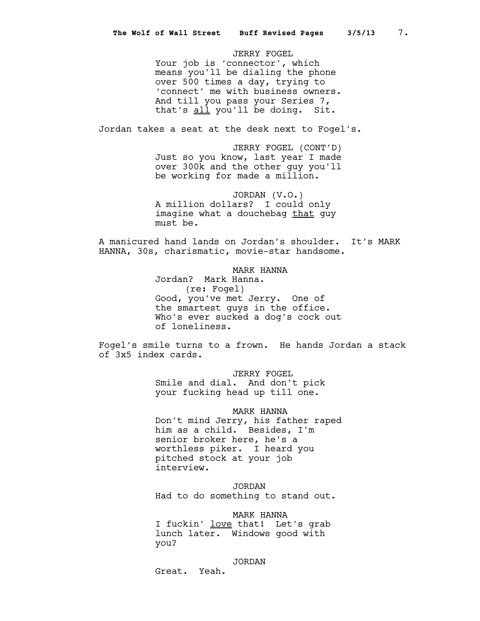JERRY FOGEL Your job is 'connector', which means you'll be dialing the phone over 500 times a day, trying to 'connect' me with business owners. And till you pass your Series 7, that's all you'll be doing. Sit.

Jordan takes a seat at the desk next to Fogel's.

JERRY FOGEL (CONT'D) Just so you know, last year I made over 300k and the other guy you'll be working for made a million.

JORDAN (V.O.) A million dollars? I could only imagine what a douchebag that guy must be.

A manicured hand lands on Jordan's shoulder. It's MARK HANNA, 30s, charismatic, movie-star handsome.

> MARK HANNA Jordan? Mark Hanna. (re: Fogel) Good, you've met Jerry. One of the smartest guys in the office**.**  Who's ever sucked a dog's cock out of loneliness.

Fogel's smile turns to a frown. He hands Jordan a stack of 3x5 index cards.

> JERRY FOGEL Smile and dial. And don't pick your fucking head up till one.

MARK HANNA Don't mind Jerry, his father raped him as a child. Besides, I'm senior broker here, he's a worthless piker. I heard you pitched stock at your job interview.

JORDAN Had to do something to stand out.

MARK HANNA I fuckin' love that! Let's grab lunch later. Windows good with you?

JORDAN

Great. Yeah.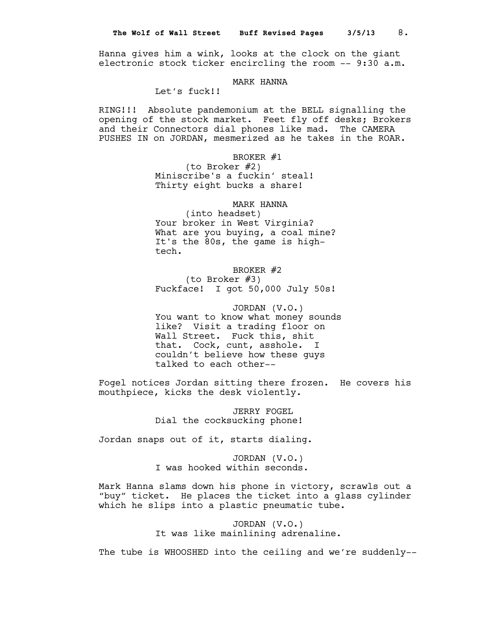Hanna gives him a wink, looks at the clock on the giant electronic stock ticker encircling the room -- 9:30 a.m.

# MARK HANNA

Let's fuck!!

RING!!! Absolute pandemonium at the BELL signalling the opening of the stock market. Feet fly off desks; Brokers and their Connectors dial phones like mad. The CAMERA PUSHES IN on JORDAN, mesmerized as he takes in the ROAR.

# BROKER #1

(to Broker #2) Miniscribe's a fuckin' steal! Thirty eight bucks a share!

#### MARK HANNA

(into headset) Your broker in West Virginia? What are you buying, a coal mine? It's the 80s, the game is hightech.

BROKER #2 (to Broker #3) Fuckface! I got 50,000 July 50s!

JORDAN (V.O.) You want to know what money sounds like? Visit a trading floor on Wall Street. Fuck this, shit that. Cock, cunt, asshole. I couldn't believe how these guys talked to each other--

Fogel notices Jordan sitting there frozen. He covers his mouthpiece, kicks the desk violently.

> JERRY FOGEL Dial the cocksucking phone!

Jordan snaps out of it, starts dialing.

JORDAN (V.O.) I was hooked within seconds.

Mark Hanna slams down his phone in victory, scrawls out a "buy" ticket. He places the ticket into a glass cylinder which he slips into a plastic pneumatic tube.

> JORDAN (V.O.) It was like mainlining adrenaline.

The tube is WHOOSHED into the ceiling and we're suddenly--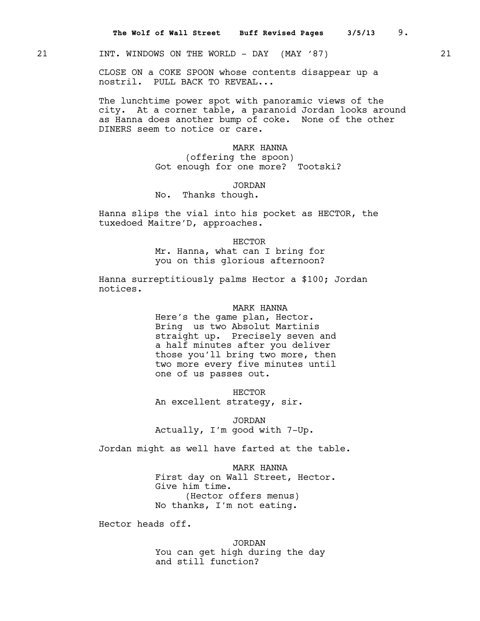# 21 **INT. WINDOWS ON THE WORLD - DAY (MAY '87)** 21

CLOSE ON a COKE SPOON whose contents disappear up a nostril. PULL BACK TO REVEAL...

The lunchtime power spot with panoramic views of the city. At a corner table, a paranoid Jordan looks around as Hanna does another bump of coke. None of the other DINERS seem to notice or care.

> MARK HANNA (offering the spoon) Got enough for one more? Tootski?

> > JORDAN

No. Thanks though.

Hanna slips the vial into his pocket as HECTOR, the tuxedoed Maitre'D, approaches.

HECTOR

Mr. Hanna, what can I bring for you on this glorious afternoon?

Hanna surreptitiously palms Hector a \$100; Jordan notices.

MARK HANNA

Here's the game plan, Hector. Bring us two Absolut Martinis straight up. Precisely seven and a half minutes after you deliver those you'll bring two more, then two more every five minutes until one of us passes out.

HECTOR An excellent strategy, sir.

JORDAN Actually, I'm good with 7-Up.

Jordan might as well have farted at the table.

MARK HANNA First day on Wall Street, Hector. Give him time. (Hector offers menus) No thanks, I'm not eating.

Hector heads off.

JORDAN You can get high during the day and still function?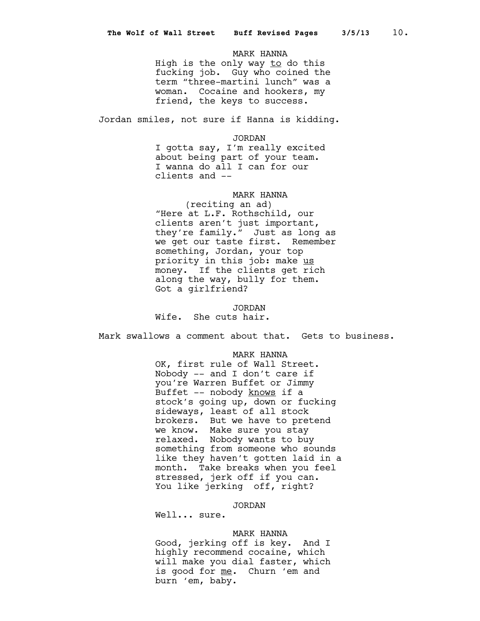## MARK HANNA

High is the only way to do this fucking job. Guy who coined the term "three-martini lunch" was a woman. Cocaine and hookers, my friend, the keys to success.

Jordan smiles, not sure if Hanna is kidding.

JORDAN

I gotta say, I'm really excited about being part of your team. I wanna do all I can for our clients and --

# MARK HANNA

(reciting an ad) "Here at L.F. Rothschild, our clients aren't just important, they're family." Just as long as we get our taste first. Remember something, Jordan, your top priority in this job: make us money. If the clients get rich along the way, bully for them. Got a girlfriend?

JORDAN Wife. She cuts hair.

Mark swallows a comment about that. Gets to business.

## MARK HANNA

OK, first rule of Wall Street. Nobody -- and I don't care if you're Warren Buffet or Jimmy Buffet -- nobody knows if a stock's going up, down or fucking sideways, least of all stock brokers. But we have to pretend we know. Make sure you stay relaxed. Nobody wants to buy something from someone who sounds like they haven't gotten laid in a month. Take breaks when you feel stressed, jerk off if you can. You like jerking off, right?

## JORDAN

Well... sure.

# MARK HANNA

Good, jerking off is key. And I highly recommend cocaine, which will make you dial faster, which is good for me. Churn 'em and burn 'em, baby.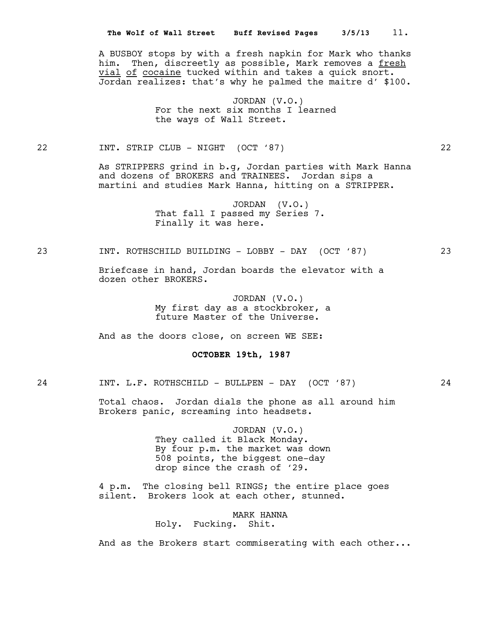A BUSBOY stops by with a fresh napkin for Mark who thanks him. Then, discreetly as possible, Mark removes a fresh vial of cocaine tucked within and takes a quick snort. Jordan realizes: that's why he palmed the maitre d' \$100.

> JORDAN (V.O.) For the next six months I learned the ways of Wall Street.

22 INT. STRIP CLUB - NIGHT (OCT '87) 22

As STRIPPERS grind in b.g, Jordan parties with Mark Hanna and dozens of BROKERS and TRAINEES. Jordan sips a martini and studies Mark Hanna, hitting on a STRIPPER.

> JORDAN (V.O.) That fall I passed my Series 7. Finally it was here.

23 INT. ROTHSCHILD BUILDING - LOBBY - DAY (OCT '87) 23

Briefcase in hand, Jordan boards the elevator with a dozen other BROKERS.

> JORDAN (V.O.) My first day as a stockbroker, a future Master of the Universe.

And as the doors close, on screen WE SEE:

 **OCTOBER 19th, 1987**

24 INT. L.F. ROTHSCHILD - BULLPEN - DAY (OCT '87) 24

Total chaos. Jordan dials the phone as all around him Brokers panic, screaming into headsets.

> JORDAN (V.O.) They called it Black Monday. By four p.m. the market was down 508 points, the biggest one-day drop since the crash of '29.

4 p.m. The closing bell RINGS; the entire place goes silent. Brokers look at each other, stunned.

> MARK HANNA Holy. Fucking. Shit.

And as the Brokers start commiserating with each other...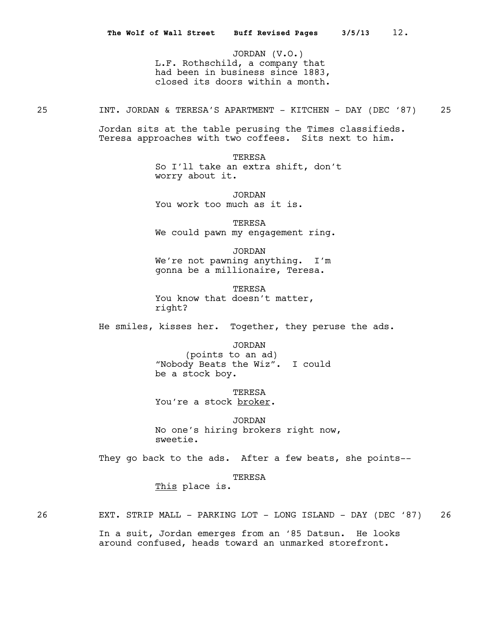JORDAN (V.O.) L.F. Rothschild, a company that had been in business since 1883, closed its doors within a month.

25 1NT. JORDAN & TERESA'S APARTMENT - KITCHEN - DAY (DEC '87) 25

Jordan sits at the table perusing the Times classifieds. Teresa approaches with two coffees. Sits next to him.

> **TERESA** So I'll take an extra shift, don't worry about it.

JORDAN You work too much as it is.

TERESA We could pawn my engagement ring.

JORDAN We're not pawning anything. I'm gonna be a millionaire, Teresa.

TERESA You know that doesn't matter, right?

He smiles, kisses her. Together, they peruse the ads.

JORDAN (points to an ad) "Nobody Beats the Wiz". I could be a stock boy.

TERESA You're a stock broker.

JORDAN No one's hiring brokers right now, sweetie.

They go back to the ads. After a few beats, she points--

TERESA

This place is.

26 EXT. STRIP MALL - PARKING LOT - LONG ISLAND - DAY (DEC '87) 26

In a suit, Jordan emerges from an '85 Datsun. He looks around confused, heads toward an unmarked storefront.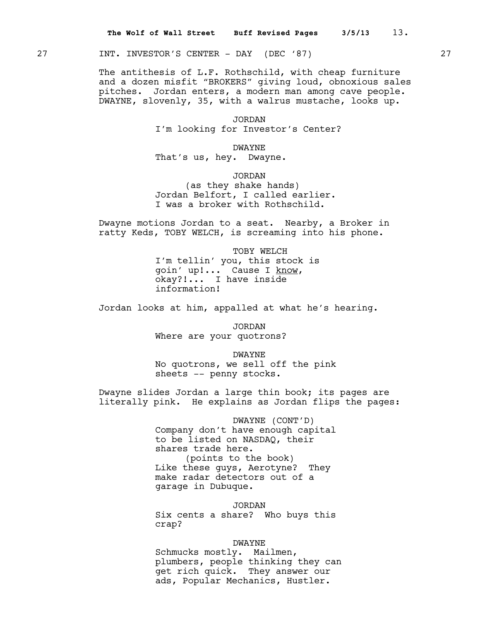27 INT. INVESTOR'S CENTER - DAY (DEC '87) 27

The antithesis of L.F. Rothschild, with cheap furniture and a dozen misfit "BROKERS" giving loud, obnoxious sales pitches. Jordan enters, a modern man among cave people. DWAYNE, slovenly, 35, with a walrus mustache, looks up.

> JORDAN I'm looking for Investor's Center?

> > DWAYNE

That's us, hey. Dwayne.

JORDAN

(as they shake hands) Jordan Belfort, I called earlier. I was a broker with Rothschild.

Dwayne motions Jordan to a seat. Nearby, a Broker in ratty Keds, TOBY WELCH, is screaming into his phone.

> TOBY WELCH I'm tellin' you, this stock is goin' up!... Cause I know, okay?!... I have inside information!

Jordan looks at him, appalled at what he's hearing.

JORDAN Where are your quotrons?

DWAYNE No quotrons, we sell off the pink sheets -- penny stocks.

Dwayne slides Jordan a large thin book; its pages are literally pink. He explains as Jordan flips the pages:

> DWAYNE (CONT'D) Company don't have enough capital to be listed on NASDAQ, their shares trade here. (points to the book) Like these guys, Aerotyne? They make radar detectors out of a garage in Dubuque.

> JORDAN Six cents a share? Who buys this crap?

# DWAYNE

Schmucks mostly. Mailmen, plumbers, people thinking they can get rich quick. They answer our ads, Popular Mechanics, Hustler.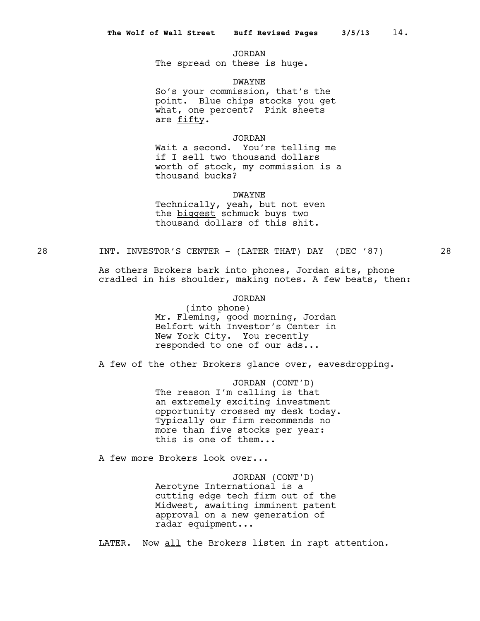JORDAN The spread on these is huge.

DWAYNE

So's your commission, that's the point. Blue chips stocks you get what, one percent? Pink sheets are fifty.

# JORDAN

Wait a second. You're telling me if I sell two thousand dollars worth of stock, my commission is a thousand bucks?

DWAYNE

Technically, yeah, but not even the biggest schmuck buys two thousand dollars of this shit.

28 INT. INVESTOR'S CENTER - (LATER THAT) DAY (DEC '87) 28

As others Brokers bark into phones, Jordan sits, phone cradled in his shoulder, making notes. A few beats, then:

# JORDAN

(into phone) Mr. Fleming, good morning, Jordan Belfort with Investor's Center in New York City. You recently responded to one of our ads...

A few of the other Brokers glance over, eavesdropping.

JORDAN (CONT'D) The reason I'm calling is that an extremely exciting investment opportunity crossed my desk today. Typically our firm recommends no more than five stocks per year: this is one of them...

A few more Brokers look over...

JORDAN (CONT'D) Aerotyne International is a cutting edge tech firm out of the Midwest, awaiting imminent patent approval on a new generation of radar equipment...

LATER. Now all the Brokers listen in rapt attention.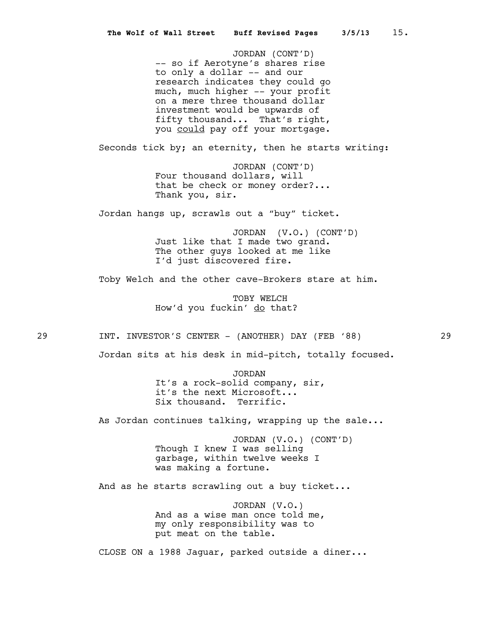JORDAN (CONT'D) -- so if Aerotyne's shares rise to only a dollar -- and our research indicates they could go much, much higher -- your profit on a mere three thousand dollar investment would be upwards of fifty thousand... That's right, you could pay off your mortgage.

Seconds tick by; an eternity, then he starts writing:

JORDAN (CONT'D) Four thousand dollars, will that be check or money order?... Thank you, sir.

Jordan hangs up, scrawls out a "buy" ticket.

JORDAN (V.O.) (CONT'D) Just like that I made two grand. The other guys looked at me like I'd just discovered fire.

Toby Welch and the other cave-Brokers stare at him.

TOBY WELCH How'd you fuckin' do that?

29 1NT. INVESTOR'S CENTER - (ANOTHER) DAY (FEB '88)

Jordan sits at his desk in mid-pitch, totally focused.

JORDAN It's a rock-solid company, sir, it's the next Microsoft... Six thousand. Terrific.

As Jordan continues talking, wrapping up the sale...

JORDAN (V.O.) (CONT'D) Though I knew I was selling garbage, within twelve weeks I was making a fortune.

And as he starts scrawling out a buy ticket...

JORDAN (V.O.) And as a wise man once told me, my only responsibility was to put meat on the table.

CLOSE ON a 1988 Jaguar, parked outside a diner...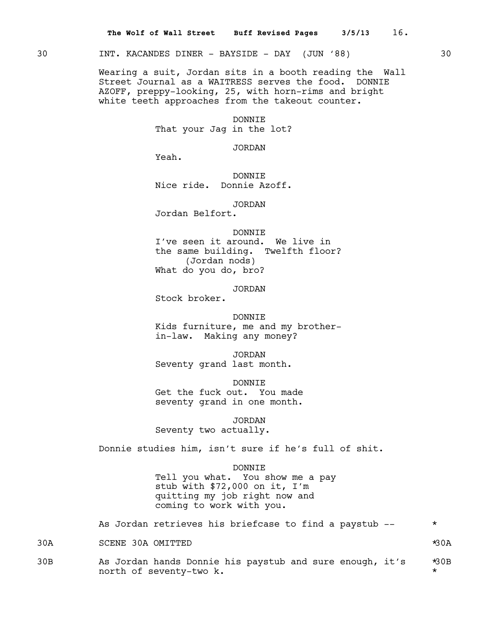# 30 INT. KACANDES DINER - BAYSIDE - DAY (JUN '88) 30

Wearing a suit, Jordan sits in a booth reading the Wall Street Journal as a WAITRESS serves the food. DONNIE AZOFF, preppy-looking, 25, with horn-rims and bright white teeth approaches from the takeout counter.

#### DONNIE

That your Jag in the lot?

JORDAN

Yeah.

DONNIE Nice ride. Donnie Azoff.

JORDAN

Jordan Belfort.

## DONNIE

I've seen it around. We live in the same building. Twelfth floor? (Jordan nods) What do you do, bro?

JORDAN

Stock broker.

#### DONNIE

Kids furniture, me and my brotherin-law. Making any money?

JORDAN Seventy grand last month.

DONNIE Get the fuck out. You made seventy grand in one month.

JORDAN

Seventy two actually.

Donnie studies him, isn't sure if he's full of shit.

#### DONNIE

Tell you what. You show me a pay stub with \$72,000 on it, I'm quitting my job right now and coming to work with you.

As Jordan retrieves his briefcase to find a paystub --  $*$ 

30A SCENE 30A OMITTED \*30A

30B As Jordan hands Donnie his paystub and sure enough, it's \*30B north of seventy-two k.  $\star$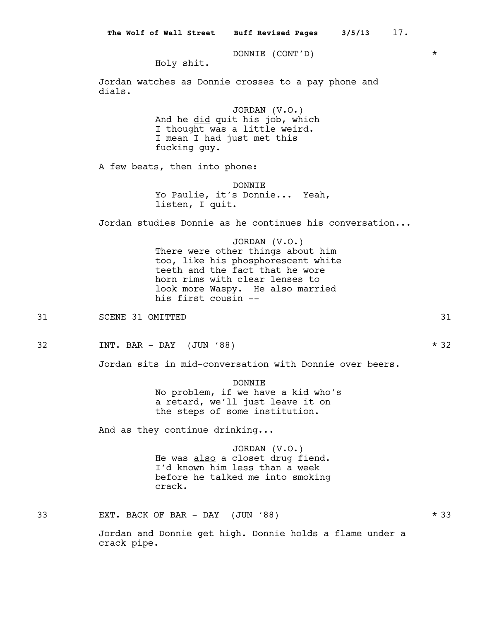DONNIE (CONT'D) \*

Holy shit.

Jordan watches as Donnie crosses to a pay phone and dials.

> JORDAN (V.O.) And he did quit his job, which I thought was a little weird. I mean I had just met this fucking guy.

A few beats, then into phone:

DONNIE Yo Paulie, it's Donnie... Yeah, listen, I quit.

Jordan studies Donnie as he continues his conversation...

JORDAN (V.O.) There were other things about him too, like his phosphorescent white teeth and the fact that he wore horn rims with clear lenses to look more Waspy. He also married his first cousin --

31 SCENE 31 OMITTED 32 33 SCENE 31 SCENE 31 SCENE 31 SCENE 31 SCENE 31 SCENE 31

32 INT. BAR - DAY (JUN '88) \* 32

Jordan sits in mid-conversation with Donnie over beers.

DONNIE No problem, if we have a kid who's a retard, we'll just leave it on the steps of some institution.

And as they continue drinking...

JORDAN (V.O.) He was also a closet drug fiend. I'd known him less than a week before he talked me into smoking crack.

33 EXT. BACK OF BAR - DAY (JUN '88) \* 33

Jordan and Donnie get high. Donnie holds a flame under a crack pipe.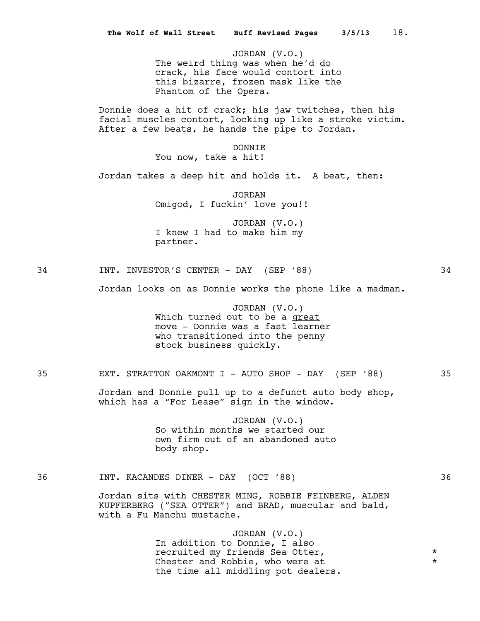|    | 18.<br>3/5/13<br>The Wolf of Wall Street Buff Revised Pages                                                                                                           |                      |
|----|-----------------------------------------------------------------------------------------------------------------------------------------------------------------------|----------------------|
|    | JORDAN (V.O.)<br>The weird thing was when he'd do<br>crack, his face would contort into<br>this bizarre, frozen mask like the<br>Phantom of the Opera.                |                      |
|    | Donnie does a hit of crack; his jaw twitches, then his<br>facial muscles contort, locking up like a stroke victim.<br>After a few beats, he hands the pipe to Jordan. |                      |
|    | <b>DONNIE</b><br>You now, take a hit!                                                                                                                                 |                      |
|    | Jordan takes a deep hit and holds it. A beat, then:                                                                                                                   |                      |
|    | <b>JORDAN</b><br>Omigod, I fuckin' love you!!                                                                                                                         |                      |
|    | JORDAN $(V.O.)$<br>I knew I had to make him my<br>partner.                                                                                                            |                      |
| 34 | INT. INVESTOR'S CENTER - DAY (SEP '88)                                                                                                                                | 34                   |
|    | Jordan looks on as Donnie works the phone like a madman.                                                                                                              |                      |
|    | JORDAN (V.O.)<br>Which turned out to be a great<br>move - Donnie was a fast learner<br>who transitioned into the penny<br>stock business quickly.                     |                      |
| 35 | EXT. STRATTON OAKMONT I - AUTO SHOP - DAY (SEP '88)                                                                                                                   | 35                   |
|    | Jordan and Donnie pull up to a defunct auto body shop,<br>which has a "For Lease" sign in the window.                                                                 |                      |
|    | JORDAN (V.O.)<br>So within months we started our<br>own firm out of an abandoned auto<br>body shop.                                                                   |                      |
| 36 | INT. KACANDES DINER - DAY (OCT '88)                                                                                                                                   | 36                   |
|    | Jordan sits with CHESTER MING, ROBBIE FEINBERG, ALDEN<br>KUPFERBERG ("SEA OTTER") and BRAD, muscular and bald,<br>with a Fu Manchu mustache.                          |                      |
|    | JORDAN (V.O.)<br>In addition to Donnie, I also<br>recruited my friends Sea Otter,<br>Chester and Robbie, who were at<br>the time all middling pot dealers.            | $^\star$<br>$^\star$ |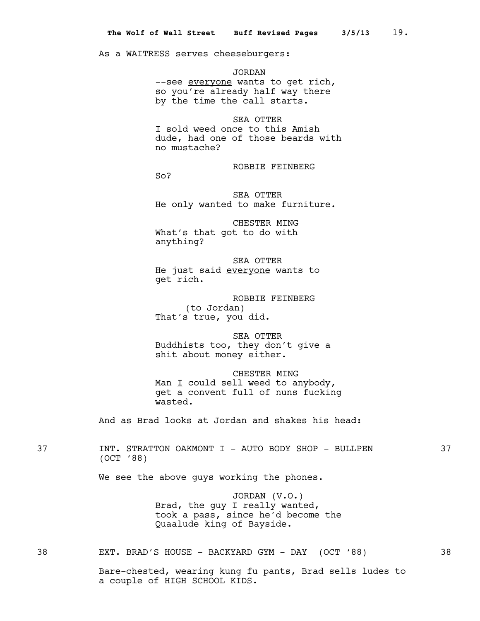As a WAITRESS serves cheeseburgers:

JORDAN --see everyone wants to get rich, so you're already half way there by the time the call starts.

SEA OTTER I sold weed once to this Amish dude, had one of those beards with no mustache?

ROBBIE FEINBERG

So?

SEA OTTER He only wanted to make furniture.

CHESTER MING What's that got to do with anything?

SEA OTTER He just said everyone wants to get rich.

ROBBIE FEINBERG (to Jordan) That's true, you did.

SEA OTTER Buddhists too, they don't give a shit about money either.

CHESTER MING Man  $I$  could sell weed to anybody, get a convent full of nuns fucking wasted.

And as Brad looks at Jordan and shakes his head:

37 INT. STRATTON OAKMONT I - AUTO BODY SHOP - BULLPEN 37 (OCT '88)

We see the above guys working the phones.

JORDAN (V.O.) Brad, the guy I really wanted, took a pass, since he'd become the Quaalude king of Bayside.

38 EXT. BRAD'S HOUSE - BACKYARD GYM - DAY (OCT '88) 38

Bare-chested, wearing kung fu pants, Brad sells ludes to a couple of HIGH SCHOOL KIDS.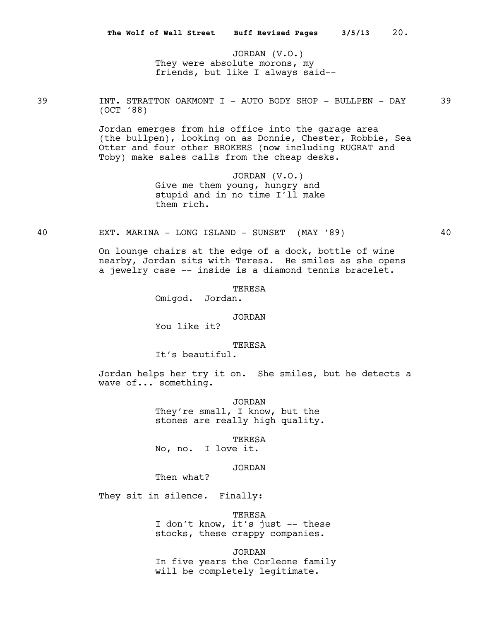JORDAN (V.O.) They were absolute morons, my friends, but like I always said--

39 INT. STRATTON OAKMONT I - AUTO BODY SHOP - BULLPEN - DAY 39 (OCT '88)

> Jordan emerges from his office into the garage area (the bullpen), looking on as Donnie, Chester, Robbie, Sea Otter and four other BROKERS (now including RUGRAT and Toby) make sales calls from the cheap desks.

> > JORDAN (V.O.) Give me them young, hungry and stupid and in no time I'll make them rich.

40 EXT. MARINA - LONG ISLAND - SUNSET (MAY '89) 40

On lounge chairs at the edge of a dock, bottle of wine nearby, Jordan sits with Teresa. He smiles as she opens a jewelry case -- inside is a diamond tennis bracelet.

TERESA

Omigod. Jordan.

## JORDAN

You like it?

## TERESA

It's beautiful.

Jordan helps her try it on. She smiles, but he detects a wave of... something.

> JORDAN They're small, I know, but the stones are really high quality.

TERESA No, no. I love it.

JORDAN

Then what?

They sit in silence. Finally:

TERESA

I don't know, it's just -- these stocks, these crappy companies.

JORDAN

In five years the Corleone family will be completely legitimate.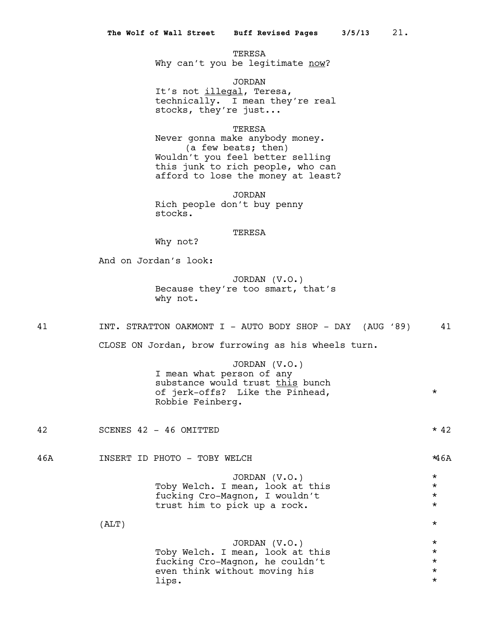TERESA Why can't you be legitimate now?

JORDAN It's not illegal, Teresa, technically. I mean they're real stocks, they're just...

TERESA

Never gonna make anybody money. (a few beats; then) Wouldn't you feel better selling this junk to rich people, who can afford to lose the money at least?

JORDAN Rich people don't buy penny stocks.

# TERESA

Why not?

And on Jordan's look:

JORDAN (V.O.) Because they're too smart, that's why not.

41 INT. STRATTON OAKMONT I - AUTO BODY SHOP - DAY (AUG '89) 41

CLOSE ON Jordan, brow furrowing as his wheels turn.

JORDAN (V.O.) I mean what person of any substance would trust this bunch of jerk-offs? Like the Pinhead, \* Robbie Feinberg.

42 SCENES 42 - 46 OMITTED \* 42

46A INSERT ID PHOTO - TOBY WELCH \*46A

JORDAN (V.O.) \* Toby Welch. I mean, look at this  $\star$ <br>fucking Cro-Magnon. I wouldn't fucking Cro-Magnon, I wouldn't \* trust him to pick up a rock.  $*$ 

 $\star$ 

JORDAN (V.O.) \* Toby Welch. I mean, look at this  $\star$ <br>fucking Cro-Magnon, he couldn't fucking Cro-Magnon, he couldn't<br>even think without moving his \* \* \* \* even think without moving his \* lips. \*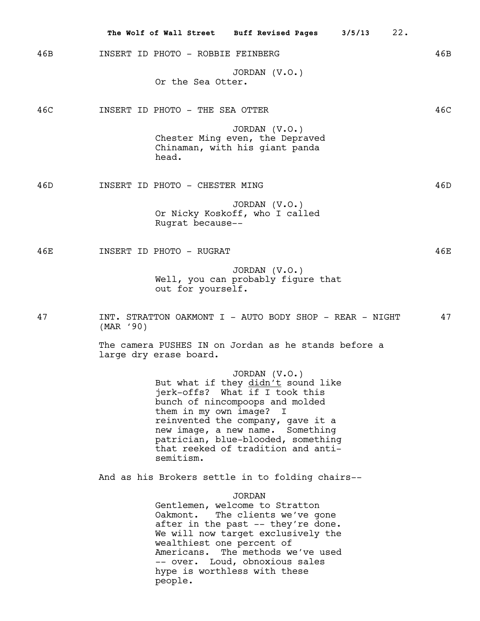|     |                                                  |                                                                | The Wolf of Wall Street Buff Revised Pages                                                                                                                                                                                                                                    | 3/5/13 | 22. |
|-----|--------------------------------------------------|----------------------------------------------------------------|-------------------------------------------------------------------------------------------------------------------------------------------------------------------------------------------------------------------------------------------------------------------------------|--------|-----|
| 46B |                                                  | INSERT ID PHOTO - ROBBIE FEINBERG                              |                                                                                                                                                                                                                                                                               |        | 46B |
|     |                                                  | Or the Sea Otter.                                              | JORDAN $(V.O.)$                                                                                                                                                                                                                                                               |        |     |
| 46C |                                                  | INSERT ID PHOTO - THE SEA OTTER                                |                                                                                                                                                                                                                                                                               |        | 46C |
|     |                                                  | head.                                                          | JORDAN (V.O.)<br>Chester Ming even, the Depraved<br>Chinaman, with his giant panda                                                                                                                                                                                            |        |     |
| 46D |                                                  | INSERT ID PHOTO - CHESTER MING                                 |                                                                                                                                                                                                                                                                               |        | 46D |
|     |                                                  | Rugrat because--                                               | JORDAN $(V.O.)$<br>Or Nicky Koskoff, who I called                                                                                                                                                                                                                             |        |     |
| 46E |                                                  | INSERT ID PHOTO - RUGRAT                                       |                                                                                                                                                                                                                                                                               |        | 46E |
|     |                                                  | out for yourself.                                              | JORDAN $(V.O.)$<br>Well, you can probably figure that                                                                                                                                                                                                                         |        |     |
| 47  | (MAR'90)                                         |                                                                | INT. STRATTON OAKMONT I - AUTO BODY SHOP - REAR - NIGHT                                                                                                                                                                                                                       |        | 47  |
|     |                                                  | large dry erase board.                                         | The camera PUSHES IN on Jordan as he stands before a                                                                                                                                                                                                                          |        |     |
|     |                                                  | them in my own image? I<br>semitism.                           | JORDAN (V.O.)<br>But what if they didn't sound like<br>jerk-offs? What if I took this<br>bunch of nincompoops and molded<br>reinvented the company, gave it a<br>new image, a new name. Something<br>patrician, blue-blooded, something<br>that reeked of tradition and anti- |        |     |
|     | And as his Brokers settle in to folding chairs-- |                                                                |                                                                                                                                                                                                                                                                               |        |     |
|     |                                                  | Oakmont.<br>wealthiest one percent of<br>Americans.<br>people. | <b>JORDAN</b><br>Gentlemen, welcome to Stratton<br>The clients we've gone<br>after in the past -- they're done.<br>We will now target exclusively the<br>The methods we've used<br>-- over. Loud, obnoxious sales<br>hype is worthless with these                             |        |     |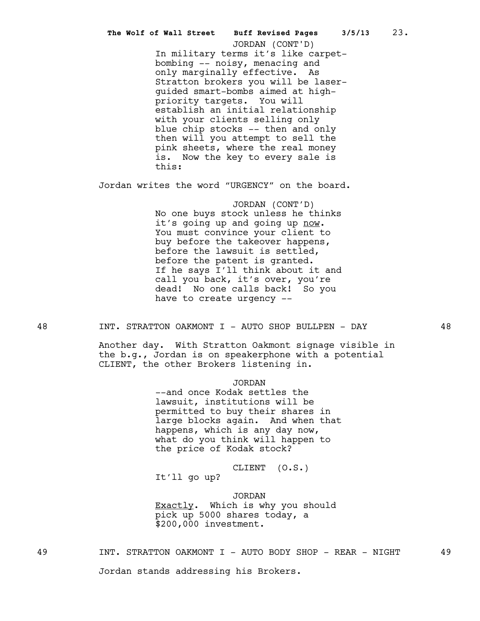In military terms it's like carpetbombing -- noisy, menacing and only marginally effective. As Stratton brokers you will be laserguided smart-bombs aimed at highpriority targets. You will establish an initial relationship with your clients selling only blue chip stocks -- then and only then will you attempt to sell the pink sheets, where the real money is. Now the key to every sale is this: **The Wolf of Wall Street Buff Revised Pages 3/5/13** 23. JORDAN (CONT'D)

Jordan writes the word "URGENCY" on the board.

JORDAN (CONT'D) No one buys stock unless he thinks it's going up and going up now. You must convince your client to buy before the takeover happens, before the lawsuit is settled, before the patent is granted. If he says I'll think about it and call you back, it's over, you're dead! No one calls back! So you have to create urgency --

48 INT. STRATTON OAKMONT I - AUTO SHOP BULLPEN - DAY 48

Another day. With Stratton Oakmont signage visible in the b.g., Jordan is on speakerphone with a potential CLIENT, the other Brokers listening in.

JORDAN

--and once Kodak settles the lawsuit, institutions will be permitted to buy their shares in large blocks again. And when that happens, which is any day now, what do you think will happen to the price of Kodak stock?

CLIENT (O.S.) It'll go up?

JORDAN Exactly. Which is why you should pick up 5000 shares today, a \$200,000 investment.

49 INT. STRATTON OAKMONT I - AUTO BODY SHOP - REAR - NIGHT 49

Jordan stands addressing his Brokers.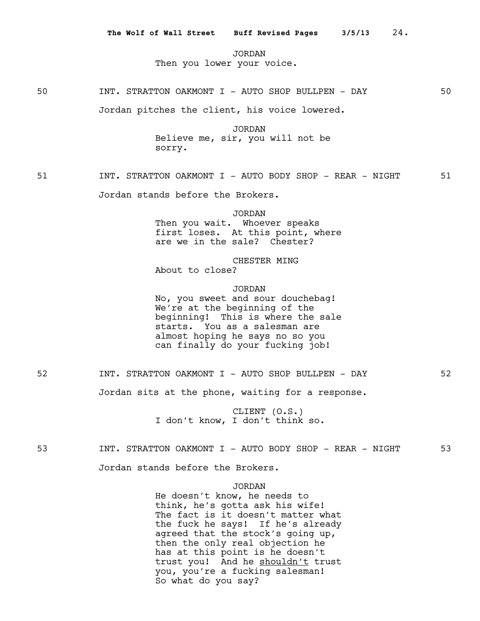JORDAN Then you lower your voice.

50 INT. STRATTON OAKMONT I - AUTO SHOP BULLPEN - DAY 50

Jordan pitches the client, his voice lowered.

JORDAN Believe me, sir, you will not be sorry.

51 INT. STRATTON OAKMONT I - AUTO BODY SHOP - REAR - NIGHT 51

Jordan stands before the Brokers.

JORDAN

Then you wait. Whoever speaks first loses. At this point, where are we in the sale? Chester?

CHESTER MING About to close?

JORDAN No, you sweet and sour douchebag! We're at the beginning of the beginning! This is where the sale starts. You as a salesman are almost hoping he says no so you can finally do your fucking job!

52 INT. STRATTON OAKMONT I - AUTO SHOP BULLPEN - DAY 52

Jordan sits at the phone, waiting for a response.

CLIENT (O.S.) I don't know, I don't think so.

53 INT. STRATTON OAKMONT I - AUTO BODY SHOP - REAR - NIGHT 53

Jordan stands before the Brokers.

# JORDAN

He doesn't know, he needs to think, he's gotta ask his wife! The fact is it doesn't matter what the fuck he says! If he's already agreed that the stock's going up, then the only real objection he has at this point is he doesn't trust you! And he shouldn't trust you, you're a fucking salesman! So what do you say?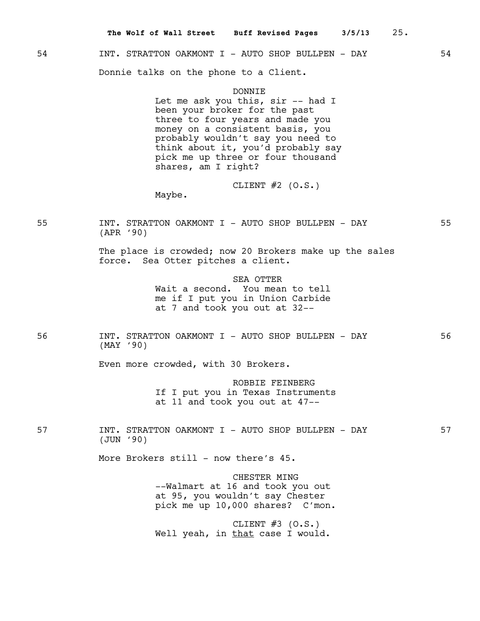# 54 INT. STRATTON OAKMONT I - AUTO SHOP BULLPEN - DAY 54

Donnie talks on the phone to a Client.

Maybe.

#### DONNIE

Let me ask you this, sir -- had I been your broker for the past three to four years and made you money on a consistent basis, you probably wouldn't say you need to think about it, you'd probably say pick me up three or four thousand shares, am I right?

CLIENT  $#2$  (O.S.)

55 INT. STRATTON OAKMONT I - AUTO SHOP BULLPEN - DAY 55 (APR '90)

> The place is crowded; now 20 Brokers make up the sales force. Sea Otter pitches a client.

> > SEA OTTER Wait a second. You mean to tell me if I put you in Union Carbide at 7 and took you out at 32--

56 INT. STRATTON OAKMONT I - AUTO SHOP BULLPEN - DAY 56 (MAY '90)

Even more crowded, with 30 Brokers.

ROBBIE FEINBERG If I put you in Texas Instruments at 11 and took you out at 47--

57 INT. STRATTON OAKMONT I - AUTO SHOP BULLPEN - DAY 57 (JUN '90)

More Brokers still - now there's 45.

CHESTER MING --Walmart at 16 and took you out at 95, you wouldn't say Chester pick me up 10,000 shares? C'mon.

CLIENT  $#3$  (O.S.) Well yeah, in that case I would.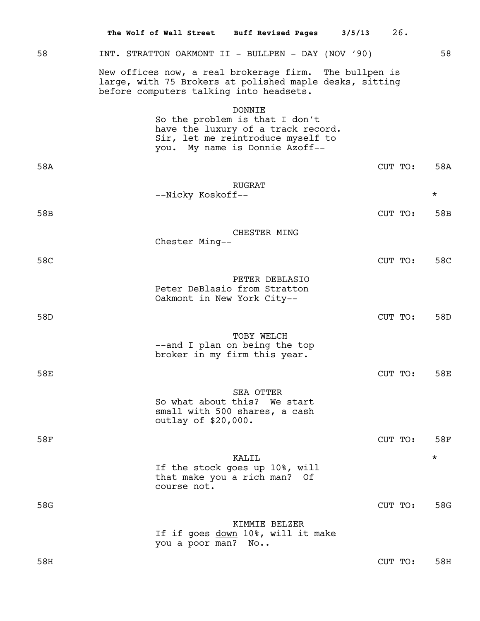|     | The Wolf of Wall Street                  | <b>Buff Revised Pages</b>                                                                                                                                    | 3/5/13 | 26.     |          |
|-----|------------------------------------------|--------------------------------------------------------------------------------------------------------------------------------------------------------------|--------|---------|----------|
| 58  |                                          | INT. STRATTON OAKMONT II - BULLPEN - DAY (NOV '90)                                                                                                           |        |         | 58       |
|     |                                          | New offices now, a real brokerage firm. The bullpen is<br>large, with 75 Brokers at polished maple desks, sitting<br>before computers talking into headsets. |        |         |          |
|     |                                          | <b>DONNIE</b><br>So the problem is that I don't<br>have the luxury of a track record.<br>Sir, let me reintroduce myself to<br>you. My name is Donnie Azoff-- |        |         |          |
| 58A |                                          |                                                                                                                                                              |        | CUT TO: | 58A      |
|     | --Nicky Koskoff--                        | <b>RUGRAT</b>                                                                                                                                                |        |         | $^\star$ |
| 58B |                                          |                                                                                                                                                              |        | CUT TO: | 58B      |
|     | Chester Ming--                           | CHESTER MING                                                                                                                                                 |        |         |          |
| 58C |                                          |                                                                                                                                                              |        | CUT TO: | 58C      |
|     | Oakmont in New York City--               | PETER DEBLASIO<br>Peter DeBlasio from Stratton                                                                                                               |        |         |          |
| 58D |                                          |                                                                                                                                                              |        | CUT TO: | 58D      |
|     |                                          | TOBY WELCH<br>--and I plan on being the top<br>broker in my firm this year.                                                                                  |        |         |          |
| 58E |                                          |                                                                                                                                                              |        | CUT TO: | 58E      |
|     | outlay of \$20,000.                      | SEA OTTER<br>So what about this? We start<br>small with 500 shares, a cash                                                                                   |        |         |          |
| 58F |                                          |                                                                                                                                                              |        | CUT TO: | 58F      |
|     | that make you a rich man?<br>course not. | KALIL<br>If the stock goes up 10%, will<br>Оf                                                                                                                |        |         | $^\star$ |
| 58G |                                          |                                                                                                                                                              |        | CUT TO: | 58G      |
|     | you a poor man? No                       | KIMMIE BELZER<br>If if goes down 10%, will it make                                                                                                           |        |         |          |
| 58H |                                          |                                                                                                                                                              |        | CUT TO: | 58H      |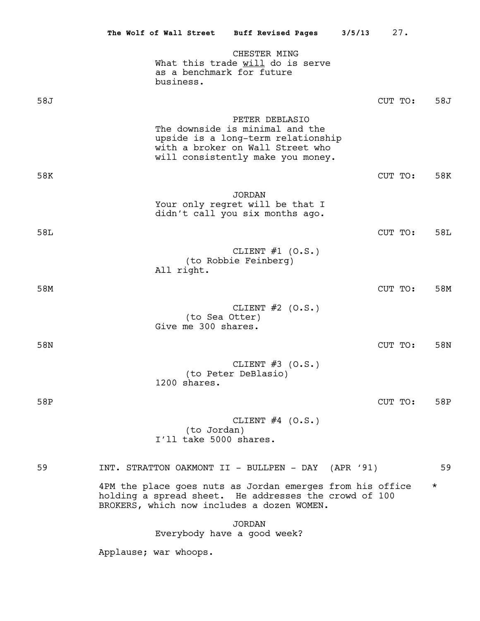|     |                                        | The Wolf of Wall Street Buff Revised Pages                                                                                                                       | 3/5/13 | 27.     |          |
|-----|----------------------------------------|------------------------------------------------------------------------------------------------------------------------------------------------------------------|--------|---------|----------|
|     | as a benchmark for future<br>business. | CHESTER MING<br>What this trade will do is serve                                                                                                                 |        |         |          |
| 58J |                                        |                                                                                                                                                                  |        | CUT TO: | 58J      |
|     |                                        | PETER DEBLASIO<br>The downside is minimal and the<br>upside is a long-term relationship<br>with a broker on Wall Street who<br>will consistently make you money. |        |         |          |
| 58K |                                        |                                                                                                                                                                  |        | CUT TO: | 58K      |
|     |                                        | <b>JORDAN</b><br>Your only regret will be that I<br>didn't call you six months ago.                                                                              |        |         |          |
| 58L |                                        |                                                                                                                                                                  |        | CUT TO: | 58L      |
|     | All right.                             | CLIENT $#1$ (O.S.)<br>(to Robbie Feinberg)                                                                                                                       |        |         |          |
| 58M |                                        |                                                                                                                                                                  |        | CUT TO: | 58M      |
|     | (to Sea Otter)<br>Give me 300 shares.  | CLIENT $#2$ (O.S.)                                                                                                                                               |        |         |          |
| 58N |                                        |                                                                                                                                                                  |        | CUT TO: | 58N      |
|     | 1200 shares.                           | CLIENT $#3$ (O.S.)<br>(to Peter DeBlasio)                                                                                                                        |        |         |          |
| 58P |                                        |                                                                                                                                                                  |        | CUT TO: | 58P      |
|     | (to Jordan)<br>I'll take 5000 shares.  | CLIENT $#4$ (O.S.)                                                                                                                                               |        |         |          |
| 59  |                                        | INT. STRATTON OAKMONT II - BULLPEN - DAY (APR '91)                                                                                                               |        |         | 59       |
|     |                                        | 4PM the place goes nuts as Jordan emerges from his office<br>holding a spread sheet. He addresses the crowd of 100<br>BROKERS, which now includes a dozen WOMEN. |        |         | $^\star$ |
|     |                                        | <b>JORDAN</b><br>Everybody have a good week?                                                                                                                     |        |         |          |
|     | Applause; war whoops.                  |                                                                                                                                                                  |        |         |          |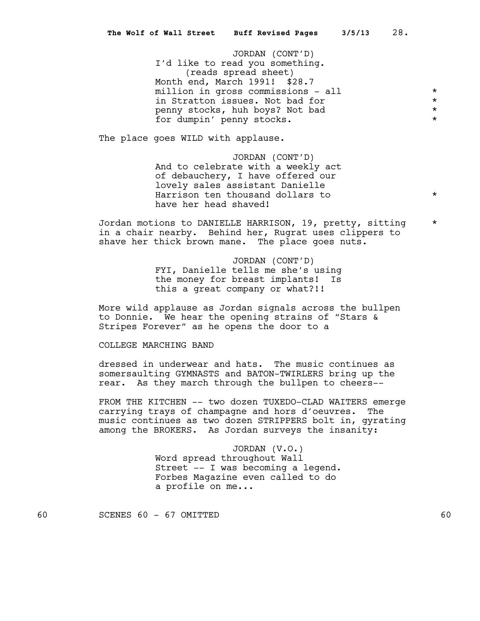JORDAN (CONT'D) I'd like to read you something. (reads spread sheet) Month end, March 1991! \$28.7 million in gross commissions - all  $\qquad \qquad$  \*<br>in Stratton issues. Not bad for \* in Stratton issues. Not bad for \* penny stocks, huh boys? Not bad \* for dumpin' penny stocks.

The place goes WILD with applause.

JORDAN (CONT'D) And to celebrate with a weekly act of debauchery, I have offered our lovely sales assistant Danielle Harrison ten thousand dollars to  $*$ have her head shaved!

Jordan motions to DANIELLE HARRISON, 19, pretty, sitting \* in a chair nearby. Behind her, Rugrat uses clippers to shave her thick brown mane. The place goes nuts.

> JORDAN (CONT'D) FYI, Danielle tells me she's using the money for breast implants! Is this a great company or what?!!

More wild applause as Jordan signals across the bullpen to Donnie. We hear the opening strains of "Stars & Stripes Forever" as he opens the door to a

COLLEGE MARCHING BAND

dressed in underwear and hats. The music continues as somersaulting GYMNASTS and BATON-TWIRLERS bring up the rear. As they march through the bullpen to cheers--

FROM THE KITCHEN -- two dozen TUXEDO-CLAD WAITERS emerge carrying trays of champagne and hors d'oeuvres. The music continues as two dozen STRIPPERS bolt in, gyrating among the BROKERS. As Jordan surveys the insanity:

> JORDAN (V.O.) Word spread throughout Wall Street -- I was becoming a legend. Forbes Magazine even called to do a profile on me...

60 SCENES 60 - 67 OMITTED 60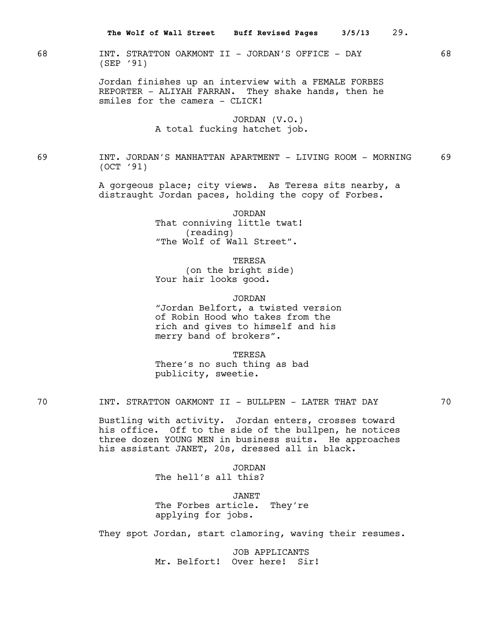68 INT. STRATTON OAKMONT II - JORDAN'S OFFICE - DAY 68 (SEP '91)

> Jordan finishes up an interview with a FEMALE FORBES REPORTER - ALIYAH FARRAN. They shake hands, then he smiles for the camera - CLICK!

# JORDAN (V.O.) A total fucking hatchet job.

69 INT. JORDAN'S MANHATTAN APARTMENT - LIVING ROOM - MORNING 69 (OCT '91)

> A gorgeous place; city views. As Teresa sits nearby, a distraught Jordan paces, holding the copy of Forbes.

> > JORDAN

That conniving little twat! (reading) "The Wolf of Wall Street".

TERESA

(on the bright side) Your hair looks good.

JORDAN

"Jordan Belfort, a twisted version of Robin Hood who takes from the rich and gives to himself and his merry band of brokers".

TERESA

There's no such thing as bad publicity, sweetie.

70 INT. STRATTON OAKMONT II - BULLPEN - LATER THAT DAY 70

Bustling with activity. Jordan enters, crosses toward his office. Off to the side of the bullpen, he notices three dozen YOUNG MEN in business suits. He approaches his assistant JANET, 20s, dressed all in black.

> JORDAN The hell's all this?

JANET The Forbes article. They're applying for jobs.

They spot Jordan, start clamoring, waving their resumes.

JOB APPLICANTS Mr. Belfort! Over here! Sir!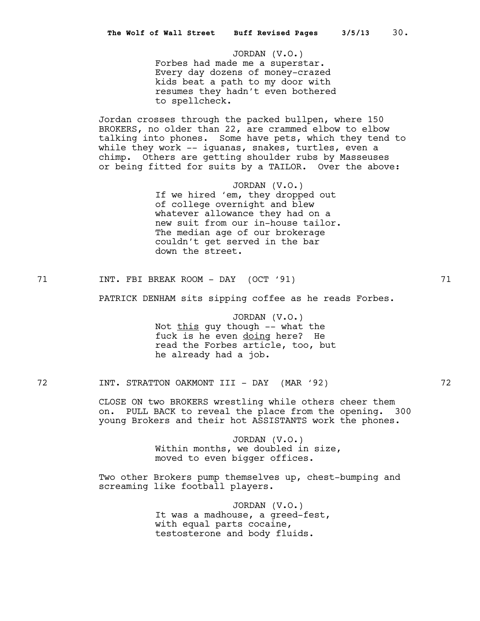JORDAN (V.O.) Forbes had made me a superstar. Every day dozens of money-crazed kids beat a path to my door with resumes they hadn't even bothered to spellcheck.

Jordan crosses through the packed bullpen, where 150 BROKERS, no older than 22, are crammed elbow to elbow talking into phones. Some have pets, which they tend to while they work -- iquanas, snakes, turtles, even a chimp. Others are getting shoulder rubs by Masseuses or being fitted for suits by a TAILOR. Over the above:

> JORDAN (V.O.) If we hired 'em, they dropped out of college overnight and blew whatever allowance they had on a new suit from our in-house tailor. The median age of our brokerage couldn't get served in the bar down the street.

71 1NT. FBI BREAK ROOM - DAY (OCT '91) 71

PATRICK DENHAM sits sipping coffee as he reads Forbes.

JORDAN (V.O.) Not this guy though -- what the fuck is he even doing here? He read the Forbes article, too, but he already had a job.

72 INT. STRATTON OAKMONT III - DAY (MAR '92) 72

CLOSE ON two BROKERS wrestling while others cheer them on. PULL BACK to reveal the place from the opening. 300 young Brokers and their hot ASSISTANTS work the phones.

> JORDAN (V.O.) Within months, we doubled in size, moved to even bigger offices.

Two other Brokers pump themselves up, chest-bumping and screaming like football players.

> JORDAN (V.O.) It was a madhouse, a greed-fest, with equal parts cocaine, testosterone and body fluids.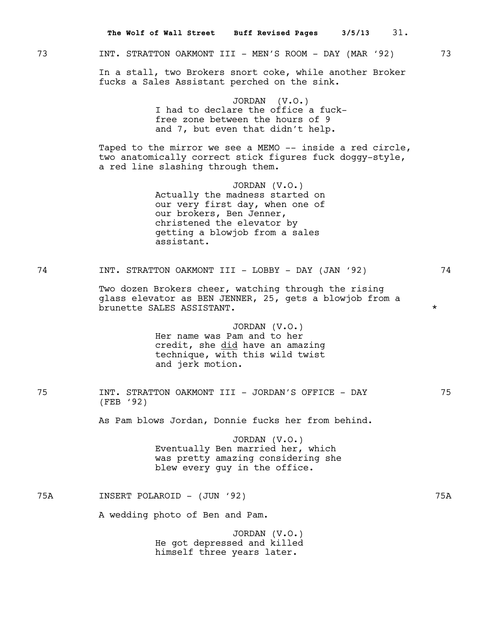|     | 31.<br>The Wolf of Wall Street Buff Revised Pages<br>3/5/13                                                                                                                                     |         |
|-----|-------------------------------------------------------------------------------------------------------------------------------------------------------------------------------------------------|---------|
| 73  | INT. STRATTON OAKMONT III - MEN'S ROOM - DAY (MAR '92)                                                                                                                                          | 73      |
|     | In a stall, two Brokers snort coke, while another Broker<br>fucks a Sales Assistant perched on the sink.                                                                                        |         |
|     | JORDAN (V.O.)<br>I had to declare the office a fuck-<br>free zone between the hours of 9<br>and 7, but even that didn't help.                                                                   |         |
|     | Taped to the mirror we see a MEMO -- inside a red circle,<br>two anatomically correct stick figures fuck doggy-style,<br>a red line slashing through them.                                      |         |
|     | JORDAN $(V.O.)$<br>Actually the madness started on<br>our very first day, when one of<br>our brokers, Ben Jenner,<br>christened the elevator by<br>getting a blowjob from a sales<br>assistant. |         |
| 74  | INT. STRATTON OAKMONT III - LOBBY - DAY (JAN '92)                                                                                                                                               | 74      |
|     | Two dozen Brokers cheer, watching through the rising<br>glass elevator as BEN JENNER, 25, gets a blowjob from a<br>brunette SALES ASSISTANT.                                                    | $\star$ |
|     | JORDAN $(V.O.)$<br>Her name was Pam and to her<br>credit, she did have an amazing<br>technique, with this wild twist<br>and jerk motion.                                                        |         |
| 75  | INT. STRATTON OAKMONT III - JORDAN'S OFFICE - DAY<br>(FEB '92)                                                                                                                                  | 75      |
|     | As Pam blows Jordan, Donnie fucks her from behind.                                                                                                                                              |         |
|     | JORDAN (V.O.)<br>Eventually Ben married her, which<br>was pretty amazing considering she<br>blew every guy in the office.                                                                       |         |
| 75A | INSERT POLAROID - (JUN '92)                                                                                                                                                                     | 75A     |
|     | A wedding photo of Ben and Pam.                                                                                                                                                                 |         |
|     | JORDAN (V.O.)<br>He got depressed and killed<br>himself three years later.                                                                                                                      |         |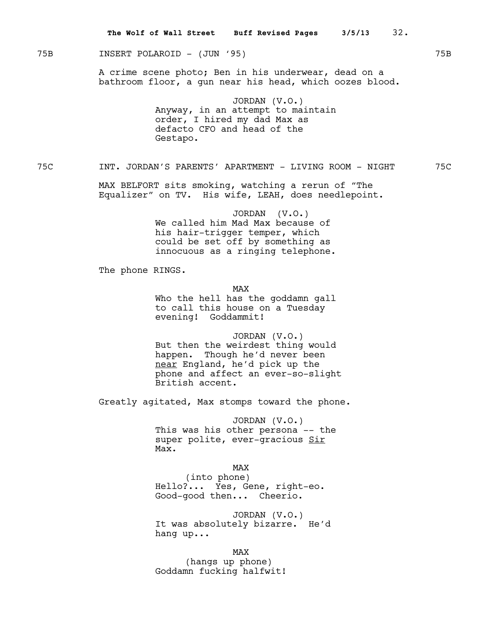# 75B INSERT POLAROID - (JUN '95) 75B

A crime scene photo; Ben in his underwear, dead on a bathroom floor, a gun near his head, which oozes blood.

> JORDAN (V.O.) Anyway, in an attempt to maintain order, I hired my dad Max as defacto CFO and head of the Gestapo.

75C INT. JORDAN'S PARENTS' APARTMENT - LIVING ROOM - NIGHT 75C

MAX BELFORT sits smoking, watching a rerun of "The Equalizer" on TV. His wife, LEAH, does needlepoint.

> JORDAN (V.O.) We called him Mad Max because of his hair-trigger temper, which could be set off by something as innocuous as a ringing telephone.

The phone RINGS.

MAX

Who the hell has the goddamn gall to call this house on a Tuesday evening! Goddammit!

JORDAN (V.O.) But then the weirdest thing would happen. Though he'd never been near England, he'd pick up the phone and affect an ever-so-slight British accent.

Greatly agitated, Max stomps toward the phone.

JORDAN (V.O.) This was his other persona -- the super polite, ever-gracious Sir Max.

MAX

(into phone) Hello?... Yes, Gene, right-eo. Good-good then... Cheerio.

JORDAN (V.O.) It was absolutely bizarre. He'd hang up...

MAX

(hangs up phone) Goddamn fucking halfwit!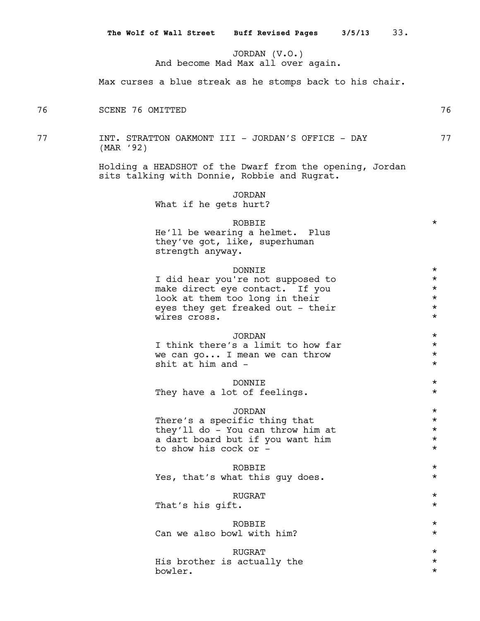JORDAN (V.O.) And become Mad Max all over again.

Max curses a blue streak as he stomps back to his chair.

76 SCENE 76 OMITTED 76

77 1NT. STRATTON OAKMONT III - JORDAN'S OFFICE - DAY 77 (MAR '92)

> Holding a HEADSHOT of the Dwarf from the opening, Jordan sits talking with Donnie, Robbie and Rugrat.

> > JORDAN

What if he gets hurt?

## $\begin{picture}(180,10) \put(0,0){\vector(1,0){10}} \put(10,0){\vector(1,0){10}} \put(10,0){\vector(1,0){10}} \put(10,0){\vector(1,0){10}} \put(10,0){\vector(1,0){10}} \put(10,0){\vector(1,0){10}} \put(10,0){\vector(1,0){10}} \put(10,0){\vector(1,0){10}} \put(10,0){\vector(1,0){10}} \put(10,0){\vector(1,0){10}} \put(10,0){\vector(1,0){10}} \put(10,0){\vector($

He'll be wearing a helmet. Plus they've got, like, superhuman strength anyway.

| DONNTE.                           | $\star$ |
|-----------------------------------|---------|
| I did hear you're not supposed to | $\star$ |
| make direct eye contact. If you   | $\star$ |
| look at them too long in their    | $\star$ |
| eyes they get freaked out - their | $\star$ |
| wires cross.                      | $\star$ |
|                                   |         |

# JORDAN \*<br>salimit to how far \* \* I think there's a limit to how far we can  $q \circ \ldots$  I mean we can throw  $*$ shit at him and  $-$

DONNIE \* They have a lot of feelings.

# JORDAN \*

There's a specific thing that  $*$ <br>they'll do - You can throw him at  $*$ they'll do - You can throw him at  $*$ <br>a dart board but if you want him  $*$ a dart board but if you want him  $*$ <br>to show his gook or to show his cock or -

# ROBBIE \*

Yes, that's what this guy does.  $*$ 

# $\begin{picture}(180,10) \put(0,0){\vector(1,0){10}} \put(10,0){\vector(1,0){10}} \put(10,0){\vector(1,0){10}} \put(10,0){\vector(1,0){10}} \put(10,0){\vector(1,0){10}} \put(10,0){\vector(1,0){10}} \put(10,0){\vector(1,0){10}} \put(10,0){\vector(1,0){10}} \put(10,0){\vector(1,0){10}} \put(10,0){\vector(1,0){10}} \put(10,0){\vector(1,0){10}} \put(10,0){\vector($

That's his gift.  $\star$ 

# ROBBIE \*

- Can we also bowl with him?  $*$
- $\begin{picture}(180,190) \put(0,0){\vector(1,0){100}} \put(150,0){\vector(1,0){100}} \put(150,0){\vector(1,0){100}} \put(150,0){\vector(1,0){100}} \put(150,0){\vector(1,0){100}} \put(150,0){\vector(1,0){100}} \put(150,0){\vector(1,0){100}} \put(150,0){\vector(1,0){100}} \put(150,0){\vector(1,0){100}} \put(150,0){\vector(1,0){100}} \put(150,0){$ His brother is actually the  $*$

bowler. \*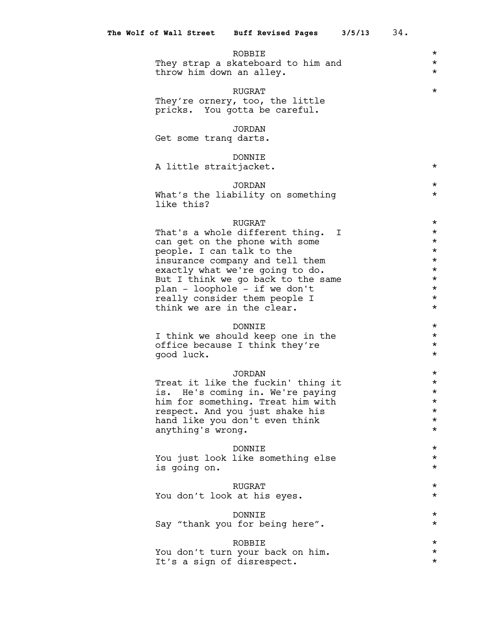ROBBIE  $\qquad$  \* They strap a skateboard to him and  $*$ throw him down an alley.  $*$ 

#### $\begin{picture}(180,10) \put(0,0){\vector(1,0){10}} \put(10,0){\vector(1,0){10}} \put(10,0){\vector(1,0){10}} \put(10,0){\vector(1,0){10}} \put(10,0){\vector(1,0){10}} \put(10,0){\vector(1,0){10}} \put(10,0){\vector(1,0){10}} \put(10,0){\vector(1,0){10}} \put(10,0){\vector(1,0){10}} \put(10,0){\vector(1,0){10}} \put(10,0){\vector(1,0){10}} \put(10,0){\vector($

They're ornery, too, the little pricks. You gotta be careful.

# JORDAN

Get some tranq darts.

# DONNIE

A little straitjacket.  $*$ 

# JORDAN \*

What's the liability on something  $*$ like this?

RUGRAT \* That's a whole different thing.  $I^*$   $\longrightarrow$   $\longrightarrow$   $\longrightarrow$   $\longrightarrow$   $\longrightarrow$ can get on the phone with some people. I can talk to the  $*$ insurance company and tell them  $*$ exactly what we're going to do.  $*$ But I think we go back to the same  $*$ <br>plan - loophole - if we don't plan - loophole - if we don't<br>really consider them people T really consider them people I  $*$ <br>think we are in the clear. think we are in the clear.

DONNIE \* I think we should keep one in the  $*$ <br>office because I think they're  $*$ office because I think they're \* good luck. \*

#### JORDAN \*

Treat it like the fuckin' thing it  $*$ <br>is. He's coming in. We're paying  $*$ is. He's coming in. We're paying<br>him for something. Treat him with  $\star$ him for something. Treat him with  $*$ <br>respect. And you just shake his respect. And you just shake his \* hand like you don't even think  $*$ <br>anything's wrong anything's wrong. \*

### DONNIE \*

You just look like something else \* is going on. \*

 $\begin{array}{ccc}\n\text{RUGRAT} & & & \star \\
\text{s at his eyes.} & & & \star\n\end{array}$ You don't look at his eyes.

## DONNIE \*

Say "thank you for being here".

ROBBIE  $\star$ <br>wour back on him.  $\star$ You don't turn your back on him.<br>Tt's a sign of disrespect. It's a sign of disrespect.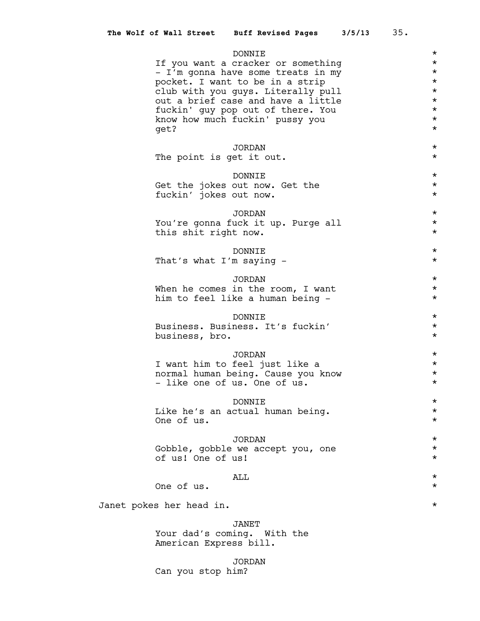|                                                       | DONNIE                                                                | $\star$              |
|-------------------------------------------------------|-----------------------------------------------------------------------|----------------------|
|                                                       | If you want a cracker or something                                    | $\star$<br>$\star$   |
|                                                       | - I'm gonna have some treats in my<br>pocket. I want to be in a strip | $\star$              |
|                                                       | club with you guys. Literally pull                                    | $\star$              |
|                                                       | out a brief case and have a little                                    | $\star$              |
|                                                       | fuckin' guy pop out of there. You                                     | $\star$<br>$\star$   |
| get?                                                  | know how much fuckin' pussy you                                       | $\star$              |
|                                                       |                                                                       |                      |
|                                                       | <b>JORDAN</b>                                                         | $\star$              |
| The point is get it out.                              |                                                                       | $\star$              |
|                                                       | DONNIE                                                                | $\star$              |
|                                                       | Get the jokes out now. Get the                                        | $\star$              |
| fuckin' jokes out now.                                |                                                                       | $\star$              |
|                                                       | <b>JORDAN</b>                                                         | $\star$              |
|                                                       | You're gonna fuck it up. Purge all                                    | $\star$              |
| this shit right now.                                  |                                                                       | $\star$              |
|                                                       | DONNIE                                                                | $\star$              |
| That's what I'm saying -                              |                                                                       | $\star$              |
|                                                       |                                                                       |                      |
|                                                       | JORDAN                                                                | $\star$              |
|                                                       | When he comes in the room, I want<br>him to feel like a human being - | $\star$<br>$\star$   |
|                                                       |                                                                       |                      |
|                                                       | DONNIE                                                                | $\star$              |
|                                                       | Business. Business. It's fuckin'                                      | $\star$<br>$\star$   |
| business, bro.                                        |                                                                       |                      |
|                                                       | JORDAN                                                                | $\star$              |
|                                                       | I want him to feel just like a                                        | $^\star$             |
| - like one of us. One of us.                          | normal human being. Cause you know                                    | $^\star$<br>$^\star$ |
|                                                       |                                                                       |                      |
|                                                       | DONNIE                                                                | $^\star$             |
|                                                       | Like he's an actual human being.                                      | $^\star$             |
| One of us.                                            |                                                                       | $^\star$             |
|                                                       | JORDAN                                                                | $\star$              |
|                                                       | Gobble, gobble we accept you, one                                     | $\star$              |
| of us! One of us!                                     |                                                                       | $^\star$             |
|                                                       | ALL                                                                   | $\star$              |
| One of us.                                            |                                                                       | $^\star$             |
|                                                       |                                                                       | $^\star$             |
| Janet pokes her head in.                              |                                                                       |                      |
|                                                       | <b>JANET</b>                                                          |                      |
| Your dad's coming. With the<br>American Express bill. |                                                                       |                      |

JORDAN Can you stop him?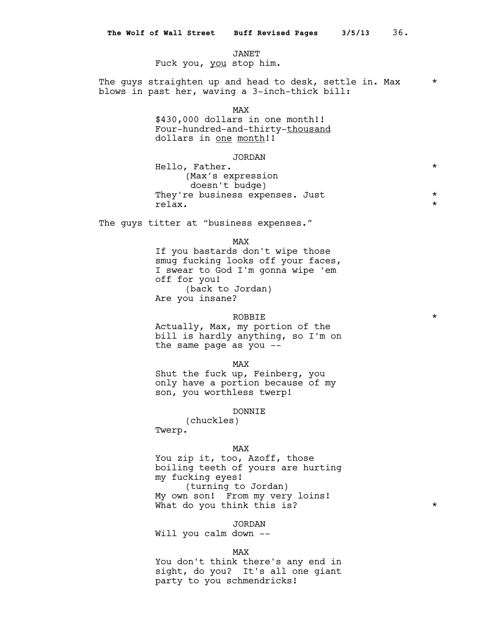JANET

Fuck you, you stop him.

The guys straighten up and head to desk, settle in. Max  $*$ blows in past her, waving a 3-inch-thick bill:

MAX

\$430,000 dollars in one month!! Four-hundred-and-thirty-thousand dollars in one month!!

# JORDAN

| Hello, Father.                  | $\star$ |
|---------------------------------|---------|
| (Max's expression               |         |
| doesn't budge)                  |         |
| They're business expenses. Just | $\star$ |
| relax.                          | $\star$ |

The guys titter at "business expenses."

MAX

If you bastards don't wipe those smug fucking looks off your faces, I swear to God I'm gonna wipe 'em off for you! (back to Jordan) Are you insane?

## $\begin{picture}(180,10) \put(0,0){\vector(1,0){10}} \put(10,0){\vector(1,0){10}} \put(10,0){\vector(1,0){10}} \put(10,0){\vector(1,0){10}} \put(10,0){\vector(1,0){10}} \put(10,0){\vector(1,0){10}} \put(10,0){\vector(1,0){10}} \put(10,0){\vector(1,0){10}} \put(10,0){\vector(1,0){10}} \put(10,0){\vector(1,0){10}} \put(10,0){\vector(1,0){10}} \put(10,0){\vector($

Actually, Max, my portion of the bill is hardly anything, so I'm on the same page as you --

## MAX

Shut the fuck up, Feinberg, you only have a portion because of my son, you worthless twerp!

## DONNIE

(chuckles) Twerp.

## MAX

You zip it, too, Azoff, those boiling teeth of yours are hurting my fucking eyes! (turning to Jordan) My own son! From my very loins! What do you think this is?  $*$ 

#### JORDAN

Will you calm down --

## MAX

You don't think there's any end in sight, do you? It's all one giant party to you schmendricks!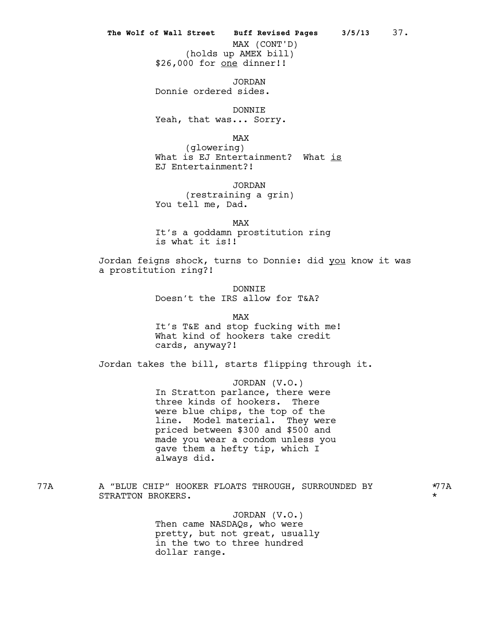# **The Wolf of Wall Street Buff Revised Pages 3/5/13** 37.

(holds up AMEX bill) \$26,000 for <u>one</u> dinner!! MAX (CONT'D)

JORDAN Donnie ordered sides.

DONNIE

Yeah, that was... Sorry.

MAX

(glowering) What is EJ Entertainment? What is EJ Entertainment?!

JORDAN (restraining a grin) You tell me, Dad.

MAX It's a goddamn prostitution ring is what it is!!

Jordan feigns shock, turns to Donnie: did you know it was a prostitution ring?!

> DONNIE Doesn't the IRS allow for T&A?

> > MAX

It's T&E and stop fucking with me! What kind of hookers take credit cards, anyway?!

Jordan takes the bill, starts flipping through it.

JORDAN (V.O.) In Stratton parlance, there were three kinds of hookers. There were blue chips, the top of the line. Model material. They were priced between \$300 and \$500 and made you wear a condom unless you gave them a hefty tip, which I always did.

77A A "BLUE CHIP" HOOKER FLOATS THROUGH, SURROUNDED BY \*77A STRATTON BROKERS.

JORDAN (V.O.) Then came NASDAQs, who were pretty, but not great, usually in the two to three hundred dollar range.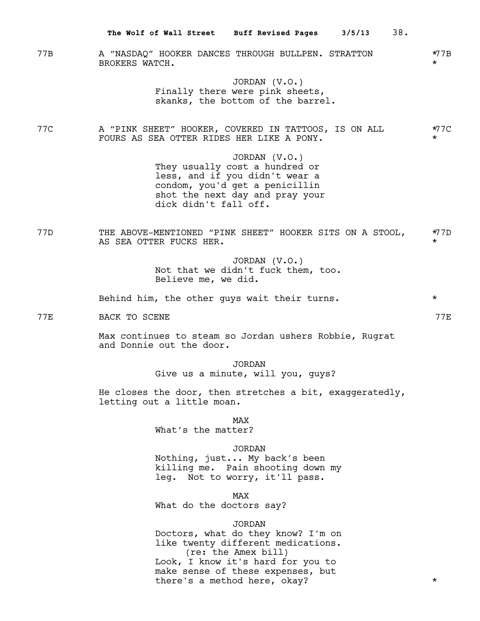|            | 38.<br>The Wolf of Wall Street Buff Revised Pages 3/5/13                                                                                                                                                                   |                       |
|------------|----------------------------------------------------------------------------------------------------------------------------------------------------------------------------------------------------------------------------|-----------------------|
| 77B        | A "NASDAQ" HOOKER DANCES THROUGH BULLPEN. STRATTON<br>BROKERS WATCH.                                                                                                                                                       | $\star$ 7B<br>$\star$ |
|            | JORDAN (V.O.)<br>Finally there were pink sheets,<br>skanks, the bottom of the barrel.                                                                                                                                      |                       |
| 77C        | A "PINK SHEET" HOOKER, COVERED IN TATTOOS, IS ON ALL<br>FOURS AS SEA OTTER RIDES HER LIKE A PONY.                                                                                                                          | *77C<br>$\star$       |
|            | JORDAN $(V.O.)$<br>They usually cost a hundred or<br>less, and if you didn't wear a<br>condom, you'd get a penicillin<br>shot the next day and pray your<br>dick didn't fall off.                                          |                       |
| 77D        | THE ABOVE-MENTIONED "PINK SHEET" HOOKER SITS ON A STOOL,<br>AS SEA OTTER FUCKS HER.                                                                                                                                        | $*77D$<br>$\star$     |
|            | JORDAN $(V.O.)$<br>Not that we didn't fuck them, too.<br>Believe me, we did.                                                                                                                                               |                       |
|            | Behind him, the other guys wait their turns.                                                                                                                                                                               | $\star$               |
| <b>77E</b> | BACK TO SCENE                                                                                                                                                                                                              | 77E                   |
|            | Max continues to steam so Jordan ushers Robbie, Rugrat<br>and Donnie out the door.                                                                                                                                         |                       |
|            | <b>JORDAN</b><br>Give us a minute, will you, guys?                                                                                                                                                                         |                       |
|            | He closes the door, then stretches a bit, exaggeratedly,<br>letting out a little moan.                                                                                                                                     |                       |
|            | <b>MAX</b><br>What's the matter?                                                                                                                                                                                           |                       |
|            | <b>JORDAN</b><br>Nothing, just My back's been<br>killing me. Pain shooting down my<br>leg. Not to worry, it'll pass.                                                                                                       |                       |
|            | <b>MAX</b><br>What do the doctors say?                                                                                                                                                                                     |                       |
|            | <b>JORDAN</b><br>Doctors, what do they know? I'm on<br>like twenty different medications.<br>(re: the Amex bill)<br>Look, I know it's hard for you to<br>make sense of these expenses, but<br>there's a method here, okay? | $^\star$              |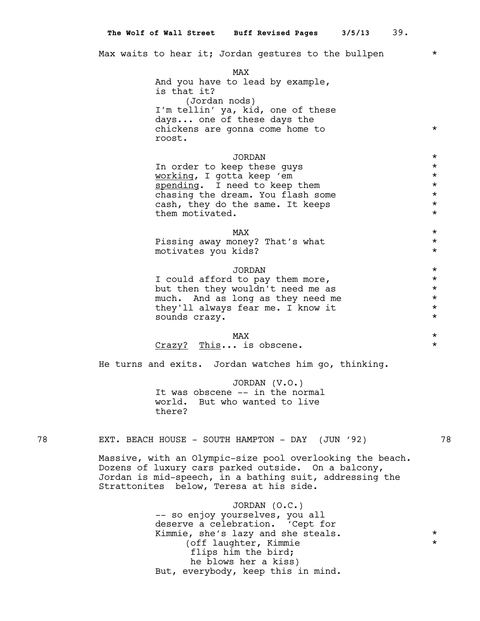Max waits to hear it; Jordan gestures to the bullpen  $*$ 

MAX And you have to lead by example, is that it? (Jordan nods) I'm tellin' ya, kid, one of these days... one of these days the chickens are gonna come home to  $*$ roost. JORDAN \* In order to keep these guys  $*$ working, I gotta keep 'em \* spending. I need to keep them chasing the dream. You flash some  $*$ <br>cash, they do the same. It keeps  $*$ cash, they do the same. It keeps \* them motivated.  $\star$  $\text{MAX}$ Pissing away money? That's what  $*$ motivates you kids? \* JORDAN \*

I could afford to pay them more,<br>but then they wouldn't need me as  $\star$ but then they wouldn't need me as  $\star$   $\star$  much. And as long as they need me much. And as long as they need me<br>they'll always fear me. I know it they'll always fear me. I know it \* sounds crazy.  $\star$ 

# $\text{MAX}$

Crazy? This... is obscene. \*

He turns and exits. Jordan watches him go, thinking.

JORDAN (V.O.) It was obscene -- in the normal world. But who wanted to live there?

# 78 EXT. BEACH HOUSE - SOUTH HAMPTON - DAY (JUN '92)

Massive, with an Olympic-size pool overlooking the beach. Dozens of luxury cars parked outside. On a balcony, Jordan is mid-speech, in a bathing suit, addressing the Strattonites below, Teresa at his side.

> JORDAN (O.C.) -- so enjoy yourselves, you all deserve a celebration. 'Cept for Kimmie, she's lazy and she steals. \* \* (off laughter, Kimmie \* flips him the bird; he blows her a kiss) But, everybody, keep this in mind.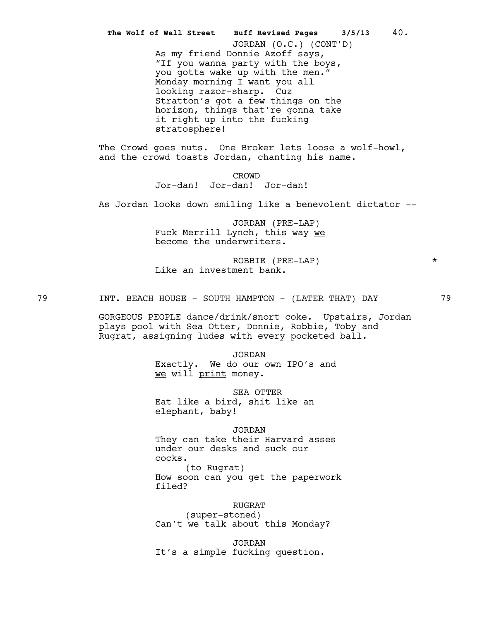As my friend Donnie Azoff says, "If you wanna party with the boys, you gotta wake up with the men." Monday morning I want you all looking razor-sharp. Cuz Stratton's got a few things on the horizon, things that're gonna take it right up into the fucking stratosphere! **The Wolf of Wall Street Buff Revised Pages 3/5/13** 40. JORDAN (O.C.) (CONT'D)

The Crowd goes nuts. One Broker lets loose a wolf-howl, and the crowd toasts Jordan, chanting his name.

> CROWD Jor-dan! Jor-dan! Jor-dan!

As Jordan looks down smiling like a benevolent dictator --

JORDAN (PRE-LAP) Fuck Merrill Lynch, this way we become the underwriters.

ROBBIE (PRE-LAP) \* Like an investment bank.

79 1NT. BEACH HOUSE - SOUTH HAMPTON - (LATER THAT) DAY 79

GORGEOUS PEOPLE dance/drink/snort coke. Upstairs, Jordan plays pool with Sea Otter, Donnie, Robbie, Toby and Rugrat, assigning ludes with every pocketed ball.

> JORDAN Exactly. We do our own IPO's and we will print money.

SEA OTTER Eat like a bird, shit like an elephant, baby!

JORDAN

They can take their Harvard asses under our desks and suck our cocks. (to Rugrat)

How soon can you get the paperwork filed?

RUGRAT

(super-stoned) Can't we talk about this Monday?

JORDAN It's a simple fucking question.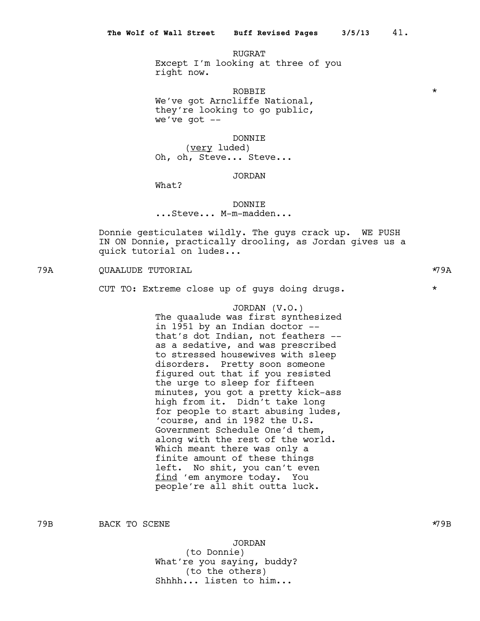RUGRAT Except I'm looking at three of you right now.

 $\begin{picture}(180,10) \put(0,0){\vector(1,0){10}} \put(10,0){\vector(1,0){10}} \put(10,0){\vector(1,0){10}} \put(10,0){\vector(1,0){10}} \put(10,0){\vector(1,0){10}} \put(10,0){\vector(1,0){10}} \put(10,0){\vector(1,0){10}} \put(10,0){\vector(1,0){10}} \put(10,0){\vector(1,0){10}} \put(10,0){\vector(1,0){10}} \put(10,0){\vector(1,0){10}} \put(10,0){\vector($ We've got Arncliffe National, they're looking to go public, we've got  $--$ 

DONNIE

(very luded) Oh, oh, Steve... Steve...

# JORDAN

What?

### DONNIE

...Steve... M-m-madden...

Donnie gesticulates wildly. The guys crack up. WE PUSH IN ON Donnie, practically drooling, as Jordan gives us a quick tutorial on ludes...

79A QUAALUDE TUTORIAL \*79A

CUT TO: Extreme close up of guys doing drugs. \*

JORDAN (V.O.) The quaalude was first synthesized in 1951 by an Indian doctor - that's dot Indian, not feathers - as a sedative, and was prescribed to stressed housewives with sleep disorders. Pretty soon someone figured out that if you resisted the urge to sleep for fifteen minutes, you got a pretty kick-ass high from it. Didn't take long for people to start abusing ludes, 'course, and in 1982 the U.S. Government Schedule One'd them, along with the rest of the world. Which meant there was only a finite amount of these things left. No shit, you can't even find 'em anymore today. You people're all shit outta luck.

79B BACK TO SCENE  $\star$ 79B  $\star$ 79B

JORDAN

(to Donnie) What're you saying, buddy? (to the others) Shhhh... listen to him...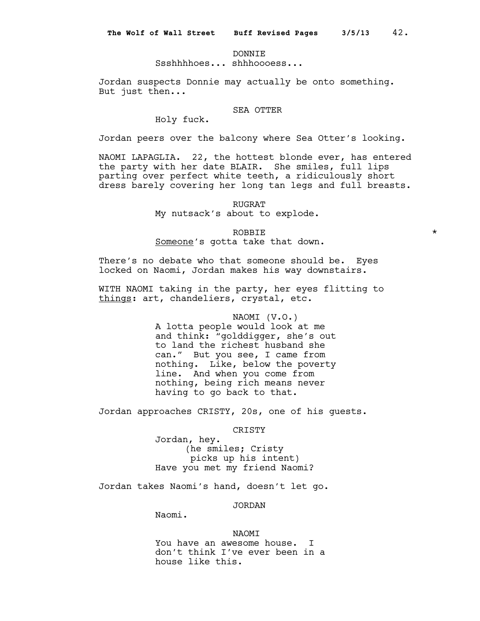## DONNIE

Ssshhhhoes... shhhoooess...

Jordan suspects Donnie may actually be onto something. But just then...

# SEA OTTER

Holy fuck.

Jordan peers over the balcony where Sea Otter's looking.

NAOMI LAPAGLIA. 22, the hottest blonde ever, has entered the party with her date BLAIR. She smiles, full lips parting over perfect white teeth, a ridiculously short dress barely covering her long tan legs and full breasts.

#### RUGRAT

My nutsack's about to explode.

 $\begin{picture}(180,10) \put(0,0){\vector(1,0){10}} \put(10,0){\vector(1,0){10}} \put(10,0){\vector(1,0){10}} \put(10,0){\vector(1,0){10}} \put(10,0){\vector(1,0){10}} \put(10,0){\vector(1,0){10}} \put(10,0){\vector(1,0){10}} \put(10,0){\vector(1,0){10}} \put(10,0){\vector(1,0){10}} \put(10,0){\vector(1,0){10}} \put(10,0){\vector(1,0){10}} \put(10,0){\vector($ Someone's gotta take that down.

There's no debate who that someone should be. Eyes locked on Naomi, Jordan makes his way downstairs.

WITH NAOMI taking in the party, her eyes flitting to things: art, chandeliers, crystal, etc.

> NAOMI (V.O.) A lotta people would look at me and think: "golddigger, she's out to land the richest husband she can." But you see, I came from nothing. Like, below the poverty line. And when you come from nothing, being rich means never having to go back to that.

Jordan approaches CRISTY, 20s, one of his guests.

CRISTY

Jordan, hey. (he smiles; Cristy picks up his intent) Have you met my friend Naomi?

Jordan takes Naomi's hand, doesn't let go.

JORDAN

Naomi.

# NAOMI

You have an awesome house. I don't think I've ever been in a house like this.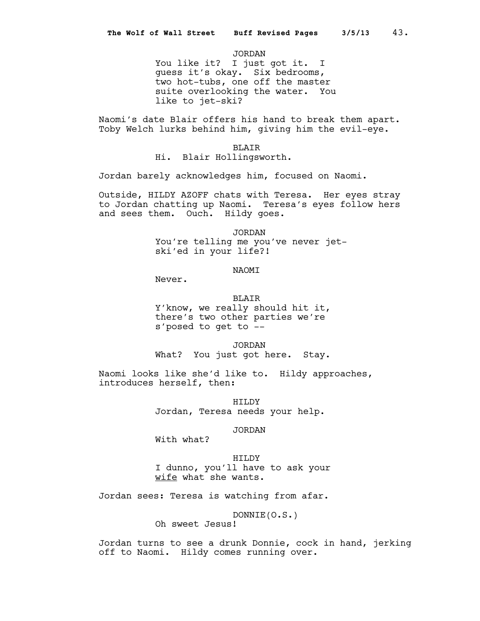JORDAN

You like it? I just got it. I guess it's okay. Six bedrooms, two hot-tubs, one off the master suite overlooking the water. You like to jet-ski?

Naomi's date Blair offers his hand to break them apart. Toby Welch lurks behind him, giving him the evil-eye.

BLAIR

Hi. Blair Hollingsworth.

Jordan barely acknowledges him, focused on Naomi.

Outside, HILDY AZOFF chats with Teresa. Her eyes stray to Jordan chatting up Naomi. Teresa's eyes follow hers and sees them. Ouch. Hildy goes.

JORDAN

You're telling me you've never jetski'ed in your life?!

**NAOMT** 

Never.

## BLAIR

Y'know, we really should hit it, there's two other parties we're s'posed to get to --

JORDAN What? You just got here. Stay.

Naomi looks like she'd like to. Hildy approaches, introduces herself, then:

> HILDY Jordan, Teresa needs your help.

## JORDAN

With what?

HILDY I dunno, you'll have to ask your wife what she wants.

Jordan sees: Teresa is watching from afar.

DONNIE(O.S.)

Oh sweet Jesus!

Jordan turns to see a drunk Donnie, cock in hand, jerking off to Naomi. Hildy comes running over.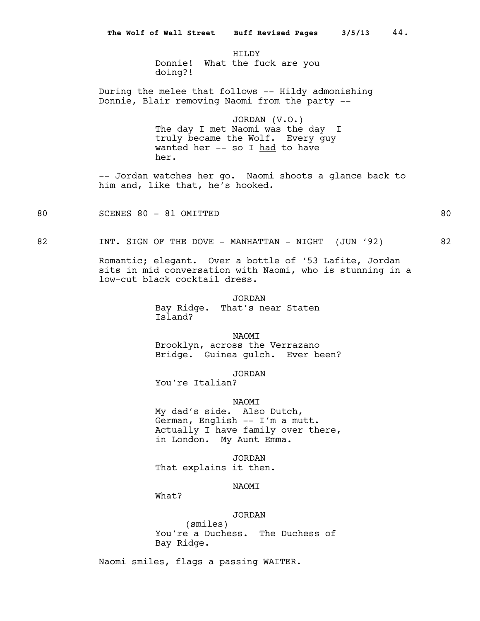HTT.DY Donnie! What the fuck are you doing?!

During the melee that follows -- Hildy admonishing Donnie, Blair removing Naomi from the party --

> JORDAN (V.O.) The day I met Naomi was the day I truly became the Wolf. Every guy wanted her -- so I had to have her.

-- Jordan watches her go. Naomi shoots a glance back to him and, like that, he's hooked.

80 SCENES 80 - 81 OMITTED 80 SOUTH AND RESERVE TO BE A SUMMER AND RESERVE TO BE A SUMMER AND RESERVE TO BE A SU

82 INT. SIGN OF THE DOVE - MANHATTAN - NIGHT (JUN '92) 82

Romantic; elegant. Over a bottle of '53 Lafite, Jordan sits in mid conversation with Naomi, who is stunning in a low-cut black cocktail dress.

> JORDAN Bay Ridge. That's near Staten Island?

NAOMI Brooklyn, across the Verrazano Bridge. Guinea gulch. Ever been?

JORDAN

You're Italian?

NAOMI

My dad's side. Also Dutch, German, English -- I'm a mutt. Actually I have family over there, in London. My Aunt Emma.

JORDAN That explains it then.

# NAOMI

What?

## JORDAN

(smiles) You're a Duchess. The Duchess of Bay Ridge.

Naomi smiles, flags a passing WAITER.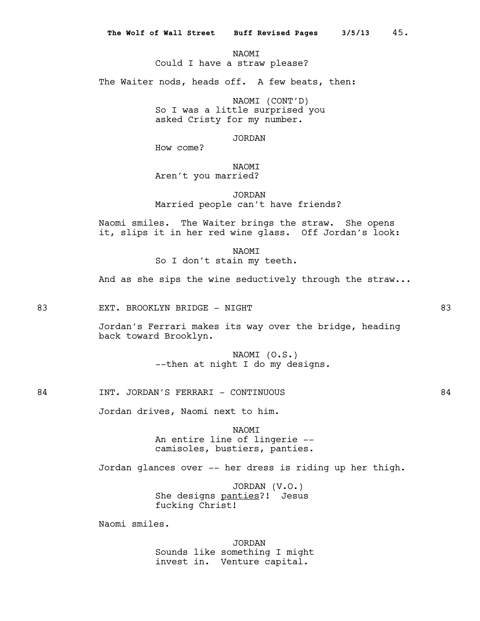**NAOMT** 

Could I have a straw please?

The Waiter nods, heads off. A few beats, then:

NAOMI (CONT'D) So I was a little surprised you asked Cristy for my number.

JORDAN

How come?

NAOMI Aren't you married?

JORDAN Married people can't have friends?

Naomi smiles. The Waiter brings the straw. She opens it, slips it in her red wine glass. Off Jordan's look:

> **NAOMT** So I don't stain my teeth.

And as she sips the wine seductively through the straw...

83 EXT. BROOKLYN BRIDGE - NIGHT BOOKLYN BROOKLYN BRIDGE - NIGHT

Jordan's Ferrari makes its way over the bridge, heading back toward Brooklyn.

> NAOMI (O.S.) --then at night I do my designs.

84 INT. JORDAN'S FERRARI - CONTINUOUS 64

Jordan drives, Naomi next to him.

NAOMI An entire line of lingerie - camisoles, bustiers, panties.

Jordan glances over -- her dress is riding up her thigh.

JORDAN (V.O.) She designs panties?! Jesus fucking Christ!

Naomi smiles.

JORDAN Sounds like something I might invest in. Venture capital.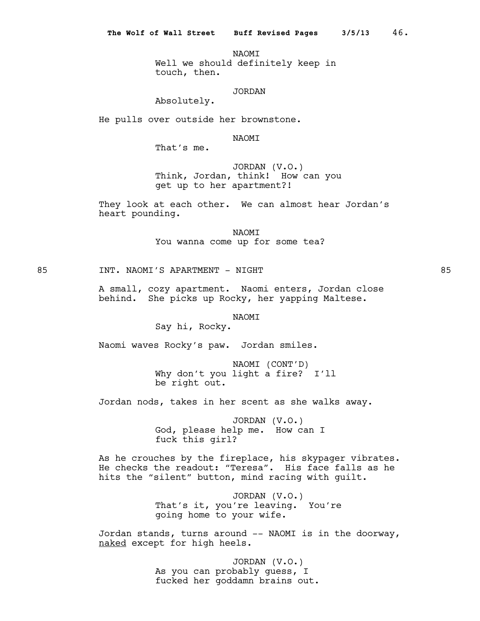**NAOMT** Well we should definitely keep in touch, then.

# JORDAN

Absolutely.

He pulls over outside her brownstone.

NAOMI

That's me.

JORDAN (V.O.) Think, Jordan, think! How can you get up to her apartment?!

They look at each other. We can almost hear Jordan's heart pounding.

> NAOMI You wanna come up for some tea?

85 INT. NAOMI'S APARTMENT - NIGHT 85

A small, cozy apartment. Naomi enters, Jordan close behind. She picks up Rocky, her yapping Maltese.

**NAOMT** 

Say hi, Rocky.

Naomi waves Rocky's paw. Jordan smiles.

NAOMI (CONT'D) Why don't you light a fire? I'll be right out.

Jordan nods, takes in her scent as she walks away.

JORDAN (V.O.) God, please help me. How can I fuck this girl?

As he crouches by the fireplace, his skypager vibrates. He checks the readout: "Teresa". His face falls as he hits the "silent" button, mind racing with guilt.

> JORDAN (V.O.) That's it, you're leaving. You're going home to your wife.

Jordan stands, turns around -- NAOMI is in the doorway, naked except for high heels.

> JORDAN (V.O.) As you can probably guess, I fucked her goddamn brains out.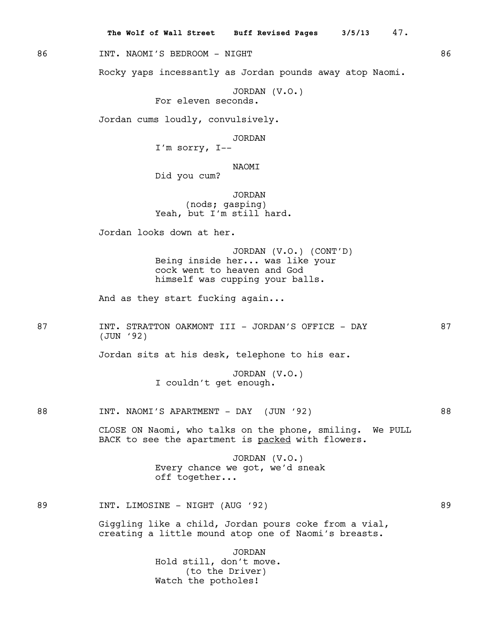**The Wolf of Wall Street Buff Revised Pages 3/5/13** 47.

86 INT. NAOMI'S BEDROOM - NIGHT 86

Rocky yaps incessantly as Jordan pounds away atop Naomi.

JORDAN (V.O.) For eleven seconds.

Jordan cums loudly, convulsively.

JORDAN

I'm sorry, I--

NAOMI

Did you cum?

JORDAN (nods; gasping) Yeah, but I'm still hard.

Jordan looks down at her.

JORDAN (V.O.) (CONT'D) Being inside her... was like your cock went to heaven and God himself was cupping your balls.

And as they start fucking again...

87 INT. STRATTON OAKMONT III - JORDAN'S OFFICE - DAY 87 (JUN '92)

Jordan sits at his desk, telephone to his ear.

JORDAN (V.O.) I couldn't get enough.

88 INT. NAOMI'S APARTMENT - DAY (JUN '92)

CLOSE ON Naomi, who talks on the phone, smiling. We PULL BACK to see the apartment is packed with flowers.

> JORDAN (V.O.) Every chance we got, we'd sneak off together...

89 INT. LIMOSINE - NIGHT (AUG '92) 89

Giggling like a child, Jordan pours coke from a vial, creating a little mound atop one of Naomi's breasts.

> JORDAN Hold still, don't move. (to the Driver) Watch the potholes!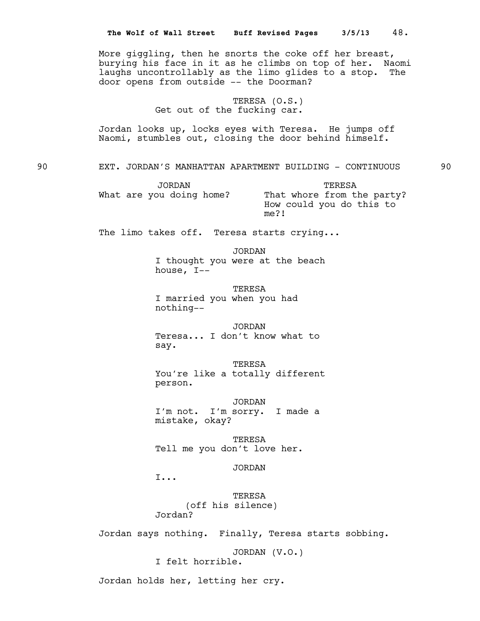|    | More giggling, then he snorts the coke off her breast,<br>burying his face in it as he climbs on top of her. Naomi<br>laughs uncontrollably as the limo glides to a stop. The<br>door opens from outside -- the Doorman? |    |
|----|--------------------------------------------------------------------------------------------------------------------------------------------------------------------------------------------------------------------------|----|
|    | TERESA (O.S.)<br>Get out of the fucking car.                                                                                                                                                                             |    |
|    | Jordan looks up, locks eyes with Teresa. He jumps off<br>Naomi, stumbles out, closing the door behind himself.                                                                                                           |    |
| 90 | EXT. JORDAN'S MANHATTAN APARTMENT BUILDING - CONTINUOUS                                                                                                                                                                  | 90 |
|    | <b>JORDAN</b><br>TERESA<br>What are you doing home?<br>That whore from the party?<br>How could you do this to<br>me?!                                                                                                    |    |
|    | The limo takes off. Teresa starts crying                                                                                                                                                                                 |    |
|    | <b>JORDAN</b><br>I thought you were at the beach<br>house, I--                                                                                                                                                           |    |
|    | TERESA<br>I married you when you had<br>nothing--                                                                                                                                                                        |    |
|    | <b>JORDAN</b><br>Teresa I don't know what to<br>say.                                                                                                                                                                     |    |
|    | TERESA<br>You're like a totally different<br>person.                                                                                                                                                                     |    |
|    | <b>JORDAN</b><br>I'm not. I'm sorry. I made a<br>mistake, okay?                                                                                                                                                          |    |
|    | TERESA<br>Tell me you don't love her.                                                                                                                                                                                    |    |
|    | <b>JORDAN</b><br>I                                                                                                                                                                                                       |    |
|    | TERESA<br>(off his silence)<br>Jordan?                                                                                                                                                                                   |    |
|    | Jordan says nothing. Finally, Teresa starts sobbing.                                                                                                                                                                     |    |
|    | JORDAN (V.O.)<br>I felt horrible.                                                                                                                                                                                        |    |
|    | Jordan holds her, letting her cry.                                                                                                                                                                                       |    |
|    |                                                                                                                                                                                                                          |    |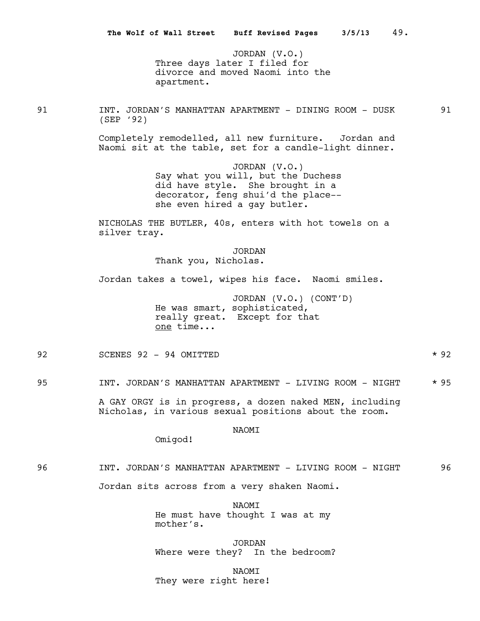JORDAN (V.O.) Three days later I filed for divorce and moved Naomi into the apartment.

91 INT. JORDAN'S MANHATTAN APARTMENT - DINING ROOM - DUSK 91 (SEP '92)

Completely remodelled, all new furniture. Jordan and Naomi sit at the table, set for a candle-light dinner.

> JORDAN (V.O.) Say what you will, but the Duchess did have style. She brought in a decorator, feng shui'd the place- she even hired a gay butler.

NICHOLAS THE BUTLER, 40s, enters with hot towels on a silver tray.

> JORDAN Thank you, Nicholas.

Jordan takes a towel, wipes his face. Naomi smiles.

JORDAN (V.O.) (CONT'D) He was smart, sophisticated, really great. Except for that one time...

92 SCENES 92 - 94 OMITTED \* \* 92

95 INT. JORDAN'S MANHATTAN APARTMENT - LIVING ROOM - NIGHT \* 95

A GAY ORGY is in progress, a dozen naked MEN, including Nicholas, in various sexual positions about the room.

## NAOMI

Omigod!

96 INT. JORDAN'S MANHATTAN APARTMENT - LIVING ROOM - NIGHT 96

Jordan sits across from a very shaken Naomi.

NAOMI He must have thought I was at my mother's.

**JORDAN** Where were they? In the bedroom?

NAOMI They were right here!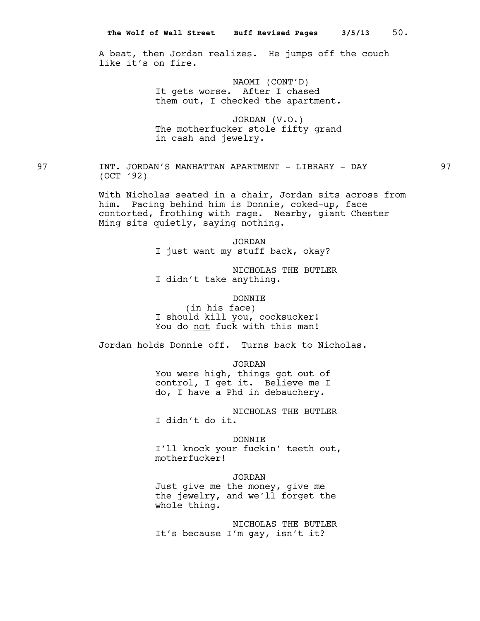A beat, then Jordan realizes. He jumps off the couch like it's on fire.

> NAOMI (CONT'D) It gets worse. After I chased them out, I checked the apartment.

> JORDAN (V.O.) The motherfucker stole fifty grand in cash and jewelry.

97 INT. JORDAN'S MANHATTAN APARTMENT - LIBRARY - DAY 97 (OCT '92)

> With Nicholas seated in a chair, Jordan sits across from him. Pacing behind him is Donnie, coked-up, face contorted, frothing with rage. Nearby, giant Chester Ming sits quietly, saying nothing.

> > JORDAN I just want my stuff back, okay?

NICHOLAS THE BUTLER I didn't take anything.

DONNIE (in his face) I should kill you, cocksucker! You do not fuck with this man!

Jordan holds Donnie off. Turns back to Nicholas.

JORDAN

You were high, things got out of control, I get it. Believe me I do, I have a Phd in debauchery.

NICHOLAS THE BUTLER I didn't do it.

DONNIE

I'll knock your fuckin' teeth out, motherfucker!

JORDAN

Just give me the money, give me the jewelry, and we'll forget the whole thing.

NICHOLAS THE BUTLER It's because I'm gay, isn't it?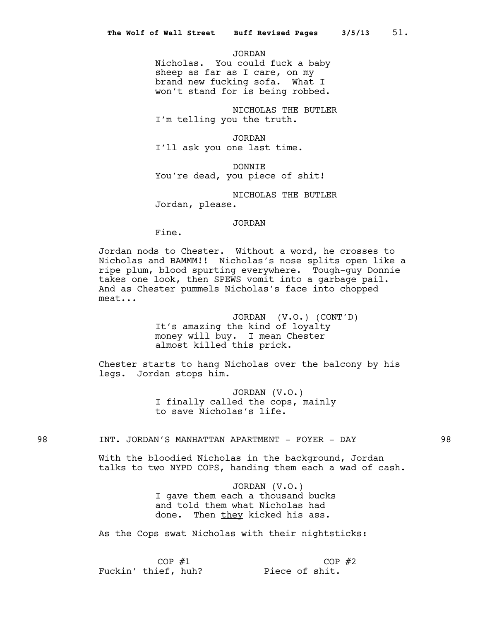JORDAN

Nicholas. You could fuck a baby sheep as far as I care, on my brand new fucking sofa. What I won't stand for is being robbed.

NICHOLAS THE BUTLER I'm telling you the truth.

JORDAN I'll ask you one last time.

DONNIE You're dead, you piece of shit!

NICHOLAS THE BUTLER Jordan, please.

#### JORDAN

Fine.

Jordan nods to Chester. Without a word, he crosses to Nicholas and BAMMM!! Nicholas's nose splits open like a ripe plum, blood spurting everywhere. Tough-guy Donnie takes one look, then SPEWS vomit into a garbage pail. And as Chester pummels Nicholas's face into chopped meat...

> JORDAN (V.O.) (CONT'D) It's amazing the kind of loyalty money will buy. I mean Chester almost killed this prick.

Chester starts to hang Nicholas over the balcony by his legs. Jordan stops him.

> JORDAN (V.O.) I finally called the cops, mainly to save Nicholas's life.

# 98 INT. JORDAN'S MANHATTAN APARTMENT - FOYER - DAY 98

With the bloodied Nicholas in the background, Jordan talks to two NYPD COPS, handing them each a wad of cash.

> JORDAN (V.O.) I gave them each a thousand bucks and told them what Nicholas had done. Then they kicked his ass.

As the Cops swat Nicholas with their nightsticks:

 $COP$  #1 Fuckin' thief, huh? Piece of shit.  $COP$  #2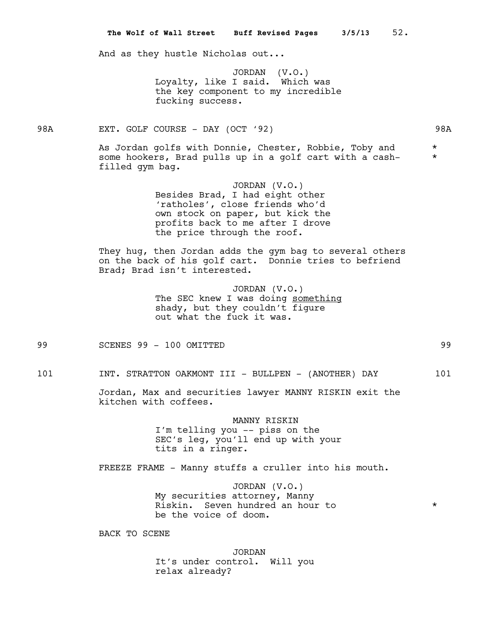And as they hustle Nicholas out...

JORDAN (V.O.) Loyalty, like I said. Which was the key component to my incredible fucking success.

98A EXT. GOLF COURSE - DAY (OCT '92) 98A

As Jordan golfs with Donnie, Chester, Robbie, Toby and  $*$ some hookers, Brad pulls up in a golf cart with a cashfilled gym bag.

> JORDAN (V.O.) Besides Brad, I had eight other 'ratholes', close friends who'd own stock on paper, but kick the profits back to me after I drove the price through the roof.

They hug, then Jordan adds the gym bag to several others on the back of his golf cart. Donnie tries to befriend Brad; Brad isn't interested.

> JORDAN (V.O.) The SEC knew I was doing something shady, but they couldn't figure out what the fuck it was.

99 SCENES 99 - 100 OMITTED 99

101 INT. STRATTON OAKMONT III - BULLPEN - (ANOTHER) DAY 101

Jordan, Max and securities lawyer MANNY RISKIN exit the kitchen with coffees.

> MANNY RISKIN I'm telling you -- piss on the SEC's leg, you'll end up with your tits in a ringer.

FREEZE FRAME - Manny stuffs a cruller into his mouth.

JORDAN (V.O.) My securities attorney, Manny Riskin. Seven hundred an hour to  $*$ be the voice of doom.

BACK TO SCENE

JORDAN It's under control. Will you relax already?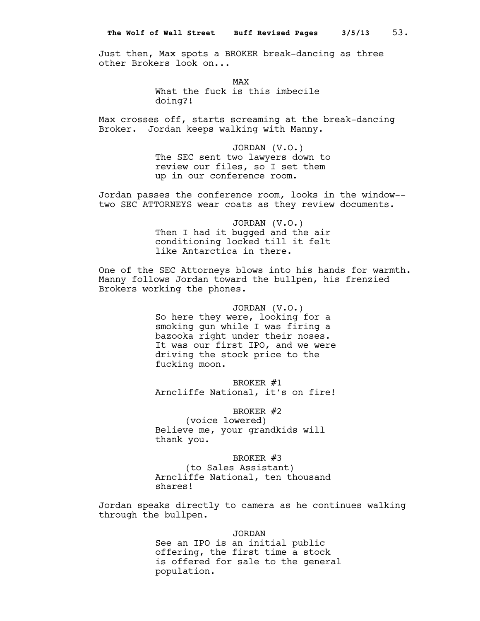Just then, Max spots a BROKER break-dancing as three other Brokers look on...

> MAX What the fuck is this imbecile

doing?!

Max crosses off, starts screaming at the break-dancing Broker. Jordan keeps walking with Manny.

> JORDAN (V.O.) The SEC sent two lawyers down to review our files, so I set them up in our conference room.

Jordan passes the conference room, looks in the window- two SEC ATTORNEYS wear coats as they review documents.

> JORDAN (V.O.) Then I had it bugged and the air conditioning locked till it felt like Antarctica in there.

One of the SEC Attorneys blows into his hands for warmth. Manny follows Jordan toward the bullpen, his frenzied Brokers working the phones.

> JORDAN (V.O.) So here they were, looking for a smoking gun while I was firing a bazooka right under their noses. It was our first IPO, and we were driving the stock price to the fucking moon.

> BROKER #1 Arncliffe National, it's on fire!

BROKER #2 (voice lowered) Believe me, your grandkids will thank you.

BROKER #3 (to Sales Assistant) Arncliffe National, ten thousand shares!

Jordan speaks directly to camera as he continues walking through the bullpen.

> JORDAN See an IPO is an initial public offering, the first time a stock is offered for sale to the general population.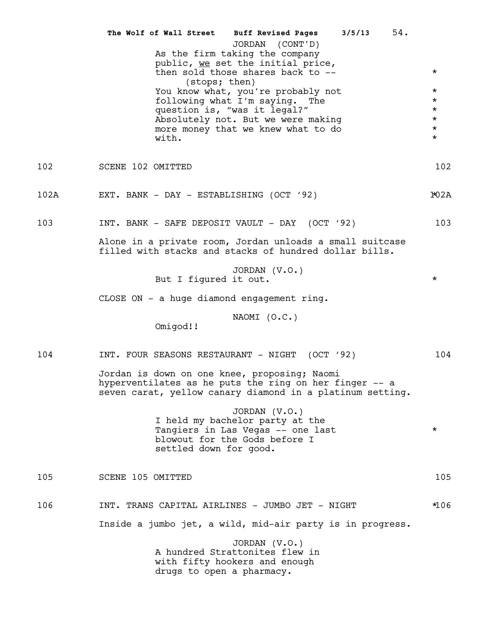|      | 54.<br>The Wolf of Wall Street Buff Revised Pages<br>3/5/13<br>JORDAN (CONT'D)<br>As the firm taking the company<br>public, we set the initial price,<br>then sold those shares back to --<br>(stops; then)<br>You know what, you're probably not<br>following what I'm saying. The<br>question is, "was it legal?"<br>Absolutely not. But we were making<br>more money that we knew what to do<br>with. | $\star$<br>$\star$<br>$\star$<br>$\star$<br>$\star$<br>$\star$<br>$\star$ |
|------|----------------------------------------------------------------------------------------------------------------------------------------------------------------------------------------------------------------------------------------------------------------------------------------------------------------------------------------------------------------------------------------------------------|---------------------------------------------------------------------------|
| 102  | SCENE 102 OMITTED                                                                                                                                                                                                                                                                                                                                                                                        | 102                                                                       |
| 102A | EXT. BANK - DAY - ESTABLISHING (OCT '92)                                                                                                                                                                                                                                                                                                                                                                 | 102A                                                                      |
| 103  | INT. BANK - SAFE DEPOSIT VAULT - DAY (OCT '92)<br>Alone in a private room, Jordan unloads a small suitcase<br>filled with stacks and stacks of hundred dollar bills.                                                                                                                                                                                                                                     | 103                                                                       |
|      | JORDAN (V.O.)<br>But I figured it out.<br>CLOSE ON - a huge diamond engagement ring.<br>NAOMI (O.C.)<br>Omigod!!                                                                                                                                                                                                                                                                                         | $\star$                                                                   |
| 104  | INT. FOUR SEASONS RESTAURANT - NIGHT (OCT '92)<br>Jordan is down on one knee, proposing; Naomi<br>hyperventilates as he puts the ring on her finger -- a<br>seven carat, yellow canary diamond in a platinum setting.<br>JORDAN (V.O.)<br>I held my bachelor party at the<br>Tangiers in Las Vegas -- one last<br>blowout for the Gods before I<br>settled down for good.                                | 104<br>$\star$                                                            |
| 105  | SCENE 105 OMITTED                                                                                                                                                                                                                                                                                                                                                                                        | 105                                                                       |
| 106  | INT. TRANS CAPITAL AIRLINES - JUMBO JET - NIGHT<br>Inside a jumbo jet, a wild, mid-air party is in progress.<br>JORDAN (V.O.)<br>A hundred Strattonites flew in<br>with fifty hookers and enough<br>drugs to open a pharmacy.                                                                                                                                                                            | *106                                                                      |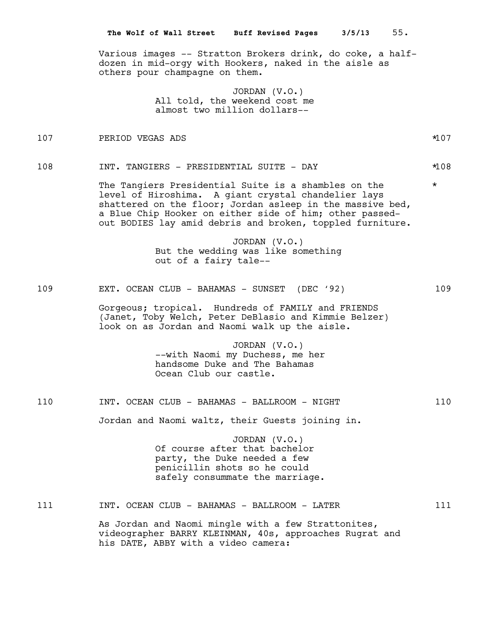Various images -- Stratton Brokers drink, do coke, a halfdozen in mid-orgy with Hookers, naked in the aisle as others pour champagne on them.

> JORDAN (V.O.) All told, the weekend cost me almost two million dollars--

107 PERIOD VEGAS ADS \*107

108 INT. TANGIERS - PRESIDENTIAL SUITE - DAY \*108

The Tangiers Presidential Suite is a shambles on the  $*$ level of Hiroshima. A giant crystal chandelier lays shattered on the floor; Jordan asleep in the massive bed, a Blue Chip Hooker on either side of him; other passedout BODIES lay amid debris and broken, toppled furniture.

> JORDAN (V.O.) But the wedding was like something out of a fairy tale--

109 EXT. OCEAN CLUB - BAHAMAS - SUNSET (DEC '92) 109

Gorgeous; tropical. Hundreds of FAMILY and FRIENDS (Janet, Toby Welch, Peter DeBlasio and Kimmie Belzer) look on as Jordan and Naomi walk up the aisle.

> JORDAN (V.O.) --with Naomi my Duchess, me her handsome Duke and The Bahamas Ocean Club our castle.

# 110 INT. OCEAN CLUB - BAHAMAS - BALLROOM - NIGHT 110

Jordan and Naomi waltz, their Guests joining in.

JORDAN (V.O.) Of course after that bachelor party, the Duke needed a few penicillin shots so he could safely consummate the marriage.

## 111 10T. OCEAN CLUB - BAHAMAS - BALLROOM - LATER 111

As Jordan and Naomi mingle with a few Strattonites, videographer BARRY KLEINMAN, 40s, approaches Rugrat and his DATE, ABBY with a video camera: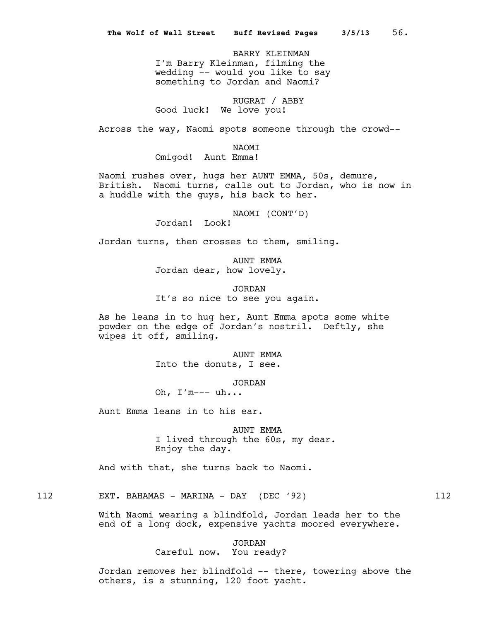BARRY KLEINMAN I'm Barry Kleinman, filming the wedding -- would you like to say something to Jordan and Naomi?

RUGRAT / ABBY Good luck! We love you!

Across the way, Naomi spots someone through the crowd--

NAOMI

Omigod! Aunt Emma!

Naomi rushes over, hugs her AUNT EMMA, 50s, demure, British. Naomi turns, calls out to Jordan, who is now in a huddle with the guys, his back to her.

NAOMI (CONT'D)

Jordan! Look!

Jordan turns, then crosses to them, smiling.

AUNT EMMA Jordan dear, how lovely.

JORDAN It's so nice to see you again.

As he leans in to hug her, Aunt Emma spots some white powder on the edge of Jordan's nostril. Deftly, she wipes it off, smiling.

> AUNT EMMA Into the donuts, I see.

> > JORDAN

Oh, I'm--- uh...

Aunt Emma leans in to his ear.

AUNT EMMA I lived through the 60s, my dear. Enjoy the day.

And with that, she turns back to Naomi.

112 EXT. BAHAMAS - MARINA - DAY (DEC '92) 112

With Naomi wearing a blindfold, Jordan leads her to the end of a long dock, expensive yachts moored everywhere.

> JORDAN Careful now. You ready?

Jordan removes her blindfold -- there, towering above the others, is a stunning, 120 foot yacht.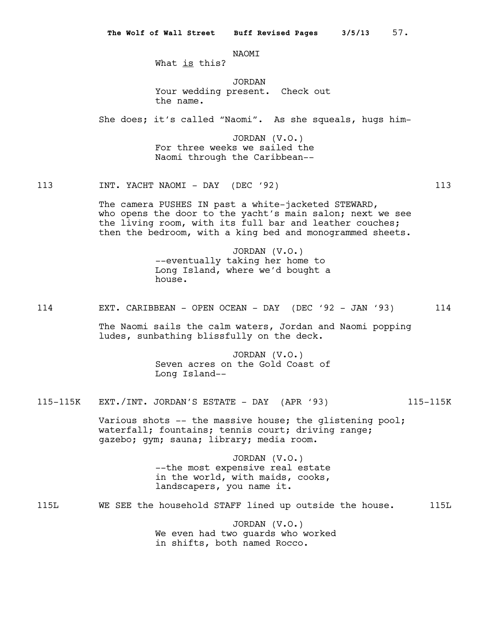NAOMI

What is this?

JORDAN Your wedding present. Check out the name.

She does; it's called "Naomi". As she squeals, hugs him-

JORDAN (V.O.) For three weeks we sailed the Naomi through the Caribbean--

113 INT. YACHT NAOMI - DAY (DEC '92) 113

The camera PUSHES IN past a white-jacketed STEWARD, who opens the door to the yacht's main salon; next we see the living room, with its full bar and leather couches; then the bedroom, with a king bed and monogrammed sheets.

> JORDAN (V.O.) --eventually taking her home to Long Island, where we'd bought a house.

114 EXT. CARIBBEAN - OPEN OCEAN - DAY (DEC '92 - JAN '93) 114

The Naomi sails the calm waters, Jordan and Naomi popping ludes, sunbathing blissfully on the deck.

> JORDAN (V.O.) Seven acres on the Gold Coast of Long Island--

115-115K EXT./INT. JORDAN'S ESTATE - DAY (APR '93) 115-115K

Various shots  $--$  the massive house; the glistening pool; waterfall; fountains; tennis court; driving range; gazebo; gym; sauna; library; media room.

> JORDAN (V.O.) --the most expensive real estate in the world, with maids, cooks, landscapers, you name it.

115L WE SEE the household STAFF lined up outside the house. 115L

JORDAN (V.O.) We even had two guards who worked in shifts, both named Rocco.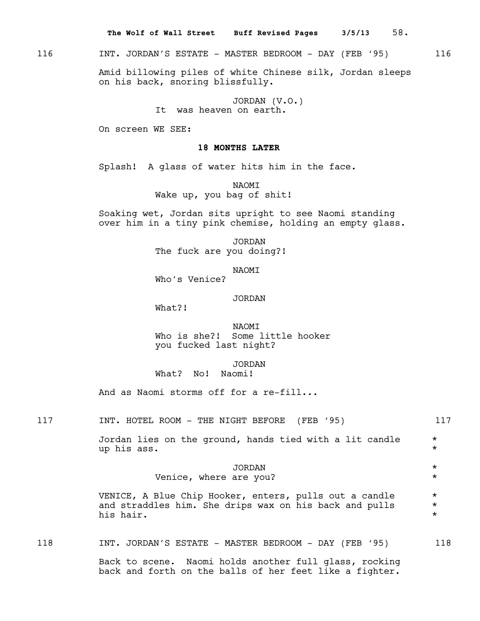**The Wolf of Wall Street Buff Revised Pages 3/5/13** 58.

116 INT. JORDAN'S ESTATE - MASTER BEDROOM - DAY (FEB '95) 116

Amid billowing piles of white Chinese silk, Jordan sleeps on his back, snoring blissfully.

> JORDAN (V.O.) It was heaven on earth.

On screen WE SEE:

# **18 MONTHS LATER**

Splash! A glass of water hits him in the face.

NAOMI Wake up, you bag of shit!

Soaking wet, Jordan sits upright to see Naomi standing over him in a tiny pink chemise, holding an empty glass.

> JORDAN The fuck are you doing?!

> > NAOMI

Who's Venice?

# JORDAN

What?!

NAOMI Who is she?! Some little hooker you fucked last night?

# JORDAN What? No! Naomi!

And as Naomi storms off for a re-fill...

117 INT. HOTEL ROOM - THE NIGHT BEFORE (FEB '95) 117

Jordan lies on the ground, hands tied with a lit candle \* up his ass.  $\star$ 

# JORDAN \*

Venice, where are you?

VENICE, A Blue Chip Hooker, enters, pulls out a candle  $*$ and straddles him. She drips wax on his back and pulls  $*$ <br>his bair. his hair.

118 INT. JORDAN'S ESTATE - MASTER BEDROOM - DAY (FEB '95) 118

Back to scene. Naomi holds another full glass, rocking back and forth on the balls of her feet like a fighter.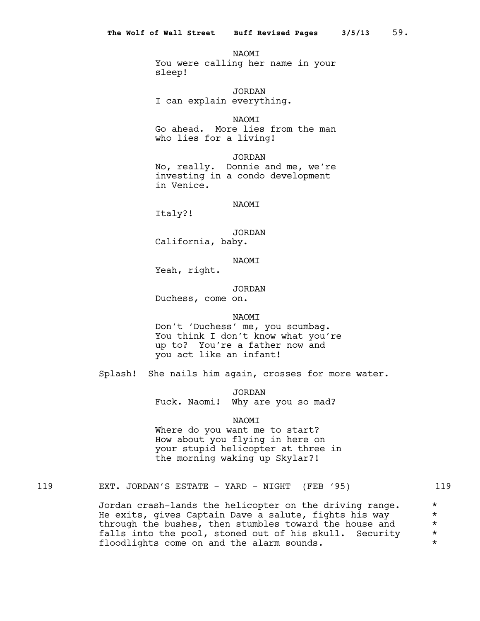**NAOMT** You were calling her name in your sleep!

JORDAN I can explain everything.

NAOMI Go ahead. More lies from the man who lies for a living!

JORDAN No, really. Donnie and me, we're investing in a condo development in Venice.

NAOMI

Italy?!

JORDAN California, baby.

NAOMI

Yeah, right.

JORDAN Duchess, come on.

**NAOMT** 

Don't 'Duchess' me, you scumbag. You think I don't know what you're up to? You're a father now and you act like an infant!

Splash! She nails him again, crosses for more water.

JORDAN Fuck. Naomi! Why are you so mad?

NAOMI

Where do you want me to start? How about you flying in here on your stupid helicopter at three in the morning waking up Skylar?!

119 EXT. JORDAN'S ESTATE - YARD - NIGHT (FEB '95) 119

Jordan crash-lands the helicopter on the driving range.  $*$ He exits, gives Captain Dave a salute, fights his way  $*$ through the bushes, then stumbles toward the house and  $*$  falls into the pool. stoned out of his skull. Security  $*$ falls into the pool, stoned out of his skull. Security \* floodlights come on and the alarm sounds.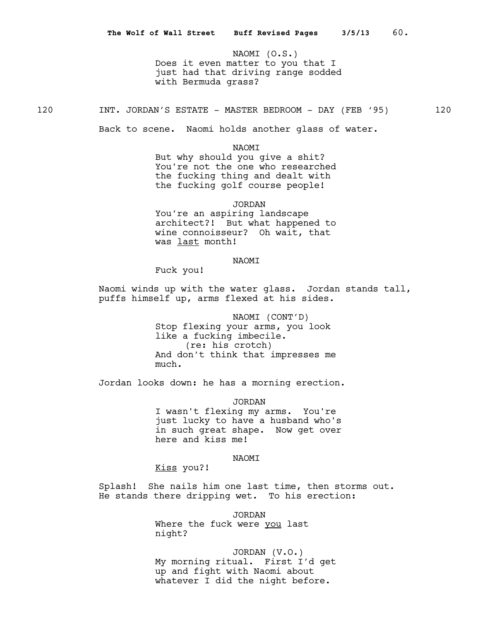NAOMI (O.S.) Does it even matter to you that I just had that driving range sodded with Bermuda grass?

120 INT. JORDAN'S ESTATE - MASTER BEDROOM - DAY (FEB '95) 120

Back to scene. Naomi holds another glass of water.

NAOMI

But why should you give a shit? You're not the one who researched the fucking thing and dealt with the fucking golf course people!

JORDAN

You're an aspiring landscape architect?! But what happened to wine connoisseur? Oh wait, that was last month!

## NAOMI

Fuck you!

Naomi winds up with the water glass. Jordan stands tall, puffs himself up, arms flexed at his sides.

> NAOMI (CONT'D) Stop flexing your arms, you look like a fucking imbecile. (re: his crotch) And don't think that impresses me much.

Jordan looks down: he has a morning erection.

JORDAN

I wasn't flexing my arms. You're just lucky to have a husband who's in such great shape. Now get over here and kiss me!

# NAOMI

Kiss you?!

Splash! She nails him one last time, then storms out. He stands there dripping wet. To his erection:

> JORDAN Where the fuck were you last night?

JORDAN (V.O.) My morning ritual. First I'd get up and fight with Naomi about whatever I did the night before.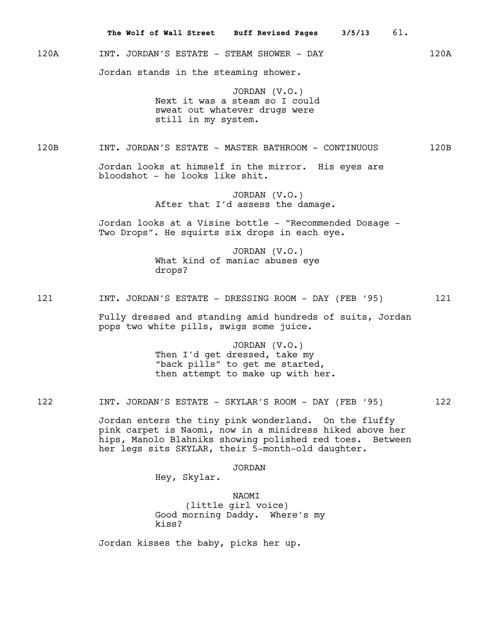120A INT. JORDAN'S ESTATE - STEAM SHOWER - DAY 120A Jordan stands in the steaming shower.

**The Wolf of Wall Street Buff Revised Pages 3/5/13** 61.

JORDAN (V.O.) Next it was a steam so I could sweat out whatever drugs were still in my system.

120B INT. JORDAN'S ESTATE - MASTER BATHROOM - CONTINUOUS 120B

Jordan looks at himself in the mirror. His eyes are bloodshot - he looks like shit.

> JORDAN (V.O.) After that I'd assess the damage.

Jordan looks at a Visine bottle - "Recommended Dosage - Two Drops". He squirts six drops in each eye.

> JORDAN (V.O.) What kind of maniac abuses eye drops?

121 INT. JORDAN'S ESTATE - DRESSING ROOM - DAY (FEB '95) 121

Fully dressed and standing amid hundreds of suits, Jordan pops two white pills, swigs some juice.

> JORDAN (V.O.) Then I'd get dressed, take my "back pills" to get me started, then attempt to make up with her.

122 INT. JORDAN'S ESTATE - SKYLAR'S ROOM - DAY (FEB '95) 122

Jordan enters the tiny pink wonderland. On the fluffy pink carpet is Naomi, now in a minidress hiked above her hips, Manolo Blahniks showing polished red toes. Between her legs sits SKYLAR, their 5-month-old daughter.

## JORDAN

Hey, Skylar.

NAOMI (little girl voice) Good morning Daddy. Where's my kiss?

Jordan kisses the baby, picks her up.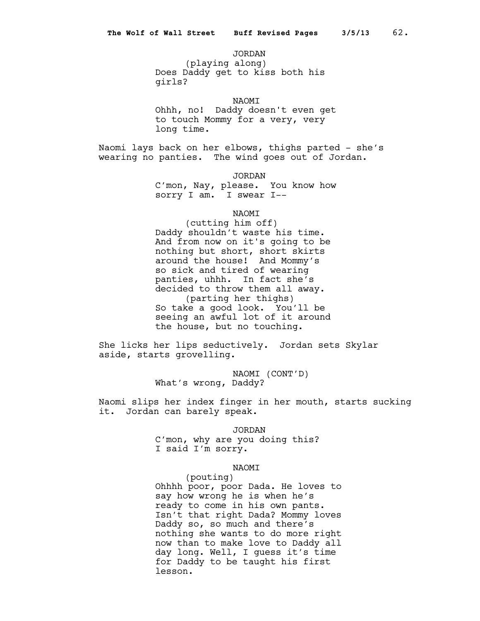JORDAN

(playing along) Does Daddy get to kiss both his girls?

NAOMI

Ohhh, no! Daddy doesn't even get to touch Mommy for a very, very long time.

Naomi lays back on her elbows, thighs parted - she's wearing no panties. The wind goes out of Jordan.

JORDAN

C'mon, Nay, please. You know how sorry I am. I swear I--

NAOMI

(cutting him off) Daddy shouldn't waste his time. And from now on it's going to be nothing but short, short skirts around the house! And Mommy's so sick and tired of wearing panties, uhhh. In fact she's decided to throw them all away. (parting her thighs) So take a good look. You'll be seeing an awful lot of it around the house, but no touching.

She licks her lips seductively. Jordan sets Skylar aside, starts grovelling.

> NAOMI (CONT'D) What's wrong, Daddy?

Naomi slips her index finger in her mouth, starts sucking it. Jordan can barely speak.

JORDAN

C'mon, why are you doing this? I said I'm sorry.

## NAOMI

(pouting) Ohhhh poor, poor Dada. He loves to say how wrong he is when he's ready to come in his own pants. Isn't that right Dada? Mommy loves Daddy so, so much and there's nothing she wants to do more right now than to make love to Daddy all day long. Well, I guess it's time for Daddy to be taught his first lesson.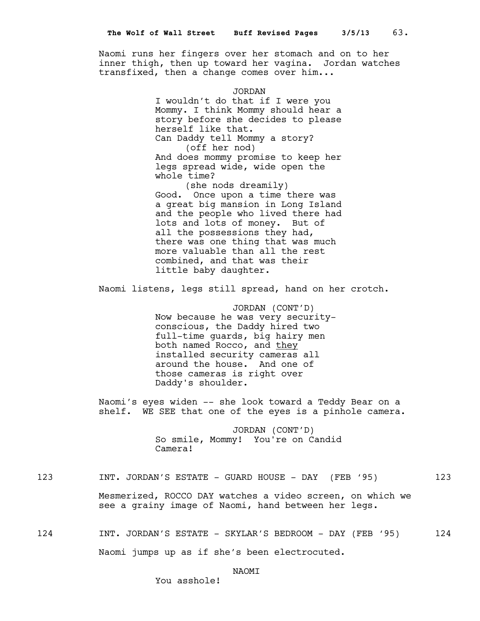Naomi runs her fingers over her stomach and on to her inner thigh, then up toward her vagina. Jordan watches transfixed, then a change comes over him...

> JORDAN I wouldn't do that if I were you Mommy. I think Mommy should hear a story before she decides to please herself like that. Can Daddy tell Mommy a story? (off her nod) And does mommy promise to keep her legs spread wide, wide open the whole time?

(she nods dreamily) Good. Once upon a time there was a great big mansion in Long Island and the people who lived there had lots and lots of money. But of all the possessions they had, there was one thing that was much more valuable than all the rest combined, and that was their little baby daughter.

Naomi listens, legs still spread, hand on her crotch.

JORDAN (CONT'D) Now because he was very securityconscious, the Daddy hired two full-time guards, big hairy men both named Rocco, and they installed security cameras all around the house. And one of those cameras is right over Daddy's shoulder.

Naomi's eyes widen -- she look toward a Teddy Bear on a shelf. WE SEE that one of the eyes is a pinhole camera.

> JORDAN (CONT'D) So smile, Mommy! You're on Candid Camera!

123 INT. JORDAN'S ESTATE - GUARD HOUSE - DAY (FEB '95) 123

Mesmerized, ROCCO DAY watches a video screen, on which we see a grainy image of Naomi, hand between her legs.

124 INT. JORDAN'S ESTATE - SKYLAR'S BEDROOM - DAY (FEB '95) 124 Naomi jumps up as if she's been electrocuted.

# **NAOMT**

You asshole!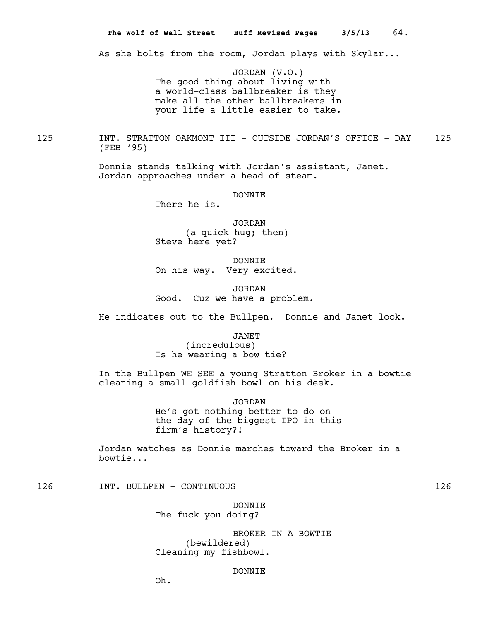As she bolts from the room, Jordan plays with Skylar...

JORDAN (V.O.) The good thing about living with a world-class ballbreaker is they make all the other ballbreakers in your life a little easier to take.

125 INT. STRATTON OAKMONT III - OUTSIDE JORDAN'S OFFICE - DAY 125 (FEB '95)

> Donnie stands talking with Jordan's assistant, Janet. Jordan approaches under a head of steam.

> > DONNIE

There he is.

JORDAN (a quick hug; then) Steve here yet?

DONNIE On his way. Very excited.

JORDAN Good. Cuz we have a problem.

He indicates out to the Bullpen. Donnie and Janet look.

JANET (incredulous)

Is he wearing a bow tie?

In the Bullpen WE SEE a young Stratton Broker in a bowtie cleaning a small goldfish bowl on his desk.

JORDAN

He's got nothing better to do on the day of the biggest IPO in this firm's history?!

Jordan watches as Donnie marches toward the Broker in a bowtie...

126 INT. BULLPEN - CONTINUOUS 126

DONNIE The fuck you doing?

BROKER IN A BOWTIE (bewildered) Cleaning my fishbowl.

# DONNIE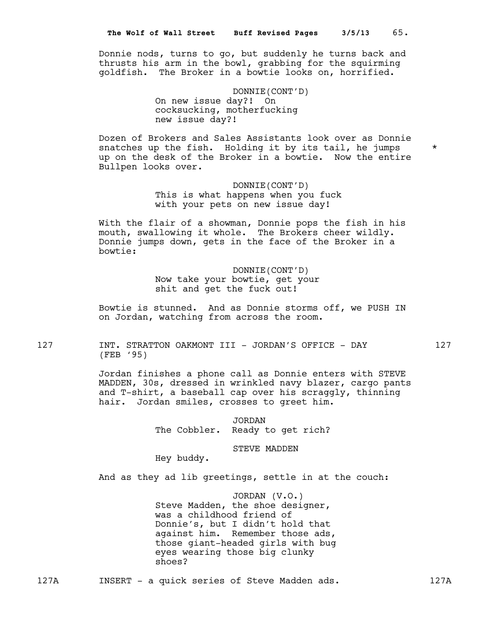Donnie nods, turns to go, but suddenly he turns back and thrusts his arm in the bowl, grabbing for the squirming goldfish. The Broker in a bowtie looks on, horrified.

> DONNIE(CONT'D) On new issue day?! On cocksucking, motherfucking new issue day?!

Dozen of Brokers and Sales Assistants look over as Donnie snatches up the fish. Holding it by its tail, he jumps  $*$ up on the desk of the Broker in a bowtie. Now the entire Bullpen looks over.

> DONNIE(CONT'D) This is what happens when you fuck with your pets on new issue day!

With the flair of a showman, Donnie pops the fish in his mouth, swallowing it whole. The Brokers cheer wildly. Donnie jumps down, gets in the face of the Broker in a bowtie:

> DONNIE(CONT'D) Now take your bowtie, get your shit and get the fuck out!

Bowtie is stunned. And as Donnie storms off, we PUSH IN on Jordan, watching from across the room.

127 INT. STRATTON OAKMONT III - JORDAN'S OFFICE - DAY 127 (FEB '95)

> Jordan finishes a phone call as Donnie enters with STEVE MADDEN, 30s, dressed in wrinkled navy blazer, cargo pants and T-shirt, a baseball cap over his scraggly, thinning hair. Jordan smiles, crosses to greet him.

> > JORDAN The Cobbler. Ready to get rich?

> > > STEVE MADDEN

Hey buddy.

And as they ad lib greetings, settle in at the couch:

JORDAN (V.O.) Steve Madden, the shoe designer, was a childhood friend of Donnie's, but I didn't hold that against him. Remember those ads, those giant-headed girls with bug eyes wearing those big clunky shoes?

127A INSERT - a quick series of Steve Madden ads. 127A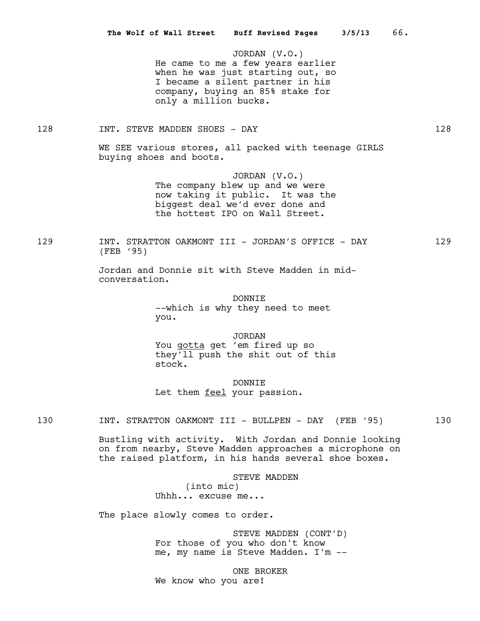JORDAN (V.O.) He came to me a few years earlier when he was just starting out, so I became a silent partner in his company, buying an 85% stake for only a million bucks.

# 128 INT. STEVE MADDEN SHOES - DAY 128

WE SEE various stores, all packed with teenage GIRLS buying shoes and boots.

> JORDAN (V.O.) The company blew up and we were now taking it public. It was the biggest deal we'd ever done and the hottest IPO on Wall Street.

129 INT. STRATTON OAKMONT III - JORDAN'S OFFICE - DAY 129 (FEB '95)

> Jordan and Donnie sit with Steve Madden in midconversation.

> > DONNIE --which is why they need to meet you.

JORDAN You gotta get 'em fired up so they'll push the shit out of this

DONNIE Let them feel your passion.

Bustling with activity. With Jordan and Donnie looking on from nearby, Steve Madden approaches a microphone on the raised platform, in his hands several shoe boxes.

> STEVE MADDEN (into mic) Uhhh... excuse me...

The place slowly comes to order.

stock.

STEVE MADDEN (CONT'D) For those of you who don't know me, my name is Steve Madden. I'm --

ONE BROKER We know who you are!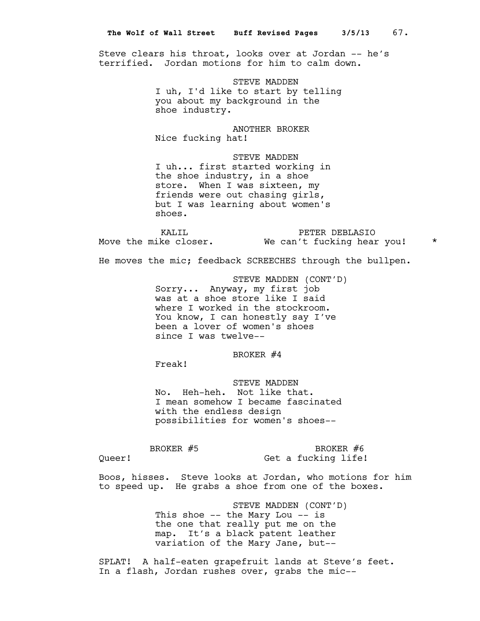Steve clears his throat, looks over at Jordan -- he's terrified. Jordan motions for him to calm down.

> STEVE MADDEN I uh, I'd like to start by telling you about my background in the shoe industry.

ANOTHER BROKER Nice fucking hat!

STEVE MADDEN I uh... first started working in the shoe industry, in a shoe store. When I was sixteen, my friends were out chasing girls, but I was learning about women's shoes.

Move the mike closer. We can't fucking hear you! \*

KALIL \* PETER DEBLASIO

He moves the mic; feedback SCREECHES through the bullpen.

STEVE MADDEN (CONT'D) Sorry... Anyway, my first job was at a shoe store like I said where I worked in the stockroom. You know, I can honestly say I've been a lover of women's shoes since I was twelve--

BROKER #4

Freak!

STEVE MADDEN No. Heh-heh. Not like that. I mean somehow I became fascinated with the endless design possibilities for women's shoes--

BROKER #5

Queer!

BROKER #6 Get a fucking life!

Boos, hisses. Steve looks at Jordan, who motions for him to speed up. He grabs a shoe from one of the boxes.

> STEVE MADDEN (CONT'D) This shoe -- the Mary Lou -- is the one that really put me on the map. It's a black patent leather variation of the Mary Jane, but--

SPLAT! A half-eaten grapefruit lands at Steve's feet. In a flash, Jordan rushes over, grabs the mic--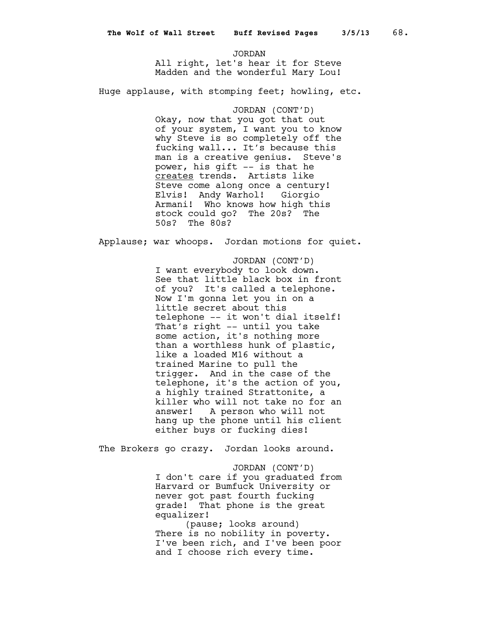JORDAN All right, let's hear it for Steve Madden and the wonderful Mary Lou!

Huge applause, with stomping feet; howling, etc.

JORDAN (CONT'D) Okay, now that you got that out of your system, I want you to know why Steve is so completely off the fucking wall... It's because this man is a creative genius. Steve's power, his gift -- is that he creates trends. Artists like Steve come along once a century! Elvis! Andy Warhol! Giorgio Armani! Who knows how high this stock could go? The 20s? The 50s? The 80s?

Applause; war whoops. Jordan motions for quiet.

JORDAN (CONT'D) I want everybody to look down. See that little black box in front of you? It's called a telephone. Now I'm gonna let you in on a little secret about this telephone -- it won't dial itself! That's right -- until you take some action, it's nothing more than a worthless hunk of plastic, like a loaded M16 without a trained Marine to pull the trigger. And in the case of the telephone, it's the action of you, a highly trained Strattonite, a killer who will not take no for an answer! A person who will not hang up the phone until his client either buys or fucking dies!

The Brokers go crazy. Jordan looks around.

JORDAN (CONT'D) I don't care if you graduated from Harvard or Bumfuck University or never got past fourth fucking grade! That phone is the great equalizer!

(pause; looks around) There is no nobility in poverty. I've been rich, and I've been poor and I choose rich every time.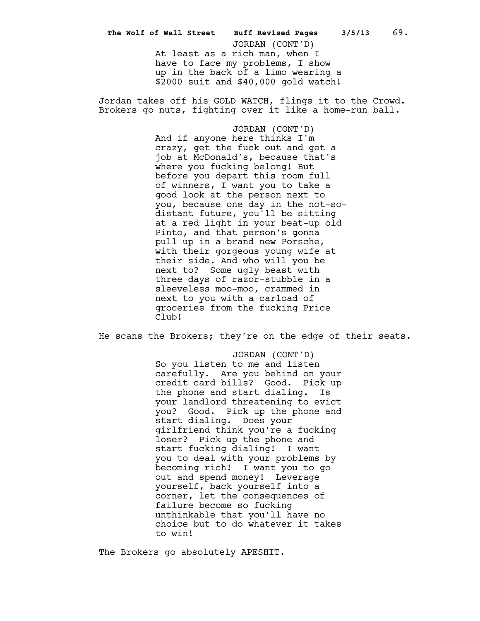At least as a rich man, when I have to face my problems, I show up in the back of a limo wearing a \$2000 suit and \$40,000 gold watch! **The Wolf of Wall Street Buff Revised Pages 3/5/13** 69. JORDAN (CONT'D)

Jordan takes off his GOLD WATCH, flings it to the Crowd. Brokers go nuts, fighting over it like a home-run ball.

> JORDAN (CONT'D) And if anyone here thinks I'm crazy, get the fuck out and get a job at McDonald's, because that's where you fucking belong! But before you depart this room full of winners, I want you to take a good look at the person next to you, because one day in the not-sodistant future, you'll be sitting at a red light in your beat-up old Pinto, and that person's gonna pull up in a brand new Porsche, with their gorgeous young wife at their side. And who will you be next to? Some ugly beast with three days of razor-stubble in a sleeveless moo-moo, crammed in next to you with a carload of groceries from the fucking Price Club!

He scans the Brokers; they're on the edge of their seats.

JORDAN (CONT'D) So you listen to me and listen carefully. Are you behind on your credit card bills? Good. Pick up the phone and start dialing. Is your landlord threatening to evict you? Good. Pick up the phone and start dialing. Does your girlfriend think you're a fucking loser? Pick up the phone and start fucking dialing! I want you to deal with your problems by becoming rich! I want you to go out and spend money! Leverage yourself, back yourself into a corner, let the consequences of failure become so fucking unthinkable that you'll have no choice but to do whatever it takes to win!

The Brokers go absolutely APESHIT.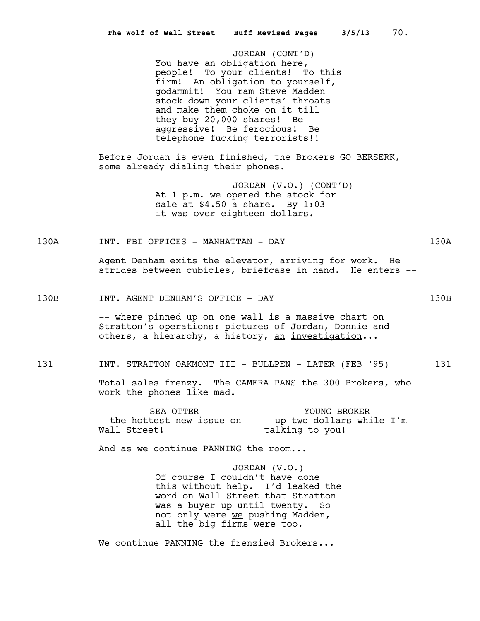JORDAN (CONT'D) You have an obligation here, people! To your clients! To this firm! An obligation to yourself, godammit! You ram Steve Madden stock down your clients' throats and make them choke on it till they buy 20,000 shares! Be aggressive! Be ferocious! Be telephone fucking terrorists!!

Before Jordan is even finished, the Brokers GO BERSERK, some already dialing their phones.

> JORDAN (V.O.) (CONT'D) At 1 p.m. we opened the stock for sale at \$4.50 a share. By 1:03 it was over eighteen dollars.

# 130A INT. FBI OFFICES - MANHATTAN - DAY 130A

Agent Denham exits the elevator, arriving for work. He strides between cubicles, briefcase in hand. He enters --

# 130B INT. AGENT DENHAM'S OFFICE - DAY 130B

-- where pinned up on one wall is a massive chart on Stratton's operations: pictures of Jordan, Donnie and others, a hierarchy, a history, an investigation...

# 131 INT. STRATTON OAKMONT III - BULLPEN - LATER (FEB '95) 131

Total sales frenzy. The CAMERA PANS the 300 Brokers, who work the phones like mad.

SEA OTTER TOUNG BROKER --the hottest new issue on --up two dollars while I'm Wall Street! talking to you!

And as we continue PANNING the room...

JORDAN (V.O.) Of course I couldn't have done this without help. I'd leaked the word on Wall Street that Stratton was a buyer up until twenty. So not only were we pushing Madden, all the big firms were too.

We continue PANNING the frenzied Brokers...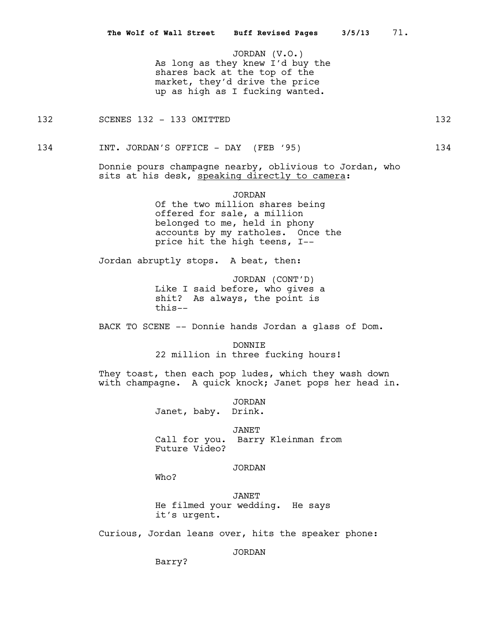JORDAN (V.O.) As long as they knew I'd buy the shares back at the top of the market, they'd drive the price up as high as I fucking wanted.

132 SCENES 132 - 133 OMITTED 132 132

134 INT. JORDAN'S OFFICE - DAY (FEB '95) 134

Donnie pours champagne nearby, oblivious to Jordan, who sits at his desk, speaking directly to camera:

> JORDAN Of the two million shares being offered for sale, a million belonged to me, held in phony accounts by my ratholes. Once the price hit the high teens, I--

Jordan abruptly stops. A beat, then:

JORDAN (CONT'D) Like I said before, who gives a shit? As always, the point is this--

BACK TO SCENE -- Donnie hands Jordan a glass of Dom.

DONNIE 22 million in three fucking hours!

They toast, then each pop ludes, which they wash down with champagne. A quick knock; Janet pops her head in.

> JORDAN Janet, baby. Drink.

JANET Call for you. Barry Kleinman from Future Video?

## JORDAN

Who?

JANET He filmed your wedding. He says it's urgent.

Curious, Jordan leans over, hits the speaker phone:

JORDAN

Barry?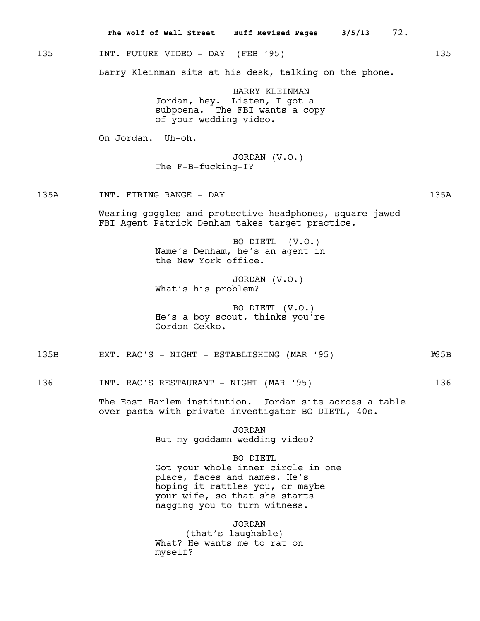|      | 72.<br>The Wolf of Wall Street Buff Revised Pages 3/5/13                                                                                                                           |       |
|------|------------------------------------------------------------------------------------------------------------------------------------------------------------------------------------|-------|
| 135  | INT. FUTURE VIDEO - DAY (FEB '95)                                                                                                                                                  | 135   |
|      | Barry Kleinman sits at his desk, talking on the phone.                                                                                                                             |       |
|      | <b>BARRY KLEINMAN</b><br>Jordan, hey. Listen, I got a<br>subpoena. The FBI wants a copy<br>of your wedding video.                                                                  |       |
|      | On Jordan. Uh-oh.                                                                                                                                                                  |       |
|      | JORDAN $(V.O.)$<br>The $F-B-fucking-I$ ?                                                                                                                                           |       |
| 135A | INT. FIRING RANGE - DAY                                                                                                                                                            | 135A  |
|      | Wearing goggles and protective headphones, square-jawed<br>FBI Agent Patrick Denham takes target practice.                                                                         |       |
|      | BO DIETL (V.O.)<br>Name's Denham, he's an agent in<br>the New York office.                                                                                                         |       |
|      | JORDAN $(V.O.)$<br>What's his problem?                                                                                                                                             |       |
|      | BO DIETL (V.O.)<br>He's a boy scout, thinks you're<br>Gordon Gekko.                                                                                                                |       |
| 135B | EXT. RAO'S - NIGHT - ESTABLISHING (MAR '95)                                                                                                                                        | 1*35B |
| 136  | INT. RAO'S RESTAURANT - NIGHT (MAR '95)                                                                                                                                            | 136   |
|      | The East Harlem institution. Jordan sits across a table<br>over pasta with private investigator BO DIETL, 40s.                                                                     |       |
|      | <b>JORDAN</b><br>But my goddamn wedding video?                                                                                                                                     |       |
|      | BO DIETL<br>Got your whole inner circle in one<br>place, faces and names. He's<br>hoping it rattles you, or maybe<br>your wife, so that she starts<br>nagging you to turn witness. |       |

JORDAN (that's laughable) What? He wants me to rat on myself?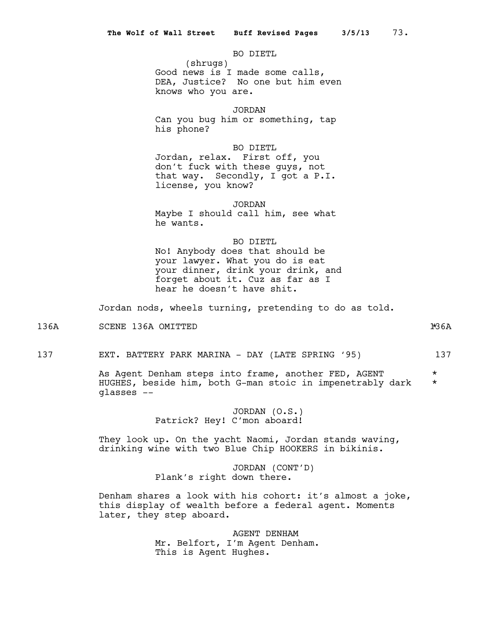BO DIETL

(shrugs) Good news is I made some calls, DEA, Justice? No one but him even knows who you are.

JORDAN

Can you bug him or something, tap his phone?

BO DIETL Jordan, relax. First off, you don't fuck with these guys, not that way. Secondly, I got a P.I. license, you know?

JORDAN

Maybe I should call him, see what he wants.

BO DIETL

No! Anybody does that should be your lawyer. What you do is eat your dinner, drink your drink, and forget about it. Cuz as far as I hear he doesn't have shit.

Jordan nods, wheels turning, pretending to do as told.

136A SCENE 136A OMITTED 136A \*

137 EXT. BATTERY PARK MARINA - DAY (LATE SPRING '95) 137

As Agent Denham steps into frame, another FED, AGENT \* HUGHES, beside him, both G-man stoic in impenetrably dark \* glasses --

> JORDAN (O.S.) Patrick? Hey! C'mon aboard!

They look up. On the yacht Naomi, Jordan stands waving, drinking wine with two Blue Chip HOOKERS in bikinis.

> JORDAN (CONT'D) Plank's right down there.

Denham shares a look with his cohort: it's almost a joke, this display of wealth before a federal agent. Moments later, they step aboard.

> AGENT DENHAM Mr. Belfort, I'm Agent Denham. This is Agent Hughes.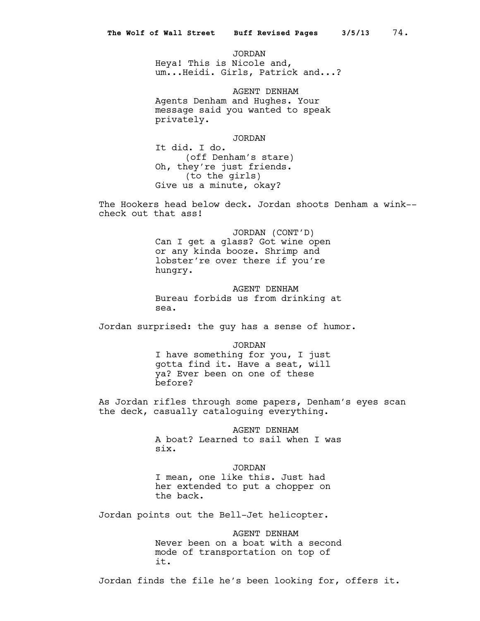JORDAN Heya! This is Nicole and, um...Heidi. Girls, Patrick and...?

AGENT DENHAM Agents Denham and Hughes. Your message said you wanted to speak privately.

JORDAN

It did. I do. (off Denham's stare) Oh, they're just friends. (to the girls) Give us a minute, okay?

The Hookers head below deck. Jordan shoots Denham a wink- check out that ass!

> JORDAN (CONT'D) Can I get a glass? Got wine open or any kinda booze. Shrimp and lobster're over there if you're hungry.

AGENT DENHAM Bureau forbids us from drinking at sea.

Jordan surprised: the guy has a sense of humor.

JORDAN I have something for you, I just gotta find it. Have a seat, will ya? Ever been on one of these before?

As Jordan rifles through some papers, Denham's eyes scan the deck, casually cataloguing everything.

> AGENT DENHAM A boat? Learned to sail when I was six.

JORDAN I mean, one like this. Just had her extended to put a chopper on the back.

Jordan points out the Bell-Jet helicopter.

AGENT DENHAM Never been on a boat with a second mode of transportation on top of it.

Jordan finds the file he's been looking for, offers it.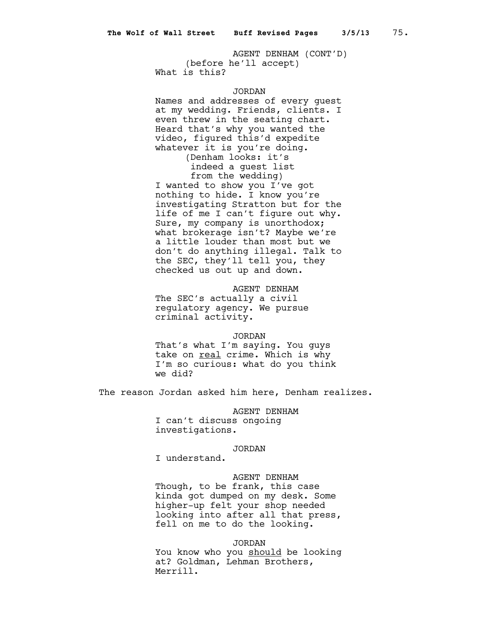AGENT DENHAM (CONT'D) (before he'll accept) What is this?

## JORDAN

Names and addresses of every guest at my wedding. Friends, clients. I even threw in the seating chart. Heard that's why you wanted the video, figured this'd expedite whatever it is you're doing. (Denham looks: it's indeed a guest list from the wedding) I wanted to show you I've got nothing to hide. I know you're investigating Stratton but for the life of me I can't figure out why. Sure, my company is unorthodox; what brokerage isn't? Maybe we're a little louder than most but we don't do anything illegal. Talk to the SEC, they'll tell you, they checked us out up and down.

AGENT DENHAM The SEC's actually a civil regulatory agency. We pursue criminal activity.

# JORDAN

That's what I'm saying. You guys take on real crime. Which is why I'm so curious: what do you think we did?

The reason Jordan asked him here, Denham realizes.

## AGENT DENHAM

I can't discuss ongoing investigations.

## JORDAN

I understand.

## AGENT DENHAM

Though, to be frank, this case kinda got dumped on my desk. Some higher-up felt your shop needed looking into after all that press, fell on me to do the looking.

#### JORDAN

You know who you should be looking at? Goldman, Lehman Brothers, Merrill.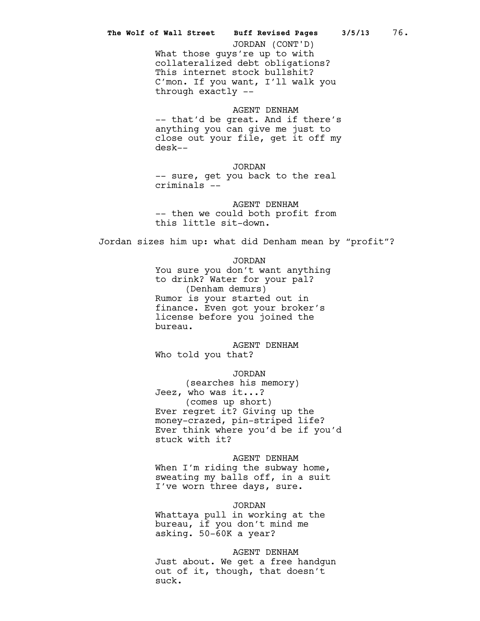# What those guys're up to with collateralized debt obligations? This internet stock bullshit? C'mon. If you want, I'll walk you through exactly -- **The Wolf of Wall Street Buff Revised Pages 3/5/13** 76. JORDAN (CONT'D)

# AGENT DENHAM -- that'd be great. And if there's anything you can give me just to close out your file, get it off my desk--

JORDAN -- sure, get you back to the real criminals --

AGENT DENHAM -- then we could both profit from this little sit-down.

Jordan sizes him up: what did Denham mean by "profit"?

JORDAN You sure you don't want anything to drink? Water for your pal? (Denham demurs) Rumor is your started out in finance. Even got your broker's license before you joined the bureau.

AGENT DENHAM Who told you that?

JORDAN

(searches his memory) Jeez, who was it...? (comes up short) Ever regret it? Giving up the money-crazed, pin-striped life? Ever think where you'd be if you'd stuck with it?

AGENT DENHAM When I'm riding the subway home, sweating my balls off, in a suit I've worn three days, sure.

# JORDAN Whattaya pull in working at the

bureau, if you don't mind me asking. 50-60K a year?

AGENT DENHAM

Just about. We get a free handgun out of it, though, that doesn't suck.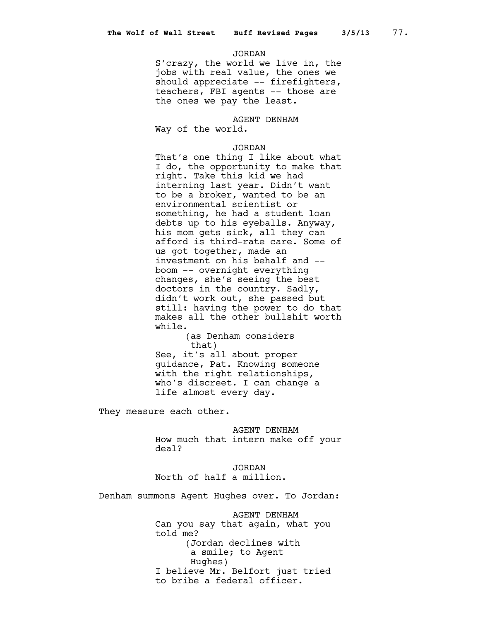#### JORDAN

S'crazy, the world we live in, the jobs with real value, the ones we should appreciate -- firefighters, teachers, FBI agents -- those are the ones we pay the least.

# AGENT DENHAM

Way of the world.

## JORDAN

That's one thing I like about what I do, the opportunity to make that right. Take this kid we had interning last year. Didn't want to be a broker, wanted to be an environmental scientist or something, he had a student loan debts up to his eyeballs. Anyway, his mom gets sick, all they can afford is third-rate care. Some of us got together, made an investment on his behalf and - boom -- overnight everything changes, she's seeing the best doctors in the country. Sadly, didn't work out, she passed but still: having the power to do that makes all the other bullshit worth while.

(as Denham considers that)

See, it's all about proper guidance, Pat. Knowing someone with the right relationships, who's discreet. I can change a life almost every day.

They measure each other.

AGENT DENHAM How much that intern make off your deal?

JORDAN North of half a million.

Denham summons Agent Hughes over. To Jordan:

AGENT DENHAM Can you say that again, what you told me? (Jordan declines with a smile; to Agent Hughes) I believe Mr. Belfort just tried to bribe a federal officer.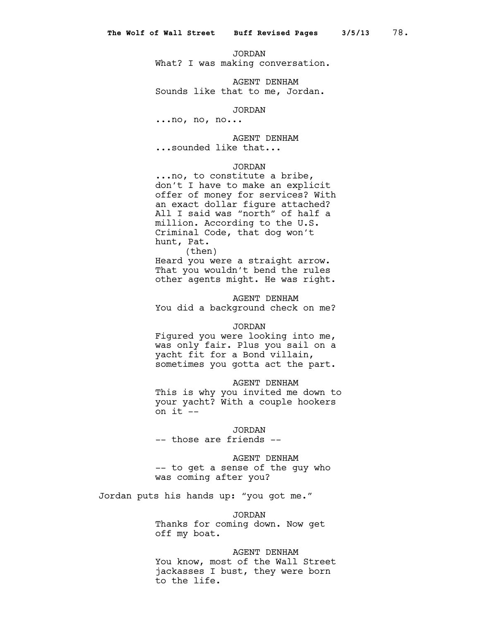JORDAN

What? I was making conversation.

AGENT DENHAM Sounds like that to me, Jordan.

JORDAN

...no, no, no...

AGENT DENHAM

...sounded like that...

# JORDAN

...no, to constitute a bribe, don't I have to make an explicit offer of money for services? With an exact dollar figure attached? All I said was "north" of half a million. According to the U.S. Criminal Code, that dog won't hunt, Pat.

(then) Heard you were a straight arrow. That you wouldn't bend the rules other agents might. He was right.

AGENT DENHAM You did a background check on me?

#### JORDAN

Figured you were looking into me, was only fair. Plus you sail on a yacht fit for a Bond villain, sometimes you gotta act the part.

#### AGENT DENHAM

This is why you invited me down to your yacht? With a couple hookers on  $it$   $-$ 

#### JORDAN

-- those are friends --

# AGENT DENHAM

-- to get a sense of the guy who was coming after you?

Jordan puts his hands up: "you got me."

#### JORDAN

Thanks for coming down. Now get off my boat.

## AGENT DENHAM

You know, most of the Wall Street jackasses I bust, they were born to the life.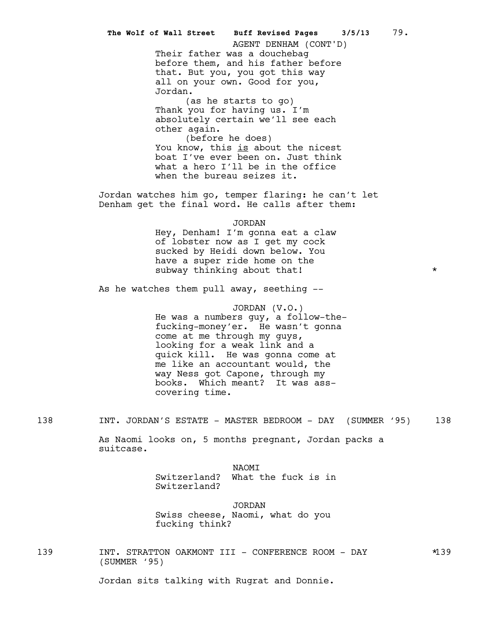Their father was a douchebag before them, and his father before that. But you, you got this way all on your own. Good for you, Jordan. (as he starts to go) Thank you for having us. I'm absolutely certain we'll see each other again. (before he does) You know, this is about the nicest boat I've ever been on. Just think what a hero I'll be in the office when the bureau seizes it. Jordan watches him go, temper flaring: he can't let Denham get the final word. He calls after them: JORDAN Hey, Denham! I'm gonna eat a claw of lobster now as I get my cock sucked by Heidi down below. You have a super ride home on the subway thinking about that! As he watches them pull away, seething --JORDAN (V.O.) He was a numbers guy, a follow-thefucking-money'er. He wasn't gonna come at me through my guys, looking for a weak link and a quick kill. He was gonna come at me like an accountant would, the way Ness got Capone, through my books. Which meant? It was asscovering time. 138 INT. JORDAN'S ESTATE - MASTER BEDROOM - DAY (SUMMER '95) 138 As Naomi looks on, 5 months pregnant, Jordan packs a suitcase. NAOMI Switzerland? What the fuck is in Switzerland? **The Wolf of Wall Street Buff Revised Pages 3/5/13** 79. AGENT DENHAM (CONT'D)

> JORDAN Swiss cheese, Naomi, what do you fucking think?

139 INT. STRATTON OAKMONT III - CONFERENCE ROOM - DAY  $*139$ (SUMMER '95)

Jordan sits talking with Rugrat and Donnie.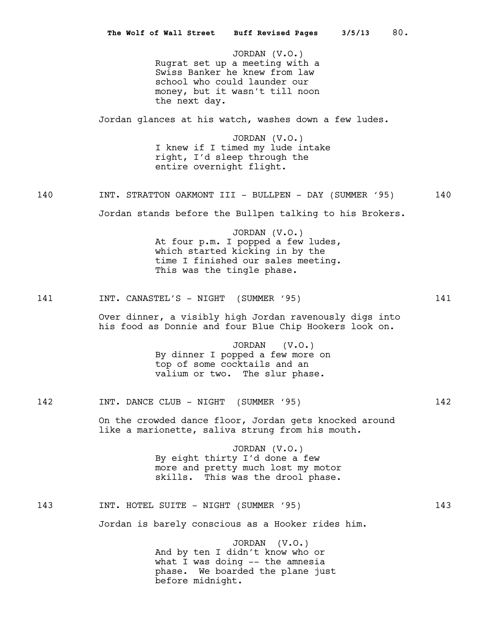JORDAN (V.O.) Rugrat set up a meeting with a Swiss Banker he knew from law school who could launder our money, but it wasn't till noon the next day. Jordan glances at his watch, washes down a few ludes. JORDAN (V.O.) I knew if I timed my lude intake right, I'd sleep through the entire overnight flight. 140 INT. STRATTON OAKMONT III - BULLPEN - DAY (SUMMER '95) 140 Jordan stands before the Bullpen talking to his Brokers. JORDAN (V.O.) At four p.m. I popped a few ludes, which started kicking in by the time I finished our sales meeting. This was the tingle phase. 141 INT. CANASTEL'S - NIGHT (SUMMER '95) 141 Over dinner, a visibly high Jordan ravenously digs into his food as Donnie and four Blue Chip Hookers look on. JORDAN (V.O.) By dinner I popped a few more on top of some cocktails and an valium or two. The slur phase. 142 INT. DANCE CLUB - NIGHT (SUMMER '95) 142 On the crowded dance floor, Jordan gets knocked around like a marionette, saliva strung from his mouth. JORDAN (V.O.) By eight thirty I'd done a few more and pretty much lost my motor skills. This was the drool phase. 143 INT. HOTEL SUITE - NIGHT (SUMMER '95) 143 Jordan is barely conscious as a Hooker rides him. JORDAN (V.O.) And by ten I didn't know who or **The Wolf of Wall Street Buff Revised Pages 3/5/13** 80.

what I was doing -- the amnesia phase. We boarded the plane just before midnight.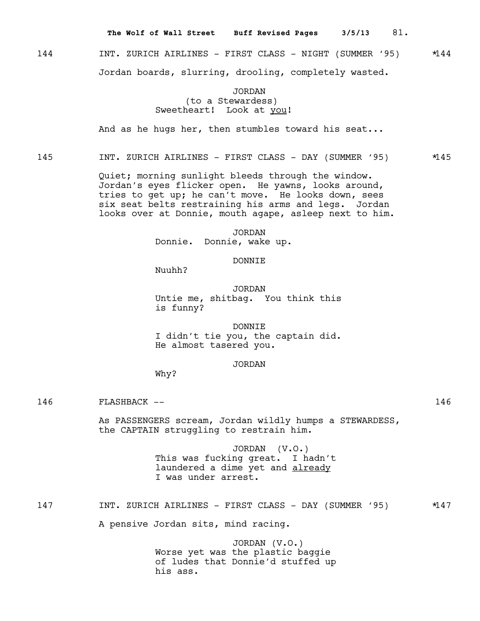**The Wolf of Wall Street Buff Revised Pages 3/5/13** 81.

# 144 **INT. ZURICH AIRLINES - FIRST CLASS - NIGHT (SUMMER '95)**  $*144$ Jordan boards, slurring, drooling, completely wasted.

JORDAN (to a Stewardess) Sweetheart! Look at you!

And as he hugs her, then stumbles toward his seat...

# 145 INT. ZURICH AIRLINES - FIRST CLASS - DAY (SUMMER '95) \*145

Quiet; morning sunlight bleeds through the window. Jordan's eyes flicker open. He yawns, looks around, tries to get up; he can't move. He looks down, sees six seat belts restraining his arms and legs. Jordan looks over at Donnie, mouth agape, asleep next to him.

> JORDAN Donnie. Donnie, wake up.

# DONNIE

Nuuhh?

JORDAN Untie me, shitbag. You think this is funny?

DONNIE I didn't tie you, the captain did. He almost tasered you.

# JORDAN

Why?

146 FLASHBACK -- 146

As PASSENGERS scream, Jordan wildly humps a STEWARDESS, the CAPTAIN struggling to restrain him.

> JORDAN (V.O.) This was fucking great. I hadn't laundered a dime yet and already I was under arrest.

147 INT. ZURICH AIRLINES - FIRST CLASS - DAY (SUMMER '95) \*147

A pensive Jordan sits, mind racing.

JORDAN (V.O.) Worse yet was the plastic baggie of ludes that Donnie'd stuffed up his ass.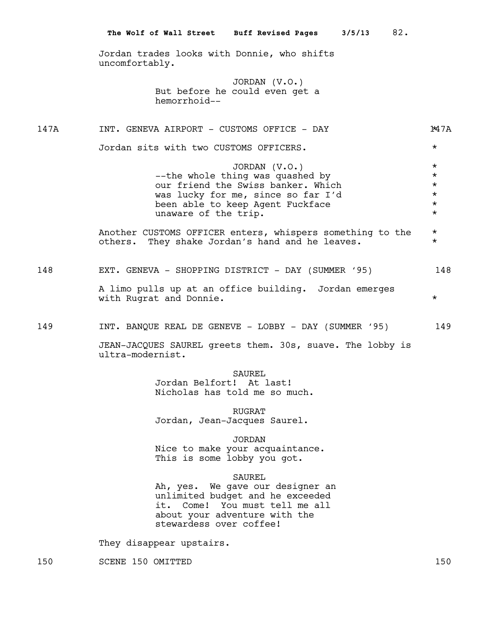Jordan trades looks with Donnie, who shifts uncomfortably.

> JORDAN (V.O.) But before he could even get a hemorrhoid--

147A INT. GENEVA AIRPORT - CUSTOMS OFFICE - DAY 147A 147A

Jordan sits with two CUSTOMS OFFICERS. \*

JORDAN (V.O.) \* --the whole thing was quashed by  $\star$ <br>our friend the Swiss banker. Which  $\star$ our friend the Swiss banker. Which was lucky for me, since so far I'd \* been able to keep Agent Fuckface unaware of the trip.  $*$ 

Another CUSTOMS OFFICER enters, whispers something to the \* others. They shake Jordan's hand and he leaves. \*

| 148 | EXT. GENEVA - SHOPPING DISTRICT - DAY (SUMMER '95)                               | 148 |
|-----|----------------------------------------------------------------------------------|-----|
|     | A limo pulls up at an office building. Jordan emerges<br>with Rugrat and Donnie. |     |

149 INT. BANQUE REAL DE GENEVE - LOBBY - DAY (SUMMER '95) 149

JEAN-JACQUES SAUREL greets them. 30s, suave. The lobby is ultra-modernist.

SAUREL

Jordan Belfort! At last! Nicholas has told me so much.

RUGRAT Jordan, Jean-Jacques Saurel.

JORDAN Nice to make your acquaintance.

This is some lobby you got.

SAUREL

Ah, yes. We gave our designer an unlimited budget and he exceeded it. Come! You must tell me all about your adventure with the stewardess over coffee!

They disappear upstairs.

150 SCENE 150 OMITTED 150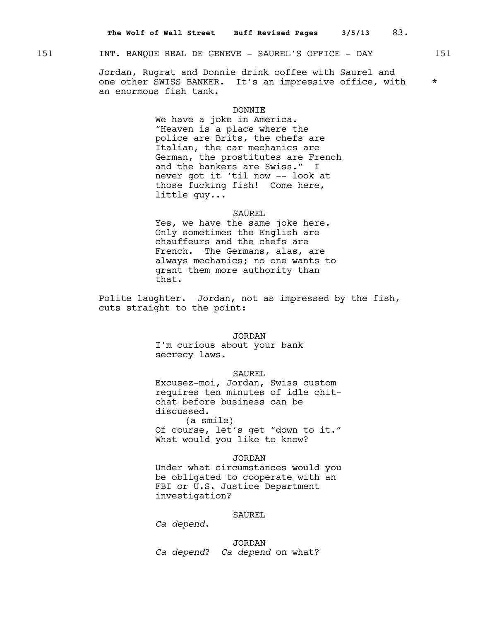# 151 INT. BANQUE REAL DE GENEVE - SAUREL'S OFFICE - DAY 151

Jordan, Rugrat and Donnie drink coffee with Saurel and one other SWISS BANKER. It's an impressive office, with \* an enormous fish tank.

#### **DONNTE**

We have a joke in America. "Heaven is a place where the police are Brits, the chefs are Italian, the car mechanics are German, the prostitutes are French and the bankers are Swiss." I never got it 'til now -- look at those fucking fish! Come here, little guy...

#### SAUREL

Yes, we have the same joke here. Only sometimes the English are chauffeurs and the chefs are French. The Germans, alas, are always mechanics; no one wants to grant them more authority than that.

Polite laughter. Jordan, not as impressed by the fish, cuts straight to the point:

#### **JORDAN**

I'm curious about your bank secrecy laws.

# SAUREL

Excusez-moi, Jordan, Swiss custom requires ten minutes of idle chitchat before business can be discussed.

(a smile) Of course, let's get "down to it." What would you like to know?

# JORDAN

Under what circumstances would you be obligated to cooperate with an FBI or U.S. Justice Department investigation?

## SAUREL

*Ca depend*.

JORDAN *Ca depend*? *Ca depend* on what?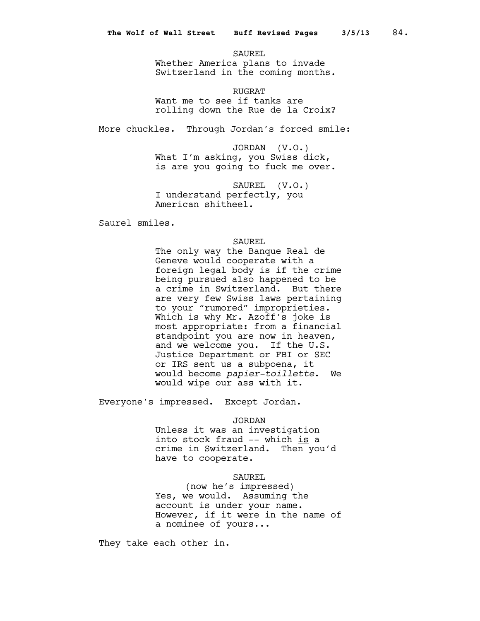SAUREL Whether America plans to invade Switzerland in the coming months.

RUGRAT Want me to see if tanks are rolling down the Rue de la Croix?

More chuckles. Through Jordan's forced smile:

JORDAN (V.O.) What I'm asking, you Swiss dick, is are you going to fuck me over.

SAUREL (V.O.) I understand perfectly, you American shitheel.

Saurel smiles.

#### SAUREL

The only way the Banque Real de Geneve would cooperate with a foreign legal body is if the crime being pursued also happened to be a crime in Switzerland. But there are very few Swiss laws pertaining to your "rumored" improprieties. Which is why Mr. Azoff's joke is most appropriate: from a financial standpoint you are now in heaven, and we welcome you. If the U.S. Justice Department or FBI or SEC or IRS sent us a subpoena, it would become *papier-toillette*. We would wipe our ass with it.

Everyone's impressed. Except Jordan.

JORDAN

Unless it was an investigation into stock fraud -- which is a crime in Switzerland. Then you'd have to cooperate.

#### SAUREL

(now he's impressed) Yes, we would. Assuming the account is under your name. However, if it were in the name of a nominee of yours...

They take each other in.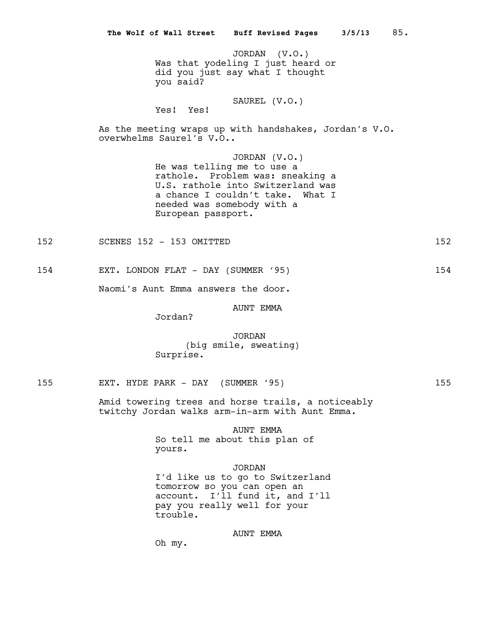JORDAN (V.O.) Was that yodeling I just heard or did you just say what I thought you said?

#### SAUREL (V.O.) Yes! Yes!

As the meeting wraps up with handshakes, Jordan's V.O. overwhelms Saurel's V.O..

> JORDAN (V.O.) He was telling me to use a rathole. Problem was: sneaking a U.S. rathole into Switzerland was a chance I couldn't take. What I needed was somebody with a European passport.

152 SCENES 152 - 153 OMITTED 152 152

154 EXT. LONDON FLAT - DAY (SUMMER '95) 154

Naomi's Aunt Emma answers the door.

#### AUNT EMMA

Jordan?

# JORDAN (big smile, sweating) Surprise.

155 EXT. HYDE PARK - DAY (SUMMER '95) 155

Amid towering trees and horse trails, a noticeably twitchy Jordan walks arm-in-arm with Aunt Emma.

# AUNT EMMA

So tell me about this plan of yours.

JORDAN I'd like us to go to Switzerland tomorrow so you can open an account. I'll fund it, and I'll pay you really well for your trouble.

## AUNT EMMA

Oh my.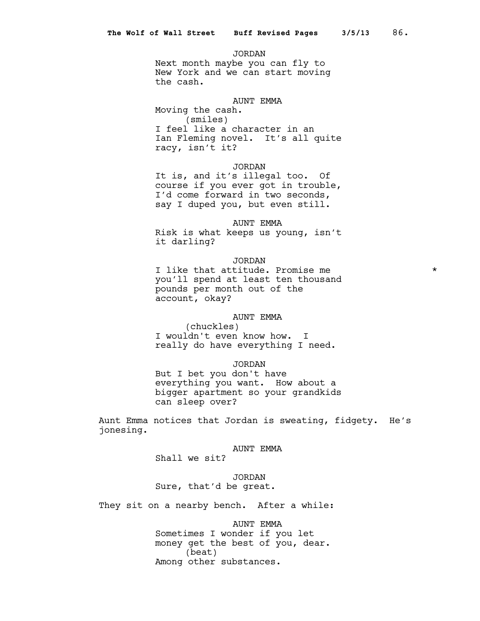JORDAN Next month maybe you can fly to New York and we can start moving the cash.

#### AUNT EMMA

Moving the cash. (smiles) I feel like a character in an Ian Fleming novel. It's all quite racy, isn't it?

#### JORDAN

It is, and it's illegal too. Of course if you ever got in trouble, I'd come forward in two seconds, say I duped you, but even still.

#### AUNT EMMA

Risk is what keeps us young, isn't it darling?

# JORDAN

I like that attitude. Promise me  $*$ you'll spend at least ten thousand pounds per month out of the account, okay?

# AUNT EMMA

(chuckles) I wouldn't even know how. I really do have everything I need.

#### JORDAN

But I bet you don't have everything you want. How about a bigger apartment so your grandkids can sleep over?

Aunt Emma notices that Jordan is sweating, fidgety. He's jonesing.

# AUNT EMMA

Shall we sit?

# JORDAN Sure, that'd be great.

They sit on a nearby bench. After a while:

## AUNT EMMA

Sometimes I wonder if you let money get the best of you, dear. (beat) Among other substances.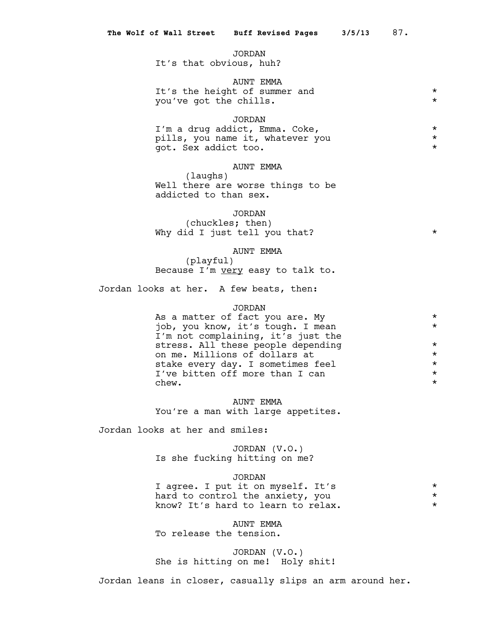#### JORDAN

It's that obvious, huh?

# AUNT EMMA It's the height of summer and  $\star$ <br>
You've got the chills you've got the chills. \*

# JORDAN

I'm a drug addict, Emma. Coke, \* pills, you name it, whatever you \* got. Sex addict too. \*

# AUNT EMMA

(laughs) Well there are worse things to be addicted to than sex.

#### JORDAN

(chuckles; then) Why did I just tell you that?  $*$ 

# AUNT EMMA

(playful) Because I'm very easy to talk to.

Jordan looks at her. A few beats, then:

# JORDAN

As a matter of fact you are. My  $*$ job, you know, it's tough. I mean \* I'm not complaining, it's just the stress. All these people depending  $*$ <br>on me. Millions of dollars at  $*$ on me. Millions of dollars at  $\star$ <br>stake every day. I sometimes feel  $\star$ stake every day. I sometimes feel  $\star$ <br>I've bitten off more than I can I've bitten off more than I can \*  $\mathsf{chew.}$   $\star$ 

AUNT EMMA You're a man with large appetites.

Jordan looks at her and smiles:

# JORDAN (V.O.) Is she fucking hitting on me?

## JORDAN

I agree. I put it on myself. It's  $\star$ <br>hard to control the anxiety, you  $\star$ hard to control the anxiety, you know? It's hard to learn to relax.  $*$ 

AUNT EMMA To release the tension.

JORDAN (V.O.) She is hitting on me! Holy shit!

Jordan leans in closer, casually slips an arm around her.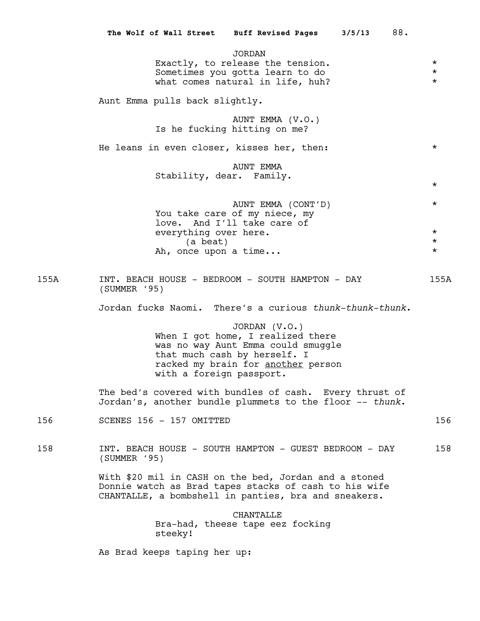|      | The Wolf of Wall Street Buff Revised Pages<br>3/5/13<br>88.                                                                                                                                |                                             |
|------|--------------------------------------------------------------------------------------------------------------------------------------------------------------------------------------------|---------------------------------------------|
|      | <b>JORDAN</b><br>Exactly, to release the tension.<br>Sometimes you gotta learn to do<br>what comes natural in life, huh?                                                                   | $\star$<br>$^\star$<br>$^\star$             |
|      | Aunt Emma pulls back slightly.                                                                                                                                                             |                                             |
|      | AUNT EMMA (V.O.)<br>Is he fucking hitting on me?                                                                                                                                           |                                             |
|      | He leans in even closer, kisses her, then:                                                                                                                                                 | $^\star$                                    |
|      | AUNT EMMA<br>Stability, dear. Family.                                                                                                                                                      | $\star$                                     |
|      | AUNT EMMA (CONT'D)<br>You take care of my niece, my<br>love. And I'll take care of<br>everything over here.<br>(a beat)<br>Ah, once upon a time                                            | $^\star$<br>$\star$<br>$^\star$<br>$^\star$ |
| 155A | INT. BEACH HOUSE - BEDROOM - SOUTH HAMPTON - DAY<br>$(SUMMER$ '95)                                                                                                                         | 155A                                        |
|      | Jordan fucks Naomi. There's a curious thunk-thunk-thunk.                                                                                                                                   |                                             |
|      | JORDAN (V.O.)<br>When I got home, I realized there<br>was no way Aunt Emma could smuggle<br>that much cash by herself. I<br>racked my brain for another person<br>with a foreign passport. |                                             |
|      | The bed's covered with bundles of cash. Every thrust of<br>Jordan's, another bundle plummets to the floor -- thunk.                                                                        |                                             |
| 156  | SCENES 156 - 157 OMITTED                                                                                                                                                                   | 156                                         |
| 158  | INT. BEACH HOUSE - SOUTH HAMPTON - GUEST BEDROOM - DAY<br>(SUMMER '95)                                                                                                                     | 158                                         |
|      | With \$20 mil in CASH on the bed, Jordan and a stoned<br>Donnie watch as Brad tapes stacks of cash to his wife<br>CHANTALLE, a bombshell in panties, bra and sneakers.                     |                                             |
|      | CHANTALLE<br>Bra-had, theese tape eez focking<br>steeky!                                                                                                                                   |                                             |
|      | As Brad keeps taping her up:                                                                                                                                                               |                                             |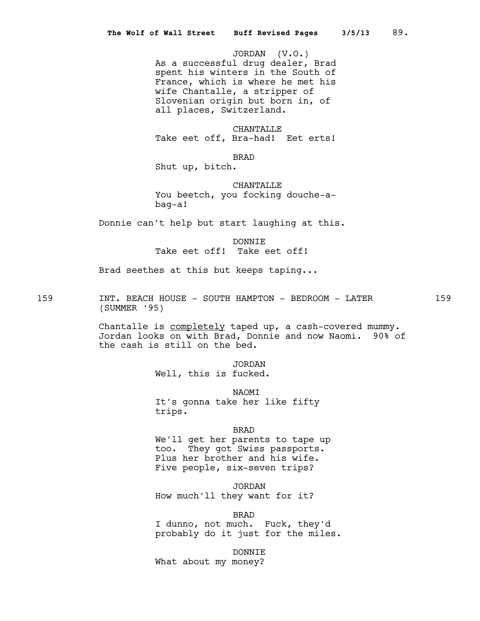JORDAN (V.O.) As a successful drug dealer, Brad spent his winters in the South of France, which is where he met his wife Chantalle, a stripper of Slovenian origin but born in, of all places, Switzerland.

CHANTALLE Take eet off, Bra-had! Eet erts!

BRAD

Shut up, bitch.

CHANTALLE You beetch, you focking douche-abag-a!

Donnie can't help but start laughing at this.

DONNIE Take eet off! Take eet off!

Brad seethes at this but keeps taping...

159 INT. BEACH HOUSE - SOUTH HAMPTON - BEDROOM - LATER 159 (SUMMER '95)

> Chantalle is completely taped up, a cash-covered mummy. Jordan looks on with Brad, Donnie and now Naomi. 90% of the cash is still on the bed.

> > JORDAN Well, this is fucked.

NAOMI It's gonna take her like fifty trips.

BRAD

We'll get her parents to tape up too. They got Swiss passports. Plus her brother and his wife. Five people, six-seven trips?

JORDAN

How much'll they want for it?

BRAD

I dunno, not much. Fuck, they'd probably do it just for the miles.

DONNIE

What about my money?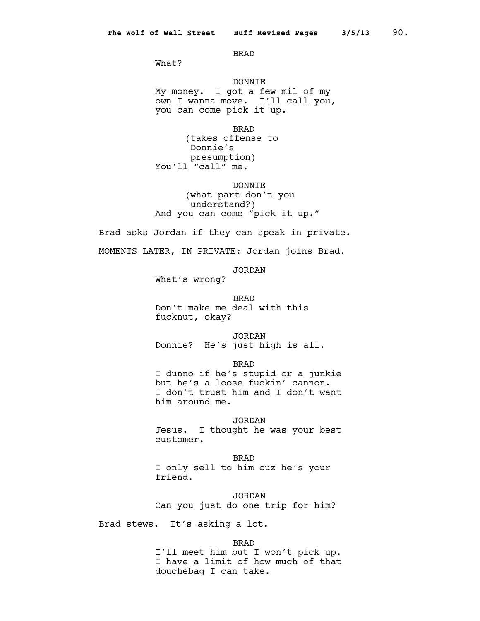#### BRAD

What?

# DONNIE My money. I got a few mil of my own I wanna move. I'll call you, you can come pick it up.

BRAD (takes offense to Donnie's presumption) You'll "call" me.

DONNIE (what part don't you understand?) And you can come "pick it up."

Brad asks Jordan if they can speak in private. MOMENTS LATER, IN PRIVATE: Jordan joins Brad.

JORDAN

What's wrong?

BRAD Don't make me deal with this fucknut, okay?

JORDAN Donnie? He's just high is all.

BRAD

I dunno if he's stupid or a junkie but he's a loose fuckin' cannon. I don't trust him and I don't want him around me.

JORDAN

Jesus. I thought he was your best customer.

BRAD I only sell to him cuz he's your friend.

JORDAN Can you just do one trip for him?

Brad stews. It's asking a lot.

BRAD

I'll meet him but I won't pick up. I have a limit of how much of that douchebag I can take.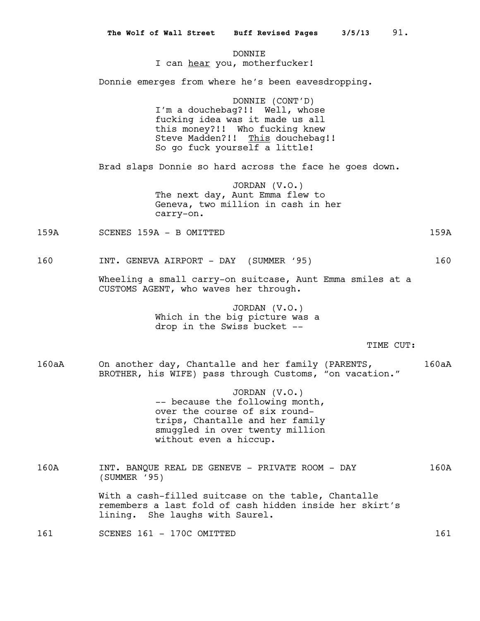**DONNTE** I can hear you, motherfucker! Donnie emerges from where he's been eavesdropping. DONNIE (CONT'D) I'm a douchebag?!! Well, whose fucking idea was it made us all this money?!! Who fucking knew Steve Madden?!! This douchebag!! So go fuck yourself a little! Brad slaps Donnie so hard across the face he goes down. JORDAN (V.O.) The next day, Aunt Emma flew to Geneva, two million in cash in her carry-on. 159A SCENES 159A - B OMITTED 159A 160 INT. GENEVA AIRPORT - DAY (SUMMER '95) 160 Wheeling a small carry-on suitcase, Aunt Emma smiles at a CUSTOMS AGENT, who waves her through. JORDAN (V.O.) Which in the big picture was a drop in the Swiss bucket -- TIME CUT: 160aA On another day, Chantalle and her family (PARENTS, 160aA BROTHER, his WIFE) pass through Customs, "on vacation." JORDAN (V.O.) -- because the following month, over the course of six roundtrips, Chantalle and her family smuggled in over twenty million without even a hiccup. 160A INT. BANQUE REAL DE GENEVE - PRIVATE ROOM - DAY 160A (SUMMER '95) With a cash-filled suitcase on the table, Chantalle remembers a last fold of cash hidden inside her skirt's lining. She laughs with Saurel. 161 SCENES 161 - 170C OMITTED 161 161 **The Wolf of Wall Street Buff Revised Pages 3/5/13** 91.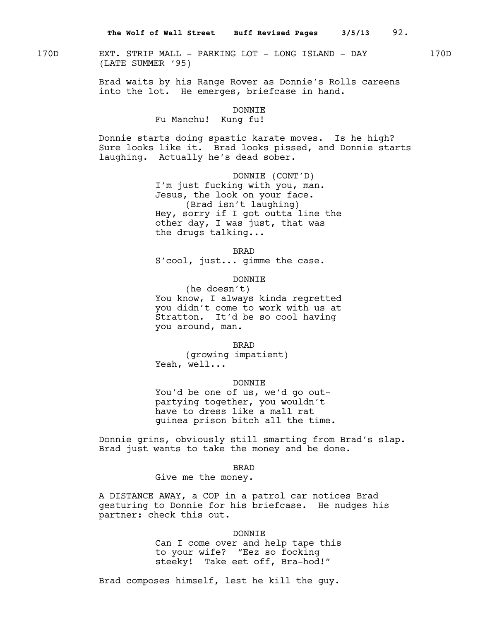170D EXT. STRIP MALL - PARKING LOT - LONG ISLAND - DAY 170D (LATE SUMMER '95)

Brad waits by his Range Rover as Donnie's Rolls careens into the lot. He emerges, briefcase in hand.

#### DONNIE

# Fu Manchu! Kung fu!

Donnie starts doing spastic karate moves. Is he high? Sure looks like it. Brad looks pissed, and Donnie starts laughing. Actually he's dead sober.

> DONNIE (CONT'D) I'm just fucking with you, man. Jesus, the look on your face. (Brad isn't laughing) Hey, sorry if I got outta line the other day, I was just, that was the drugs talking...

> > BRAD

S'cool, just... gimme the case.

# DONNIE

(he doesn't) You know, I always kinda regretted you didn't come to work with us at Stratton. It'd be so cool having you around, man.

BRAD

(growing impatient) Yeah, well...

#### DONNIE

You'd be one of us, we'd go outpartying together, you wouldn't have to dress like a mall rat guinea prison bitch all the time.

Donnie grins, obviously still smarting from Brad's slap. Brad just wants to take the money and be done.

BRAD

Give me the money.

A DISTANCE AWAY, a COP in a patrol car notices Brad gesturing to Donnie for his briefcase. He nudges his partner: check this out.

#### DONNIE

Can I come over and help tape this to your wife? "Eez so focking steeky! Take eet off, Bra-hod!"

Brad composes himself, lest he kill the guy.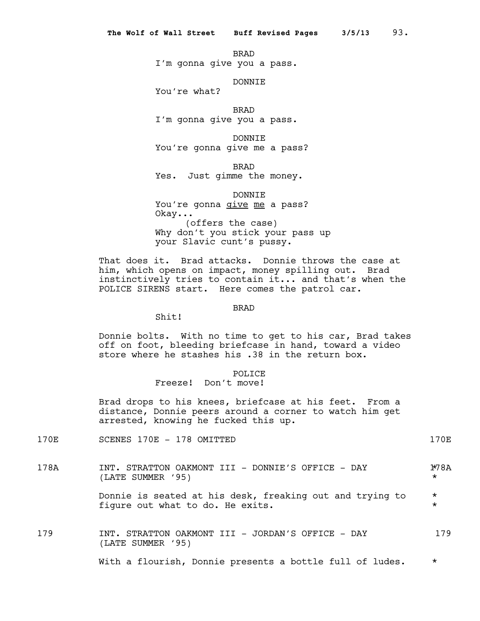BRAD

I'm gonna give you a pass.

DONNIE

You're what?

BRAD I'm gonna give you a pass.

DONNIE You're gonna give me a pass?

BRAD

Yes. Just gimme the money.

DONNIE

You're gonna give me a pass? Okay... (offers the case) Why don't you stick your pass up your Slavic cunt's pussy.

That does it. Brad attacks. Donnie throws the case at him, which opens on impact, money spilling out. Brad instinctively tries to contain it... and that's when the POLICE SIRENS start. Here comes the patrol car.

#### BRAD

Shit!

Donnie bolts. With no time to get to his car, Brad takes off on foot, bleeding briefcase in hand, toward a video store where he stashes his .38 in the return box.

# POLICE

# Freeze! Don't move!

Brad drops to his knees, briefcase at his feet. From a distance, Donnie peers around a corner to watch him get arrested, knowing he fucked this up.

170E SCENES 170E - 178 OMITTED 170E

178A INT. STRATTON OAKMONT III - DONNIE'S OFFICE - DAY 178A (LATE SUMMER '95) \* Donnie is seated at his desk, freaking out and trying to \* figure out what to do. He exits.  $\star$ 179 INT. STRATTON OAKMONT III - JORDAN'S OFFICE - DAY 179 (LATE SUMMER '95)

With a flourish, Donnie presents a bottle full of ludes. \*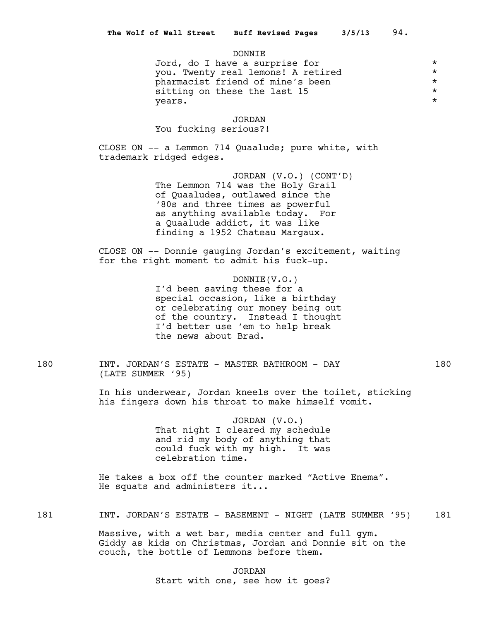#### DONNIE

Jord, do I have a surprise for  $*$ you. Twenty real lemons! A retired \* pharmacist friend of mine's been  $*$ <br>sitting on these the last 15 sitting on these the last 15  $*$ <br>vears.  $\frac{1}{2}$  years.

#### JORDAN

You fucking serious?!

CLOSE ON -- a Lemmon 714 Quaalude; pure white, with trademark ridged edges.

> JORDAN (V.O.) (CONT'D) The Lemmon 714 was the Holy Grail of Quaaludes, outlawed since the '80s and three times as powerful as anything available today. For a Quaalude addict, it was like finding a 1952 Chateau Margaux.

CLOSE ON -- Donnie gauging Jordan's excitement, waiting for the right moment to admit his fuck-up.

> DONNIE(V.O.) I'd been saving these for a special occasion, like a birthday or celebrating our money being out of the country. Instead I thought I'd better use 'em to help break the news about Brad.

180 INT. JORDAN'S ESTATE - MASTER BATHROOM - DAY 180 (LATE SUMMER '95)

In his underwear, Jordan kneels over the toilet, sticking his fingers down his throat to make himself vomit.

> JORDAN (V.O.) That night I cleared my schedule and rid my body of anything that could fuck with my high. It was celebration time.

He takes a box off the counter marked "Active Enema". He squats and administers it...

181 **INT. JORDAN'S ESTATE - BASEMENT - NIGHT (LATE SUMMER '95)** 181

Massive, with a wet bar, media center and full gym. Giddy as kids on Christmas, Jordan and Donnie sit on the couch, the bottle of Lemmons before them.

> JORDAN Start with one, see how it goes?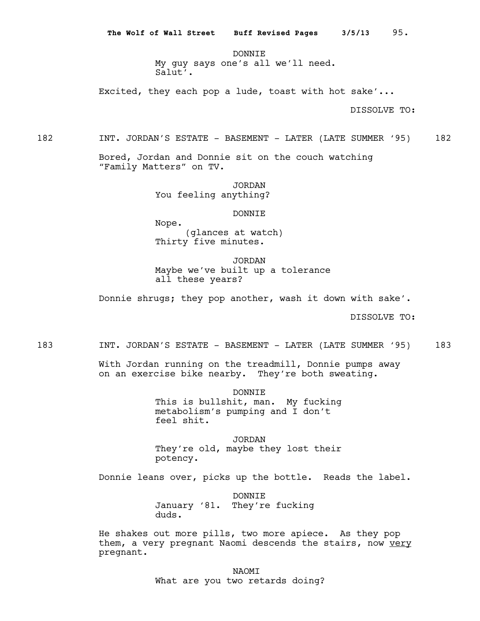DONNTE. My guy says one's all we'll need. Salut'.

Excited, they each pop a lude, toast with hot sake'...

DISSOLVE TO:

Bored, Jordan and Donnie sit on the couch watching "Family Matters" on TV.

> JORDAN You feeling anything?

> > DONNIE

Nope. (glances at watch) Thirty five minutes.

JORDAN Maybe we've built up a tolerance all these years?

Donnie shrugs; they pop another, wash it down with sake'.

DISSOLVE TO:

183 INT. JORDAN'S ESTATE - BASEMENT - LATER (LATE SUMMER '95) 183

With Jordan running on the treadmill, Donnie pumps away on an exercise bike nearby. They're both sweating.

> DONNIE This is bullshit, man. My fucking metabolism's pumping and I don't feel shit.

> JORDAN They're old, maybe they lost their potency.

Donnie leans over, picks up the bottle. Reads the label.

DONNIE January '81. They're fucking duds.

He shakes out more pills, two more apiece. As they pop them, a very pregnant Naomi descends the stairs, now very pregnant.

NAOMI

What are you two retards doing?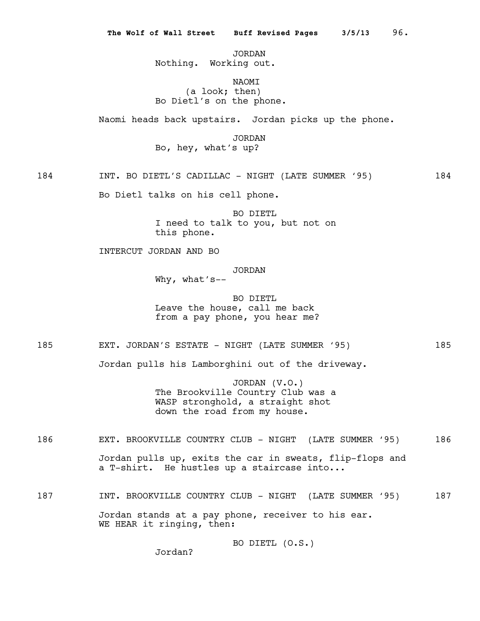JORDAN Nothing. Working out.

# NAOMI (a look; then) Bo Dietl's on the phone.

Naomi heads back upstairs. Jordan picks up the phone.

JORDAN

Bo, hey, what's up?

184 INT. BO DIETL'S CADILLAC - NIGHT (LATE SUMMER '95) 184

Bo Dietl talks on his cell phone.

BO DIETL I need to talk to you, but not on this phone.

INTERCUT JORDAN AND BO

JORDAN

Why, what's--

BO DIETL Leave the house, call me back from a pay phone, you hear me?

185 EXT. JORDAN'S ESTATE - NIGHT (LATE SUMMER '95)

Jordan pulls his Lamborghini out of the driveway.

JORDAN (V.O.) The Brookville Country Club was a WASP stronghold, a straight shot down the road from my house.

186 EXT. BROOKVILLE COUNTRY CLUB - NIGHT (LATE SUMMER '95) 186 Jordan pulls up, exits the car in sweats, flip-flops and a T-shirt. He hustles up a staircase into...

187 INT. BROOKVILLE COUNTRY CLUB - NIGHT (LATE SUMMER '95) 187 Jordan stands at a pay phone, receiver to his ear. WE HEAR it ringing, then:

BO DIETL (O.S.)

Jordan?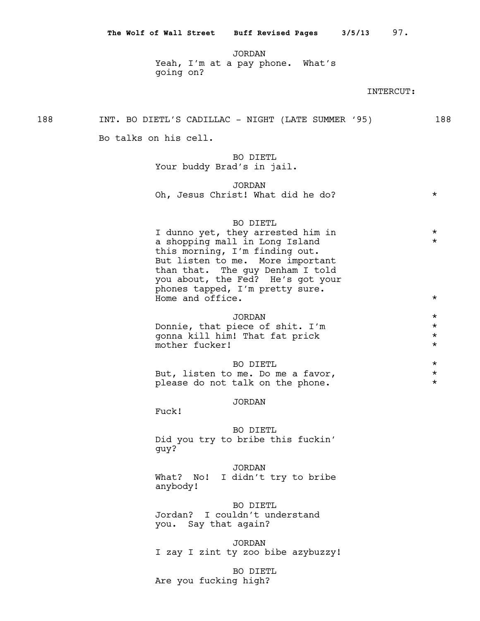JORDAN Yeah, I'm at a pay phone. What's going on?

## INTERCUT:

188 INT. BO DIETL'S CADILLAC - NIGHT (LATE SUMMER '95) 188

Bo talks on his cell.

BO DIETL Your buddy Brad's in jail.

JORDAN Oh, Jesus Christ! What did he do? \*

#### BO DIETL

I dunno yet, they arrested him in  $*$ a shopping mall in Long Island  $*$ this morning, I'm finding out. But listen to me. More important than that. The guy Denham I told you about, the Fed? He's got your phones tapped, I'm pretty sure. Home and office.  $\star$ 

# JORDAN \* Donnie, that piece of shit. I'm  $\star$ <br>gonna kill him! That fat prick  $\star$

gonna kill him! That fat prick \* mother fucker!

| BO DIETL                          |  |
|-----------------------------------|--|
| But, listen to me. Do me a favor, |  |
| please do not talk on the phone.  |  |

#### JORDAN

Fuck!

BO DIETL Did you try to bribe this fuckin' guy?

#### JORDAN

What? No! I didn't try to bribe anybody!

BO DIETL

Jordan? I couldn't understand you. Say that again?

JORDAN I zay I zint ty zoo bibe azybuzzy!

BO DIETL Are you fucking high?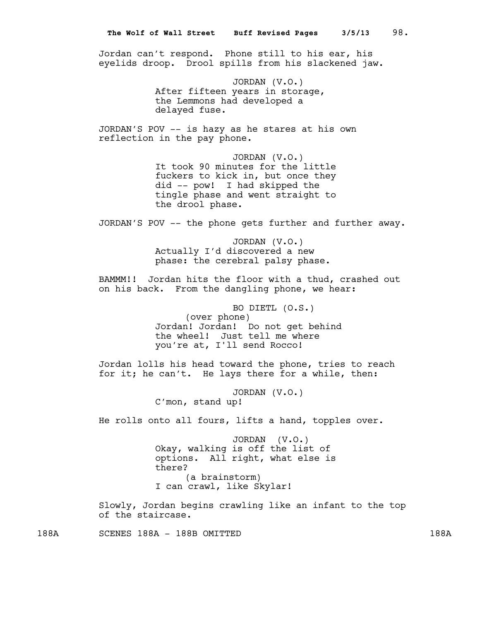Jordan can't respond. Phone still to his ear, his eyelids droop. Drool spills from his slackened jaw.

> JORDAN (V.O.) After fifteen years in storage, the Lemmons had developed a delayed fuse.

JORDAN'S POV -- is hazy as he stares at his own reflection in the pay phone.

> JORDAN (V.O.) It took 90 minutes for the little fuckers to kick in, but once they did -- pow! I had skipped the tingle phase and went straight to the drool phase.

JORDAN'S POV -- the phone gets further and further away.

JORDAN (V.O.) Actually I'd discovered a new phase: the cerebral palsy phase.

BAMMM!! Jordan hits the floor with a thud, crashed out on his back. From the dangling phone, we hear:

> BO DIETL (O.S.) (over phone) Jordan! Jordan! Do not get behind the wheel! Just tell me where you're at, I'll send Rocco!

Jordan lolls his head toward the phone, tries to reach for it; he can't. He lays there for a while, then:

> JORDAN (V.O.) C'mon, stand up!

He rolls onto all fours, lifts a hand, topples over.

JORDAN (V.O.) Okay, walking is off the list of options. All right, what else is there? (a brainstorm) I can crawl, like Skylar!

Slowly, Jordan begins crawling like an infant to the top of the staircase.

188A SCENES 188A - 188B OMITTED 188A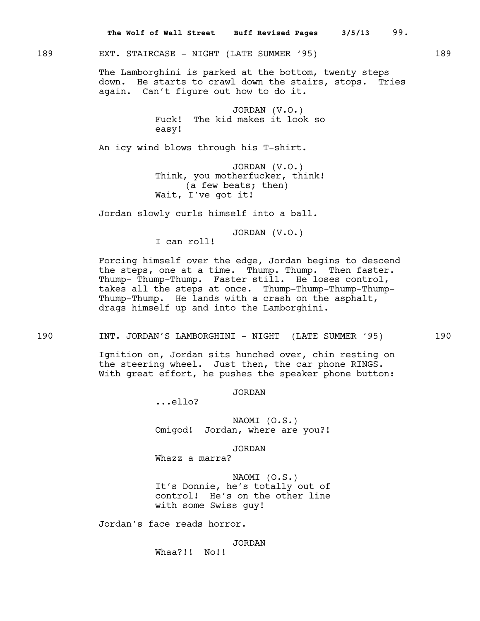189 EXT. STAIRCASE - NIGHT (LATE SUMMER '95) 189

The Lamborghini is parked at the bottom, twenty steps down. He starts to crawl down the stairs, stops. Tries again. Can't figure out how to do it.

> JORDAN (V.O.) Fuck! The kid makes it look so easy!

An icy wind blows through his T-shirt.

JORDAN (V.O.) Think, you motherfucker, think! (a few beats; then) Wait, I've got it!

Jordan slowly curls himself into a ball.

JORDAN (V.O.)

I can roll!

Forcing himself over the edge, Jordan begins to descend the steps, one at a time. Thump. Thump. Then faster. Thump- Thump-Thump. Faster still. He loses control, takes all the steps at once. Thump-Thump-Thump-Thump-Thump-Thump. He lands with a crash on the asphalt, drags himself up and into the Lamborghini.

190 INT. JORDAN'S LAMBORGHINI - NIGHT (LATE SUMMER '95) 190

Ignition on, Jordan sits hunched over, chin resting on the steering wheel. Just then, the car phone RINGS. With great effort, he pushes the speaker phone button:

JORDAN

...ello?

NAOMI (O.S.) Omigod! Jordan, where are you?!

JORDAN

Whazz a marra?

NAOMI (O.S.) It's Donnie, he's totally out of control! He's on the other line with some Swiss guy!

Jordan's face reads horror.

JORDAN Whaa?!! No!!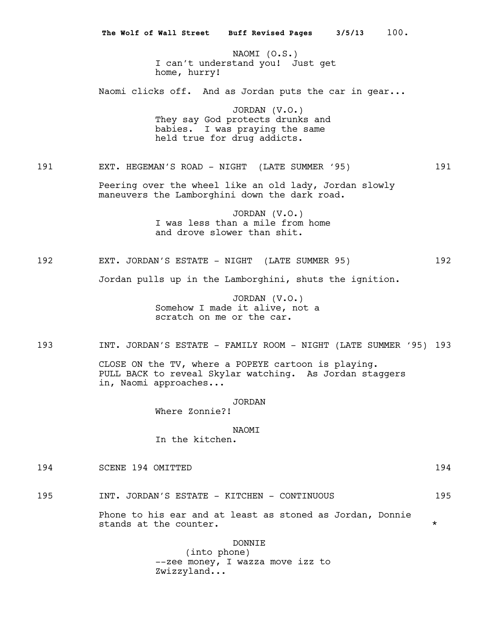NAOMI (O.S.) I can't understand you! Just get home, hurry! Naomi clicks off. And as Jordan puts the car in gear... JORDAN (V.O.) They say God protects drunks and babies. I was praying the same held true for drug addicts. 191 EXT. HEGEMAN'S ROAD - NIGHT (LATE SUMMER '95) 191 Peering over the wheel like an old lady, Jordan slowly maneuvers the Lamborghini down the dark road. JORDAN (V.O.) I was less than a mile from home and drove slower than shit. 192 EXT. JORDAN'S ESTATE - NIGHT (LATE SUMMER 95) 192 Jordan pulls up in the Lamborghini, shuts the ignition. JORDAN (V.O.) Somehow I made it alive, not a scratch on me or the car. 193 INT. JORDAN'S ESTATE - FAMILY ROOM - NIGHT (LATE SUMMER '95) 193 CLOSE ON the TV, where a POPEYE cartoon is playing. PULL BACK to reveal Skylar watching. As Jordan staggers in, Naomi approaches... JORDAN Where Zonnie?! NAOMI In the kitchen. 194 SCENE 194 OMITTED 194 195 1NT. JORDAN'S ESTATE - KITCHEN - CONTINUOUS 195 Phone to his ear and at least as stoned as Jordan, Donnie stands at the counter.  $\star$ DONNIE (into phone) --zee money, I wazza move izz to Zwizzyland... **The Wolf of Wall Street Buff Revised Pages 3/5/13** 100.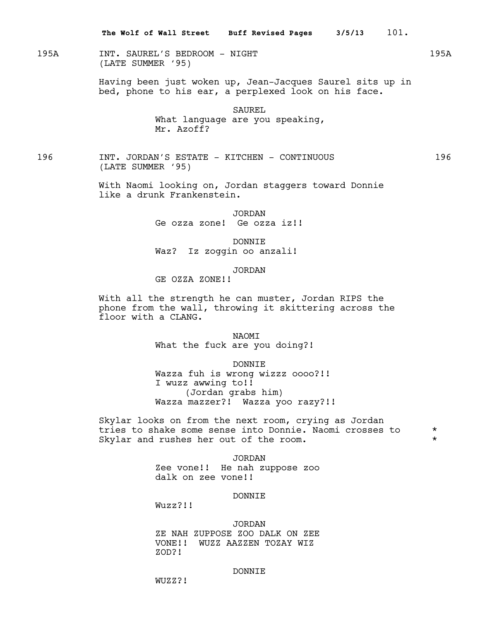195A INT. SAUREL'S BEDROOM - NIGHT 195A (LATE SUMMER '95)

> Having been just woken up, Jean-Jacques Saurel sits up in bed, phone to his ear, a perplexed look on his face.

> > SAUREL What language are you speaking, Mr. Azoff?

196 INT. JORDAN'S ESTATE - KITCHEN - CONTINUOUS 196 (LATE SUMMER '95)

> With Naomi looking on, Jordan staggers toward Donnie like a drunk Frankenstein.

> > JORDAN Ge ozza zone! Ge ozza iz!!

DONNIE Waz? Iz zoggin oo anzali!

JORDAN

GE OZZA ZONE!!

With all the strength he can muster, Jordan RIPS the phone from the wall, throwing it skittering across the floor with a CLANG.

> **NAOMT** What the fuck are you doing?!

DONNIE Wazza fuh is wrong wizzz oooo?!!

I wuzz awwing to!! (Jordan grabs him) Wazza mazzer?! Wazza yoo razy?!!

Skylar looks on from the next room, crying as Jordan tries to shake some sense into Donnie. Naomi crosses to  $*$ <br>Skylar and rushes her out of the room Skylar and rushes her out of the room.

> JORDAN Zee vone!! He nah zuppose zoo dalk on zee vone!!

# DONNIE

Wuzz?!!

#### JORDAN

ZE NAH ZUPPOSE ZOO DALK ON ZEE VONE!! WUZZ AAZZEN TOZAY WIZ ZOD?!

#### DONNIE

WUZZ?!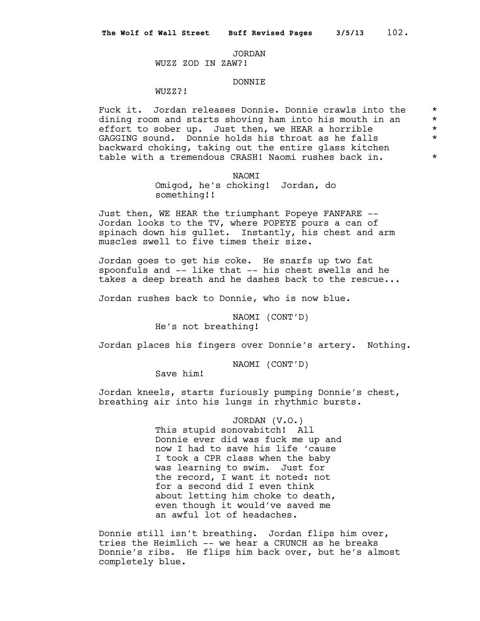#### JORDAN

# WUZZ ZOD IN ZAW?!

# DONNIE

# WUZZ?!

Fuck it. Jordan releases Donnie. Donnie crawls into the  $*$  dining room and starts showing ham into his mouth in an dining room and starts shoving ham into his mouth in an  $*$ <br>effort to sober up. Just then, we HEAR a horrible  $*$ effort to sober up. Just then, we HEAR a horrible  $*$ <br>caccinc sound ponnie bolds his throat as be falls GAGGING sound. Donnie holds his throat as he falls \* backward choking, taking out the entire glass kitchen table with a tremendous CRASH! Naomi rushes back in. \*

#### **NAOMT**

Omigod, he's choking! Jordan, do something!!

Just then, WE HEAR the triumphant Popeye FANFARE -- Jordan looks to the TV, where POPEYE pours a can of spinach down his gullet. Instantly, his chest and arm muscles swell to five times their size.

Jordan goes to get his coke. He snarfs up two fat spoonfuls and -- like that -- his chest swells and he takes a deep breath and he dashes back to the rescue...

Jordan rushes back to Donnie, who is now blue.

NAOMI (CONT'D) He's not breathing!

Jordan places his fingers over Donnie's artery. Nothing.

NAOMI (CONT'D)

Save him!

Jordan kneels, starts furiously pumping Donnie's chest, breathing air into his lungs in rhythmic bursts.

> JORDAN (V.O.) This stupid sonovabitch! All Donnie ever did was fuck me up and now I had to save his life 'cause I took a CPR class when the baby was learning to swim. Just for the record, I want it noted: not for a second did I even think about letting him choke to death, even though it would've saved me an awful lot of headaches.

Donnie still isn't breathing. Jordan flips him over, tries the Heimlich -- we hear a CRUNCH as he breaks Donnie's ribs. He flips him back over, but he's almost completely blue.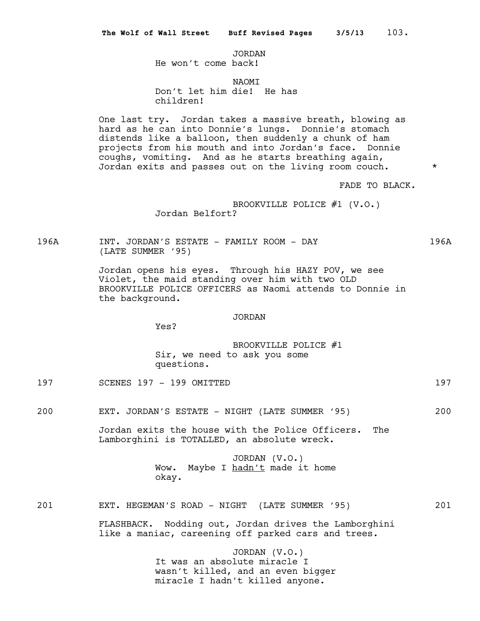# JORDAN

He won't come back!

#### NAOMI

Don't let him die! He has children!

One last try. Jordan takes a massive breath, blowing as hard as he can into Donnie's lungs. Donnie's stomach distends like a balloon, then suddenly a chunk of ham projects from his mouth and into Jordan's face. Donnie coughs, vomiting. And as he starts breathing again, Jordan exits and passes out on the living room couch.  $*$ 

FADE TO BLACK.

# BROOKVILLE POLICE #1 (V.O.) Jordan Belfort?

196A INT. JORDAN'S ESTATE - FAMILY ROOM - DAY 196A (LATE SUMMER '95)

> Jordan opens his eyes. Through his HAZY POV, we see Violet, the maid standing over him with two OLD BROOKVILLE POLICE OFFICERS as Naomi attends to Donnie in the background.

#### JORDAN

Yes?

BROOKVILLE POLICE #1 Sir, we need to ask you some questions.

- 197 SCENES 197 199 OMITTED 197
- 200 EXT. JORDAN'S ESTATE NIGHT (LATE SUMMER '95) 200

Jordan exits the house with the Police Officers. The Lamborghini is TOTALLED, an absolute wreck.

> JORDAN (V.O.) Wow. Maybe I hadn't made it home okay.

## 201 EXT. HEGEMAN'S ROAD - NIGHT (LATE SUMMER '95) 201

FLASHBACK. Nodding out, Jordan drives the Lamborghini like a maniac, careening off parked cars and trees.

> JORDAN (V.O.) It was an absolute miracle I wasn't killed, and an even bigger miracle I hadn't killed anyone.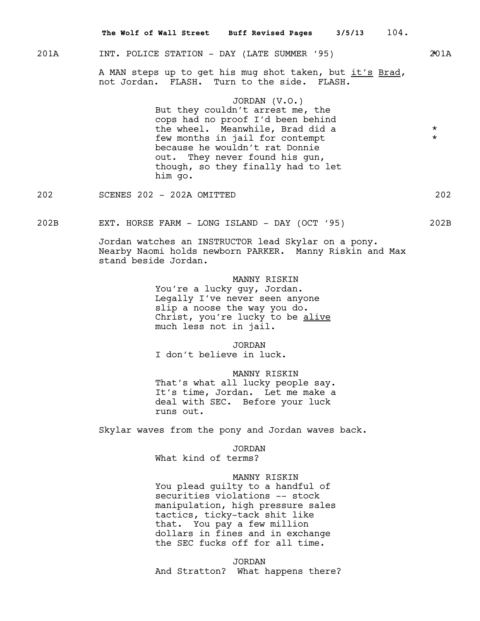# 201A INT. POLICE STATION - DAY (LATE SUMMER '95) 201A

A MAN steps up to get his mug shot taken, but it's Brad, not Jordan. FLASH. Turn to the side. FLASH.

# JORDAN (V.O.)

But they couldn't arrest me, the cops had no proof I'd been behind the wheel. Meanwhile, Brad did a  $*$ <br>fou months in inil for contenut few months in jail for contempt because he wouldn't rat Donnie out. They never found his gun, though, so they finally had to let him go.

202 SCENES 202 - 202A OMITTED 202

202B EXT. HORSE FARM - LONG ISLAND - DAY (OCT '95) 202B

Jordan watches an INSTRUCTOR lead Skylar on a pony. Nearby Naomi holds newborn PARKER. Manny Riskin and Max stand beside Jordan.

MANNY RISKIN

You're a lucky guy, Jordan. Legally I've never seen anyone slip a noose the way you do. Christ, you're lucky to be alive much less not in jail.

JORDAN

I don't believe in luck.

MANNY RISKIN That's what all lucky people say. It's time, Jordan. Let me make a deal with SEC. Before your luck runs out.

Skylar waves from the pony and Jordan waves back.

JORDAN

What kind of terms?

# MANNY RISKIN

You plead guilty to a handful of securities violations -- stock manipulation, high pressure sales tactics, ticky-tack shit like that. You pay a few million dollars in fines and in exchange the SEC fucks off for all time.

JORDAN And Stratton? What happens there?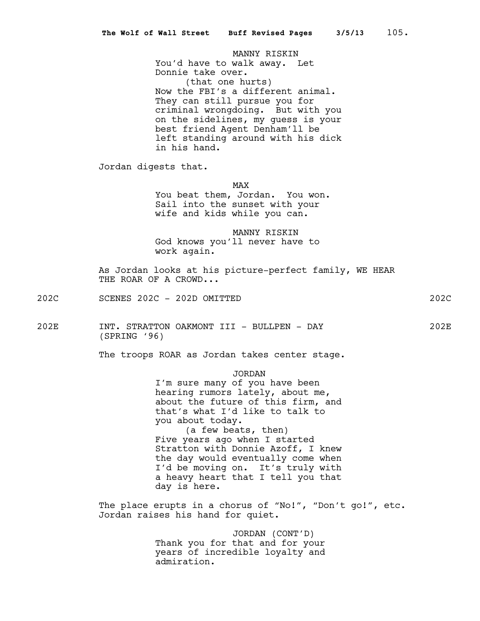MANNY RISKIN You'd have to walk away. Let Donnie take over. (that one hurts) Now the FBI's a different animal. They can still pursue you for criminal wrongdoing. But with you on the sidelines, my guess is your best friend Agent Denham'll be left standing around with his dick in his hand.

Jordan digests that.

MAX

You beat them, Jordan. You won. Sail into the sunset with your wife and kids while you can.

MANNY RISKIN God knows you'll never have to work again.

As Jordan looks at his picture-perfect family, WE HEAR THE ROAR OF A CROWD...

202C SCENES 202C - 202D OMITTED 202C

202E INT. STRATTON OAKMONT III - BULLPEN - DAY 202E (SPRING '96)

The troops ROAR as Jordan takes center stage.

# JORDAN

I'm sure many of you have been hearing rumors lately, about me, about the future of this firm, and that's what I'd like to talk to you about today. (a few beats, then) Five years ago when I started Stratton with Donnie Azoff, I knew the day would eventually come when I'd be moving on. It's truly with a heavy heart that I tell you that day is here.

The place erupts in a chorus of "No!", "Don't go!", etc. Jordan raises his hand for quiet.

> JORDAN (CONT'D) Thank you for that and for your years of incredible loyalty and admiration.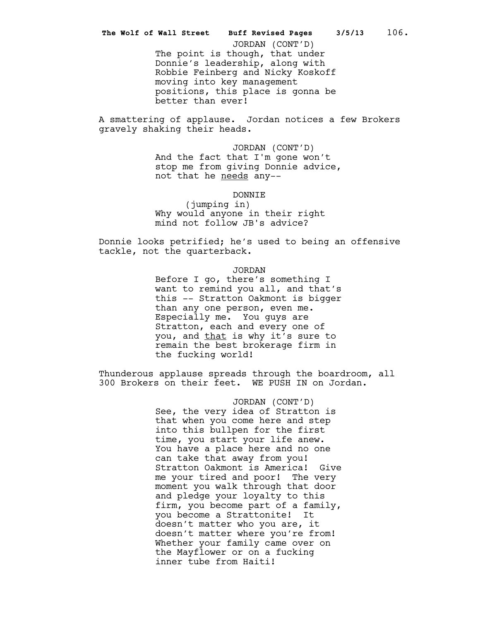better than ever!

A smattering of applause. Jordan notices a few Brokers gravely shaking their heads.

> JORDAN (CONT'D) And the fact that I'm gone won't stop me from giving Donnie advice, not that he needs any--

> > DONNIE

(jumping in) Why would anyone in their right mind not follow JB's advice?

Donnie looks petrified; he's used to being an offensive tackle, not the quarterback.

JORDAN

Before I go, there's something I want to remind you all, and that's this -- Stratton Oakmont is bigger than any one person, even me. Especially me. You guys are Stratton, each and every one of you, and that is why it's sure to remain the best brokerage firm in the fucking world!

Thunderous applause spreads through the boardroom, all 300 Brokers on their feet. WE PUSH IN on Jordan.

> JORDAN (CONT'D) See, the very idea of Stratton is that when you come here and step into this bullpen for the first time, you start your life anew. You have a place here and no one can take that away from you! Stratton Oakmont is America! Give me your tired and poor! The very moment you walk through that door and pledge your loyalty to this firm, you become part of a family, you become a Strattonite! It doesn't matter who you are, it doesn't matter where you're from! Whether your family came over on the Mayflower or on a fucking inner tube from Haiti!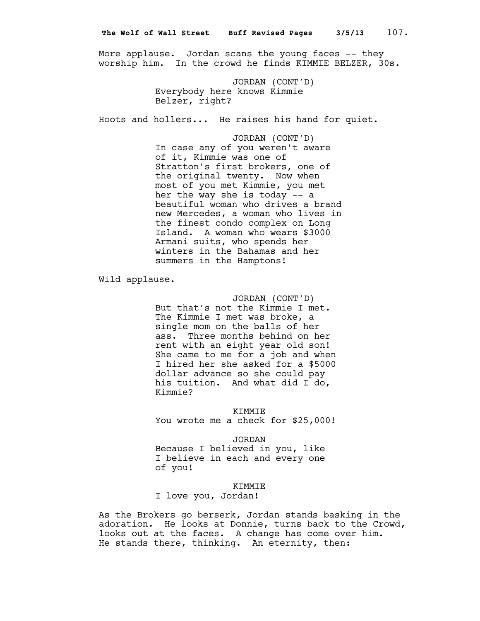More applause. Jordan scans the young faces -- they worship him. In the crowd he finds KIMMIE BELZER, 30s.

> JORDAN (CONT'D) Everybody here knows Kimmie Belzer, right?

Hoots and hollers... He raises his hand for quiet.

JORDAN (CONT'D) In case any of you weren't aware of it, Kimmie was one of Stratton's first brokers, one of the original twenty. Now when most of you met Kimmie, you met her the way she is today -- a beautiful woman who drives a brand new Mercedes, a woman who lives in the finest condo complex on Long Island. A woman who wears \$3000 Armani suits, who spends her winters in the Bahamas and her summers in the Hamptons!

Wild applause.

JORDAN (CONT'D) But that's not the Kimmie I met. The Kimmie I met was broke, a single mom on the balls of her ass. Three months behind on her rent with an eight year old son! She came to me for a job and when I hired her she asked for a \$5000 dollar advance so she could pay his tuition. And what did I do, Kimmie?

KIMMIE

You wrote me a check for \$25,000!

JORDAN

Because I believed in you, like I believe in each and every one of you!

KIMMIE

I love you, Jordan!

As the Brokers go berserk, Jordan stands basking in the adoration. He looks at Donnie, turns back to the Crowd, looks out at the faces. A change has come over him. He stands there, thinking. An eternity, then: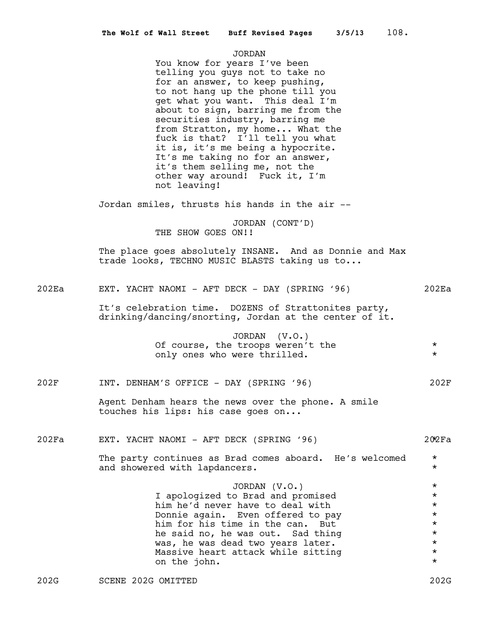#### JORDAN

You know for years I've been telling you guys not to take no for an answer, to keep pushing, to not hang up the phone till you get what you want. This deal I'm about to sign, barring me from the securities industry, barring me from Stratton, my home... What the fuck is that? I'll tell you what it is, it's me being a hypocrite. It's me taking no for an answer, it's them selling me, not the other way around! Fuck it, I'm not leaving!

Jordan smiles, thrusts his hands in the air --

JORDAN (CONT'D) THE SHOW GOES ON!!

The place goes absolutely INSANE. And as Donnie and Max trade looks, TECHNO MUSIC BLASTS taking us to...

202Ea EXT. YACHT NAOMI - AFT DECK - DAY (SPRING '96) 202Ea

It's celebration time. DOZENS of Strattonites party, drinking/dancing/snorting, Jordan at the center of it.

> JORDAN (V.O.) Of course, the troops weren't the  $*$ only ones who were thrilled.  $*$

202F INT. DENHAM'S OFFICE - DAY (SPRING '96) 202F

Agent Denham hears the news over the phone. A smile touches his lips: his case goes on...

202Fa EXT. YACHT NAOMI - AFT DECK (SPRING '96) 202Fa \*

The party continues as Brad comes aboard. He's welcomed \* and showered with lapdancers.  $\star$ 

> JORDAN (V.O.) \* I apologized to Brad and promised  $\star$ <br>him he'd never have to deal with  $\star$ him he'd never have to deal with  $\star$ <br>Donnie again. Even offered to pay Donnie again. Even offered to pay<br>him for his time in the can. But him for his time in the can. But<br>he said no he was out sad thing  $\star$ he said no, he was out. Sad thing  $*$ <br>was, he was dead two years later. was, he was dead two years later.<br>Massive beart attack while sitting  $\star$ Massive heart attack while sitting \* on the john.  $\star$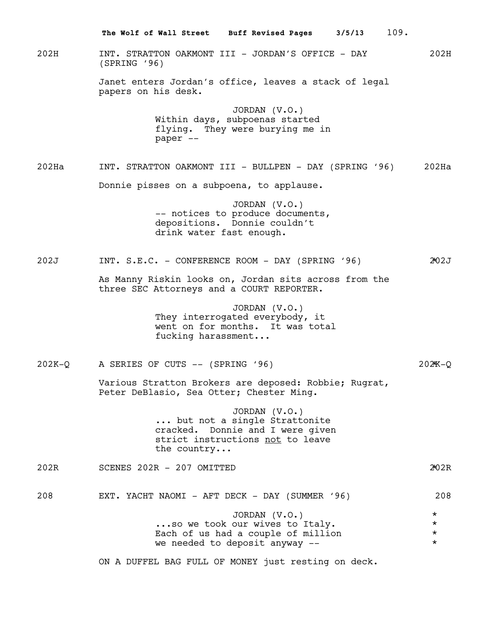202H INT. STRATTON OAKMONT III - JORDAN'S OFFICE - DAY 202H (SPRING '96) Janet enters Jordan's office, leaves a stack of legal papers on his desk. JORDAN (V.O.) Within days, subpoenas started flying. They were burying me in paper -- 202Ha INT. STRATTON OAKMONT III - BULLPEN - DAY (SPRING '96) 202Ha Donnie pisses on a subpoena, to applause. JORDAN (V.O.) -- notices to produce documents, depositions. Donnie couldn't drink water fast enough. 202J INT. S.E.C. - CONFERENCE ROOM - DAY (SPRING '96) 202J \* As Manny Riskin looks on, Jordan sits across from the three SEC Attorneys and a COURT REPORTER. JORDAN (V.O.) They interrogated everybody, it went on for months. It was total fucking harassment... 202K-Q A SERIES OF CUTS -- (SPRING '96) 202K-Q \* Various Stratton Brokers are deposed: Robbie; Rugrat, Peter DeBlasio, Sea Otter; Chester Ming. JORDAN (V.O.) ... but not a single Strattonite cracked. Donnie and I were given strict instructions not to leave the country... 202R SCENES 202R - 207 OMITTED 202R \* 208 EXT. YACHT NAOMI - AFT DECK - DAY (SUMMER '96) 208 JORDAN (V.O.) \* ...so we took our wives to Italy.  $\star$ <br>Each of us had a couple of million  $\star$ Each of us had a couple of million  $*$ <br>We needed to deposit anyway we needed to deposit anyway --**The Wolf of Wall Street Buff Revised Pages 3/5/13** 109.

ON A DUFFEL BAG FULL OF MONEY just resting on deck.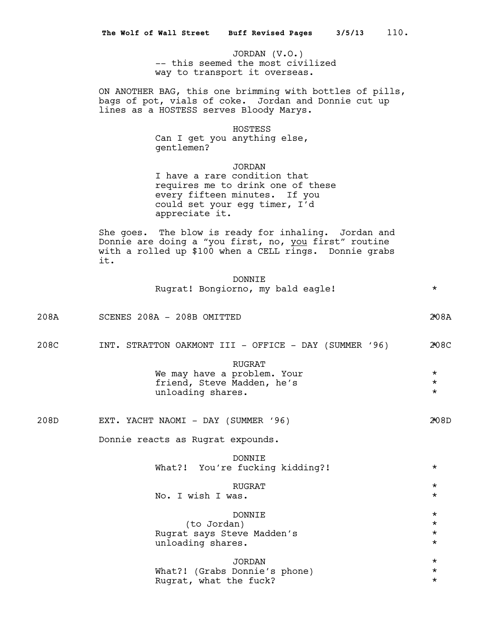JORDAN (V.O.) -- this seemed the most civilized way to transport it overseas.

ON ANOTHER BAG, this one brimming with bottles of pills, bags of pot, vials of coke. Jordan and Donnie cut up lines as a HOSTESS serves Bloody Marys.

## HOSTESS

Can I get you anything else, gentlemen?

JORDAN I have a rare condition that requires me to drink one of these every fifteen minutes. If you could set your egg timer, I'd appreciate it.

She goes. The blow is ready for inhaling. Jordan and Donnie are doing a "you first, no, you first" routine with a rolled up \$100 when a CELL rings. Donnie grabs it.

|  | DONNTE.                           |  |  |  |
|--|-----------------------------------|--|--|--|
|  | Rugrat! Bongiorno, my bald eagle! |  |  |  |

208A SCENES 208A - 208B OMITTED 208A \*

208C INT. STRATTON OAKMONT III - OFFICE - DAY (SUMMER '96) 208C

| RUGRAT                      |         |
|-----------------------------|---------|
| We may have a problem. Your | $\star$ |
| friend, Steve Madden, he's  | $\star$ |
| unloading shares.           | $\star$ |

| 208D | ovo.<br>ر حم | YACHT | NAOMI | DAY | UMMET <del>،</del> | 96 | м |
|------|--------------|-------|-------|-----|--------------------|----|---|
|------|--------------|-------|-------|-----|--------------------|----|---|

Donnie reacts as Rugrat expounds.

| DONNTE.                         |          |
|---------------------------------|----------|
| What?! You're fucking kidding?! | $\star$  |
| RUGRAT                          | $\star$  |
| No. T wish T was.               | $\star$  |
|                                 |          |
| <b>DONNTE</b>                   | $\star$  |
| (to Jordan)                     | $^\star$ |
| Rugrat says Steve Madden's      | $\star$  |
| unloading shares.               | $\star$  |
|                                 |          |
| JORDAN                          | $\star$  |
| What?! (Grabs Donnie's phone)   | $\star$  |
| Rugrat, what the fuck?          | $^\star$ |
|                                 |          |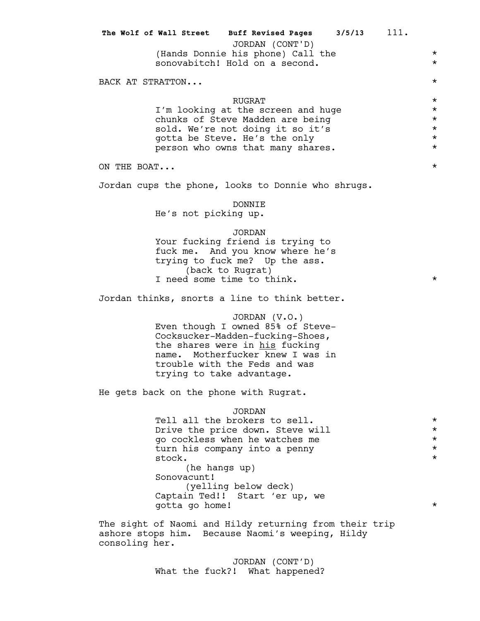|             | The Wolf of Wall Street Buff Revised Pages 3/5/13 111.<br>JORDAN (CONT'D)<br>(Hands Donnie his phone) Call the<br>sonovabitch! Hold on a second.                                                                                                                            | $^\star$<br>$^\star$                                                 |
|-------------|-----------------------------------------------------------------------------------------------------------------------------------------------------------------------------------------------------------------------------------------------------------------------------|----------------------------------------------------------------------|
|             | BACK AT STRATTON                                                                                                                                                                                                                                                            | $^\star$                                                             |
|             | <b>RUGRAT</b><br>I'm looking at the screen and huge<br>chunks of Steve Madden are being<br>sold. We're not doing it so it's<br>gotta be Steve. He's the only<br>person who owns that many shares.                                                                           | $^\star$<br>$^\star$<br>$^\star$<br>$^\star$<br>$^\star$<br>$^\star$ |
| ON THE BOAT |                                                                                                                                                                                                                                                                             | $^\star$                                                             |
|             | Jordan cups the phone, looks to Donnie who shrugs.                                                                                                                                                                                                                          |                                                                      |
|             | <b>DONNIE</b><br>He's not picking up.                                                                                                                                                                                                                                       |                                                                      |
|             | <b>JORDAN</b><br>Your fucking friend is trying to<br>fuck me. And you know where he's<br>trying to fuck me? Up the ass.<br>(back to Rugrat)<br>I need some time to think.                                                                                                   | $^\star$                                                             |
|             | Jordan thinks, snorts a line to think better.                                                                                                                                                                                                                               |                                                                      |
|             | JORDAN (V.O.)<br>Even though I owned 85% of Steve-<br>Cocksucker-Madden-fucking-Shoes,<br>the shares were in his fucking<br>name. Motherfucker knew I was in<br>trouble with the Feds and was<br>trying to take advantage.                                                  |                                                                      |
|             | He gets back on the phone with Rugrat.                                                                                                                                                                                                                                      |                                                                      |
|             | <b>JORDAN</b><br>Tell all the brokers to sell.<br>Drive the price down. Steve will<br>go cockless when he watches me<br>turn his company into a penny<br>stock.<br>(he hangs up)<br>Sonovacunt!<br>(yelling below deck)<br>Captain Ted!! Start 'er up, we<br>gotta go home! | $^\star$<br>$^\star$<br>$^\star$<br>$^\star$<br>$^\star$<br>$^\star$ |

The sight of Naomi and Hildy returning from their trip ashore stops him. Because Naomi's weeping, Hildy consoling her.

> JORDAN (CONT'D) What the fuck?! What happened?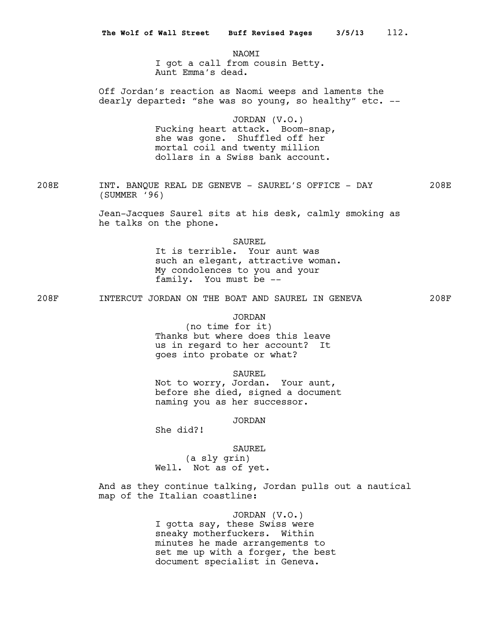NAOMI I got a call from cousin Betty. Aunt Emma's dead.

Off Jordan's reaction as Naomi weeps and laments the dearly departed: "she was so young, so healthy" etc. --

> JORDAN (V.O.) Fucking heart attack. Boom-snap, she was gone. Shuffled off her mortal coil and twenty million dollars in a Swiss bank account.

208E INT. BANQUE REAL DE GENEVE - SAUREL'S OFFICE - DAY 208E (SUMMER '96)

> Jean-Jacques Saurel sits at his desk, calmly smoking as he talks on the phone.

> > SAUREL

It is terrible. Your aunt was such an elegant, attractive woman. My condolences to you and your family. You must be --

208F INTERCUT JORDAN ON THE BOAT AND SAUREL IN GENEVA 208F

JORDAN

(no time for it) Thanks but where does this leave us in regard to her account? It goes into probate or what?

SAUREL

Not to worry, Jordan. Your aunt, before she died, signed a document naming you as her successor.

JORDAN

She did?!

SAUREL

(a sly grin) Well. Not as of yet.

And as they continue talking, Jordan pulls out a nautical map of the Italian coastline:

> JORDAN (V.O.) I gotta say, these Swiss were sneaky motherfuckers. Within minutes he made arrangements to set me up with a forger, the best document specialist in Geneva.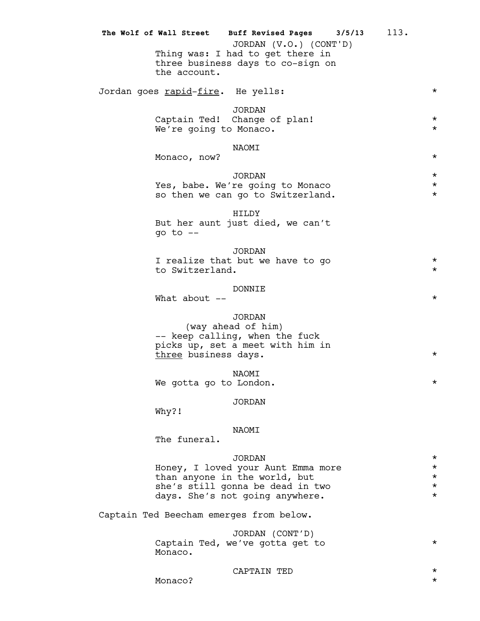|                                            | The Wolf of Wall Street Buff Revised Pages 3/5/13<br>JORDAN (V.O.) (CONT'D)                                                                                 | 113. |                                                         |
|--------------------------------------------|-------------------------------------------------------------------------------------------------------------------------------------------------------------|------|---------------------------------------------------------|
| the account.                               | Thing was: I had to get there in<br>three business days to co-sign on                                                                                       |      |                                                         |
| Jordan goes <u>rapid-fire</u> .  He yells: |                                                                                                                                                             |      | $\star$                                                 |
| We're going to Monaco.                     | <b>JORDAN</b><br>Captain Ted! Change of plan!                                                                                                               |      | $\star$<br>$\star$                                      |
| Monaco, now?                               | NAOMI                                                                                                                                                       |      | $^\star$                                                |
|                                            | <b>JORDAN</b><br>Yes, babe. We're going to Monaco<br>so then we can go to Switzerland.                                                                      |      | $\star$<br>$\star$<br>$\star$                           |
| go to $-$                                  | HILDY<br>But her aunt just died, we can't                                                                                                                   |      |                                                         |
| to Switzerland.                            | <b>JORDAN</b><br>I realize that but we have to go                                                                                                           |      | $\star$<br>$\star$                                      |
| What about $--$                            | DONNIE                                                                                                                                                      |      | $^\star$                                                |
| three business days.                       | <b>JORDAN</b><br>(way ahead of him)<br>-- keep calling, when the fuck<br>picks up, set a meet with him in                                                   |      | $^\star$                                                |
| We gotta go to London.                     | NAOMI                                                                                                                                                       |      | $^\star$                                                |
| Why?!                                      | <b>JORDAN</b>                                                                                                                                               |      |                                                         |
| The funeral.                               | NAOMI                                                                                                                                                       |      |                                                         |
|                                            | <b>JORDAN</b><br>Honey, I loved your Aunt Emma more<br>than anyone in the world, but<br>she's still gonna be dead in two<br>days. She's not going anywhere. |      | $^\star$<br>$^\star$<br>$^\star$<br>$^\star$<br>$\star$ |
|                                            | Captain Ted Beecham emerges from below.                                                                                                                     |      |                                                         |
| Monaco.                                    | JORDAN (CONT'D)<br>Captain Ted, we've gotta get to                                                                                                          |      | $^\star$                                                |

CAPTAIN TED \*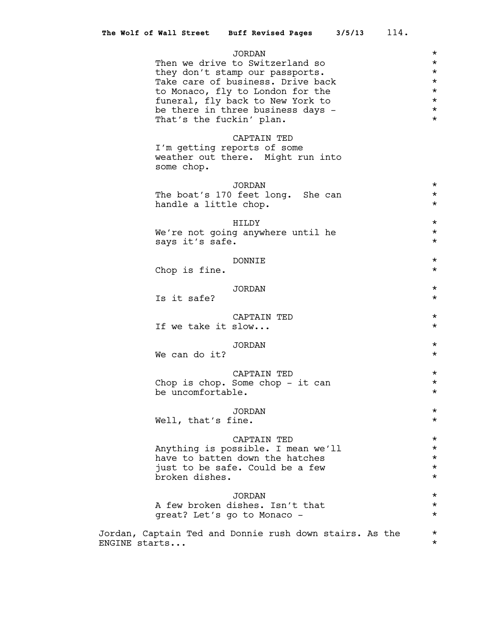|               |                          | The Wolf of Wall Street Buff Revised Pages 3/5/13                                                                                                                                                                                     | 114.                                                                                       |
|---------------|--------------------------|---------------------------------------------------------------------------------------------------------------------------------------------------------------------------------------------------------------------------------------|--------------------------------------------------------------------------------------------|
|               | That's the fuckin' plan. | <b>JORDAN</b><br>Then we drive to Switzerland so<br>they don't stamp our passports.<br>Take care of business. Drive back<br>to Monaco, fly to London for the<br>funeral, fly back to New York to<br>be there in three business days - | $^\star$<br>$^\star$<br>$^\star$<br>$^\star$<br>$^\star$<br>$^\star$<br>$\star$<br>$\star$ |
|               | some chop.               | CAPTAIN TED<br>I'm getting reports of some<br>weather out there. Might run into                                                                                                                                                       |                                                                                            |
|               | handle a little chop.    | <b>JORDAN</b><br>The boat's 170 feet long. She can                                                                                                                                                                                    | $^\star$<br>$^\star$<br>$^\star$                                                           |
|               | says it's safe.          | HILDY<br>We're not going anywhere until he                                                                                                                                                                                            | $^\star$<br>$^\star$<br>$^\star$                                                           |
|               | Chop is fine.            | DONNIE                                                                                                                                                                                                                                | $^\star$<br>$^\star$                                                                       |
|               | Is it safe?              | JORDAN                                                                                                                                                                                                                                | $^\star$<br>$^\star$                                                                       |
|               | If we take it slow       | CAPTAIN TED                                                                                                                                                                                                                           | $^\star$<br>$^\star$                                                                       |
|               | We can do it?            | <b>JORDAN</b>                                                                                                                                                                                                                         | $^\star$<br>$^\star$                                                                       |
|               | be uncomfortable.        | CAPTAIN TED<br>Chop is chop. Some chop - it can                                                                                                                                                                                       | $^\star$<br>$^\star$<br>$\star$                                                            |
|               | Well, that's fine.       | <b>JORDAN</b>                                                                                                                                                                                                                         | $\star$<br>$^\star$                                                                        |
|               | broken dishes.           | CAPTAIN TED<br>Anything is possible. I mean we'll<br>have to batten down the hatches<br>just to be safe. Could be a few                                                                                                               | $\star$<br>$\star$<br>$^\star$<br>$^\star$<br>$^\star$                                     |
|               |                          | JORDAN<br>A few broken dishes. Isn't that<br>great? Let's go to Monaco -                                                                                                                                                              | $\star$<br>$^\star$<br>$^\star$                                                            |
| ENGINE starts |                          | Jordan, Captain Ted and Donnie rush down stairs. As the                                                                                                                                                                               | $^\star$<br>$^\star$                                                                       |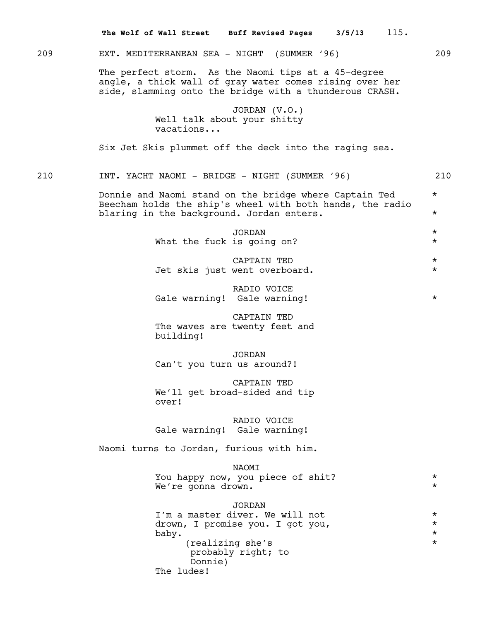209 EXT. MEDITERRANEAN SEA - NIGHT (SUMMER '96) 209 The perfect storm. As the Naomi tips at a 45-degree angle, a thick wall of gray water comes rising over her side, slamming onto the bridge with a thunderous CRASH. JORDAN (V.O.) Well talk about your shitty vacations... Six Jet Skis plummet off the deck into the raging sea. 210 INT. YACHT NAOMI - BRIDGE - NIGHT (SUMMER '96) 210 Donnie and Naomi stand on the bridge where Captain Ted  $*$ Beecham holds the ship's wheel with both hands, the radio blaring in the background. Jordan enters.  $*$ JORDAN \* What the fuck is going on?  $*$ CAPTAIN TED \* Jet skis just went overboard. \* RADIO VOICE Gale warning! Gale warning! \* CAPTAIN TED The waves are twenty feet and building! JORDAN Can't you turn us around?! CAPTAIN TED We'll get broad-sided and tip over! RADIO VOICE Gale warning! Gale warning! Naomi turns to Jordan, furious with him. NAOMI You happy now, you piece of shit?  $*$ We're gonna drown. JORDAN I'm a master diver. We will not  $*$ drown, I promise you. I got you,  $\begin{array}{ccc} * & * \\ * & * \end{array}$ baby.  $\qquad \qquad \star$ (realizing she's  $\star$ probably right; to Donnie) The ludes! **The Wolf of Wall Street Buff Revised Pages 3/5/13** 115.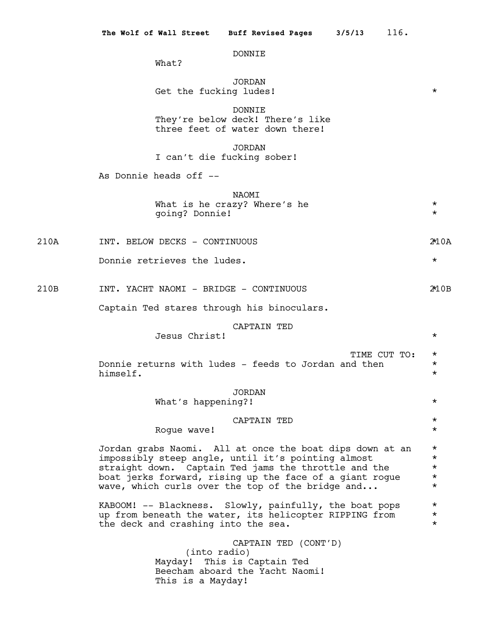# DONNIE

What?

|      | <b>JORDAN</b><br>Get the fucking ludes!                                                                                                                                                                                                                                               | $^\star$                                                 |
|------|---------------------------------------------------------------------------------------------------------------------------------------------------------------------------------------------------------------------------------------------------------------------------------------|----------------------------------------------------------|
|      | <b>DONNIE</b><br>They're below deck! There's like<br>three feet of water down there!                                                                                                                                                                                                  |                                                          |
|      | <b>JORDAN</b><br>I can't die fucking sober!                                                                                                                                                                                                                                           |                                                          |
|      | As Donnie heads off --                                                                                                                                                                                                                                                                |                                                          |
|      | NAOMI<br>What is he crazy? Where's he<br>going? Donnie!                                                                                                                                                                                                                               | $^\star$<br>$^\star$                                     |
| 210A | INT. BELOW DECKS - CONTINUOUS                                                                                                                                                                                                                                                         | 2*10A                                                    |
|      | Donnie retrieves the ludes.                                                                                                                                                                                                                                                           | $^\star$                                                 |
| 210B | INT. YACHT NAOMI - BRIDGE - CONTINUOUS                                                                                                                                                                                                                                                | 2*10B                                                    |
|      | Captain Ted stares through his binoculars.                                                                                                                                                                                                                                            |                                                          |
|      | CAPTAIN TED<br>Jesus Christ!                                                                                                                                                                                                                                                          | $^\star$                                                 |
|      | TIME CUT TO:<br>Donnie returns with ludes - feeds to Jordan and then<br>himself.                                                                                                                                                                                                      | $^\star$<br>$^\star$<br>$^\star$                         |
|      | <b>JORDAN</b><br>What's happening?!                                                                                                                                                                                                                                                   | $^\star$                                                 |
|      | CAPTAIN TED<br>Rogue wave!                                                                                                                                                                                                                                                            | *<br>$^\star$                                            |
|      | Jordan grabs Naomi. All at once the boat dips down at an<br>impossibly steep angle, until it's pointing almost<br>straight down. Captain Ted jams the throttle and the<br>boat jerks forward, rising up the face of a giant rogue<br>wave, which curls over the top of the bridge and | $^\star$<br>$^\star$<br>$^\star$<br>$^\star$<br>$^\star$ |
|      | KABOOM! -- Blackness. Slowly, painfully, the boat pops<br>up from beneath the water, its helicopter RIPPING from<br>the deck and crashing into the sea.                                                                                                                               | $^\star$<br>$^\star$<br>$\star$                          |
|      | CAPTAIN TED (CONT'D)<br>(into radio)<br>Mayday! This is Captain Ted<br>Beecham aboard the Yacht Naomi!<br>This is a Mayday!                                                                                                                                                           |                                                          |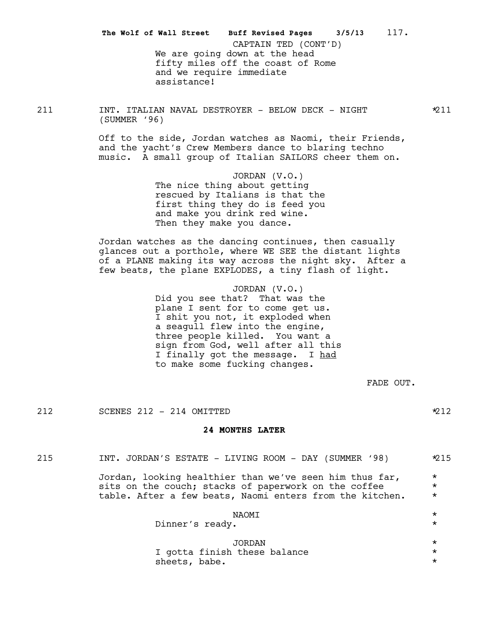We are going down at the head fifty miles off the coast of Rome and we require immediate assistance! **The Wolf of Wall Street Buff Revised Pages 3/5/13** 117. CAPTAIN TED (CONT'D)

211 INT. ITALIAN NAVAL DESTROYER - BELOW DECK - NIGHT \*211 (SUMMER '96)

> Off to the side, Jordan watches as Naomi, their Friends, and the yacht's Crew Members dance to blaring techno music. A small group of Italian SAILORS cheer them on.

> > JORDAN (V.O.) The nice thing about getting rescued by Italians is that the first thing they do is feed you and make you drink red wine. Then they make you dance.

Jordan watches as the dancing continues, then casually glances out a porthole, where WE SEE the distant lights of a PLANE making its way across the night sky. After a few beats, the plane EXPLODES, a tiny flash of light.

> JORDAN (V.O.) Did you see that? That was the plane I sent for to come get us. I shit you not, it exploded when a seagull flew into the engine, three people killed. You want a sign from God, well after all this I finally got the message. I had to make some fucking changes.

> > FADE OUT.

212 SCENES 212 - 214 OMITTED  $212$ 

### **24 MONTHS LATER**

| 215 | INT. JORDAN'S ESTATE - LIVING ROOM - DAY (SUMMER '98)                                                                                                                       | $*215$                        |
|-----|-----------------------------------------------------------------------------------------------------------------------------------------------------------------------------|-------------------------------|
|     | Jordan, looking healthier than we've seen him thus far,<br>sits on the couch; stacks of paperwork on the coffee<br>table. After a few beats, Naomi enters from the kitchen. | $\star$<br>$\star$<br>$\star$ |
|     | NAOMI<br>Dinner's ready.                                                                                                                                                    | $\star$<br>$\star$            |
|     | JORDAN<br>I gotta finish these balance                                                                                                                                      | $^\star$<br>$\star$           |

sheets, babe.  $\star$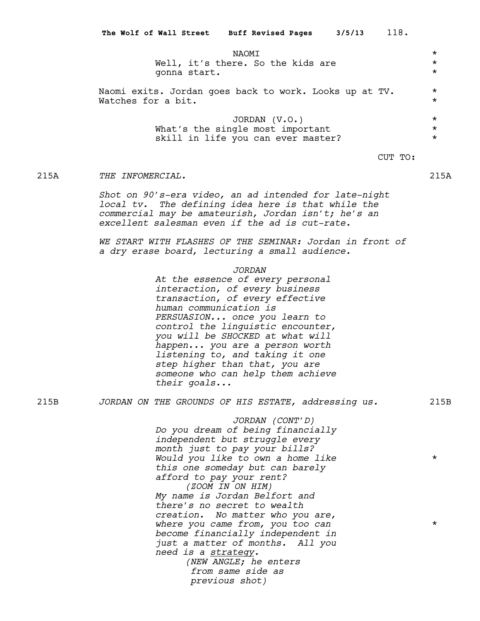NAOMI \* Well, it's there. So the kids are  $*$ gonna start. \* Naomi exits. Jordan goes back to work. Looks up at TV.  $*$ Watches for a bit. JORDAN (V.O.) \* What's the single most important skill in life you can ever master?  $*$ CUT TO:

#### 215A *THE INFOMERCIAL.* 215A

*Shot on 90's-era video, an ad intended for late-night local tv. The defining idea here is that while the commercial may be amateurish, Jordan isn't; he's an excellent salesman even if the ad is cut-rate.*

*WE START WITH FLASHES OF THE SEMINAR: Jordan in front of a dry erase board, lecturing a small audience.*

*JORDAN*

*At the essence of every personal interaction, of every business transaction, of every effective human communication is PERSUASION... once you learn to control the linguistic encounter, you will be SHOCKED at what will happen... you are a person worth listening to, and taking it one step higher than that, you are someone who can help them achieve their goals...*

215B *JORDAN ON THE GROUNDS OF HIS ESTATE, addressing us.* 215B

*JORDAN (CONT'D) Do you dream of being financially independent but struggle every month just to pay your bills? Would you like to own a home like* \* *this one someday but can barely afford to pay your rent? (ZOOM IN ON HIM) My name is Jordan Belfort and there's no secret to wealth creation. No matter who you are, where you came from, you too can* \* *become financially independent in just a matter of months. All you need is a strategy. (NEW ANGLE; he enters from same side as previous shot)*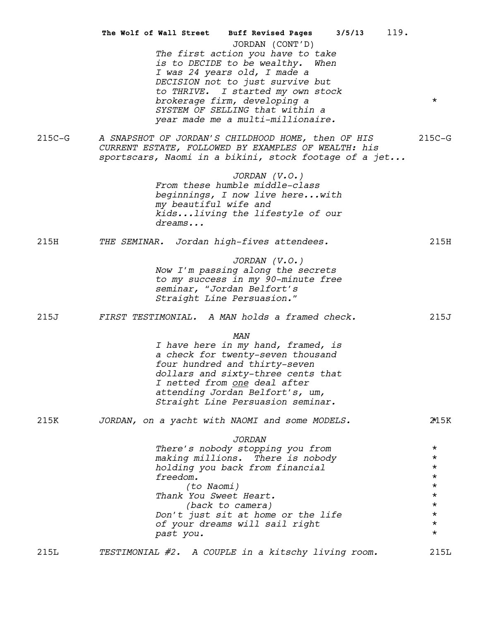|          | 119.<br>The Wolf of Wall Street Buff Revised Pages 3/5/13                                                                                                                                                                                                                                                    |                                                                                                             |
|----------|--------------------------------------------------------------------------------------------------------------------------------------------------------------------------------------------------------------------------------------------------------------------------------------------------------------|-------------------------------------------------------------------------------------------------------------|
|          | JORDAN (CONT'D)<br>The first action you have to take<br>is to DECIDE to be wealthy.<br>When<br>I was 24 years old, I made a<br>DECISION not to just survive but<br>to THRIVE. I started my own stock<br>brokerage firm, developing a<br>SYSTEM OF SELLING that within a<br>year made me a multi-millionaire. | $\star$                                                                                                     |
| $215C-G$ | A SNAPSHOT OF JORDAN'S CHILDHOOD HOME, then OF HIS<br>CURRENT ESTATE, FOLLOWED BY EXAMPLES OF WEALTH: his<br>sportscars, Naomi in a bikini, stock footage of a jet                                                                                                                                           | $215C-G$                                                                                                    |
|          | $JORDAN$ $(V.O.)$<br>From these humble middle-class<br>beginnings, I now live herewith<br>my beautiful wife and<br>kidsliving the lifestyle of our<br>dreams                                                                                                                                                 |                                                                                                             |
| 215H     | THE SEMINAR. Jordan high-fives attendees.                                                                                                                                                                                                                                                                    | 215H                                                                                                        |
|          | $JORDAN$ $(V.O.)$<br>Now I'm passing along the secrets<br>to my success in my 90-minute free<br>seminar, "Jordan Belfort's<br>Straight Line Persuasion."                                                                                                                                                     |                                                                                                             |
| 215J     | FIRST TESTIMONIAL. A MAN holds a framed check.                                                                                                                                                                                                                                                               | 215J                                                                                                        |
|          | MAN<br>I have here in my hand, framed, is<br>a check for twenty-seven thousand<br>four hundred and thirty-seven<br>dollars and sixty-three cents that<br>I netted from <u>one</u> deal after<br>attending Jordan Belfort's, um,<br>Straight Line Persuasion seminar.                                         |                                                                                                             |
| 215K     | JORDAN, on a yacht with NAOMI and some MODELS.                                                                                                                                                                                                                                                               | 2*15K                                                                                                       |
|          | <b>JORDAN</b><br>There's nobody stopping you from<br>making millions. There is nobody<br>holding you back from financial<br>freedom.<br>(to Naomi)<br>Thank You Sweet Heart.<br>(back to camera)<br>Don't just sit at home or the life<br>of your dreams will sail right<br>past you.                        | $\star$<br>$^\star$<br>$\star$<br>$\star$<br>$\star$<br>$\star$<br>$\star$<br>$\star$<br>$\star$<br>$\star$ |
| 215L     | TESTIMONIAL #2. A COUPLE in a kitschy living room.                                                                                                                                                                                                                                                           | 215L                                                                                                        |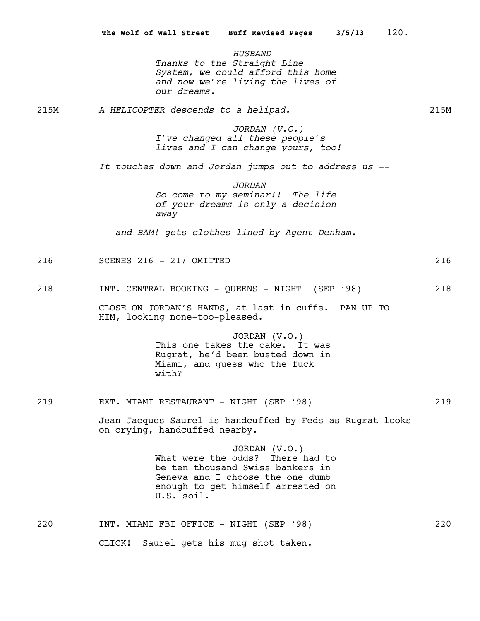*HUSBAND Thanks to the Straight Line System, we could afford this home and now we're living the lives of our dreams.*

215M *A HELICOPTER descends to a helipad.* 215M

*JORDAN (V.O.) I've changed all these people's lives and I can change yours, too!*

*It touches down and Jordan jumps out to address us --*

*JORDAN So come to my seminar!! The life of your dreams is only a decision away --*

*-- and BAM! gets clothes-lined by Agent Denham.*

| $\sim$ $\sim$<br>.<br>$\sim$ $\sim$<br>SCENES<br>OMITTED<br>2 T P<br>. .<br>⊥ O<br>$\sim$<br>$\lambda$ | 'n |
|--------------------------------------------------------------------------------------------------------|----|
|--------------------------------------------------------------------------------------------------------|----|

218 INT. CENTRAL BOOKING - QUEENS - NIGHT (SEP '98) 218

CLOSE ON JORDAN'S HANDS, at last in cuffs. PAN UP TO HIM, looking none-too-pleased.

> JORDAN (V.O.) This one takes the cake. It was Rugrat, he'd been busted down in Miami, and guess who the fuck with?

219 EXT. MIAMI RESTAURANT - NIGHT (SEP '98) 219

Jean-Jacques Saurel is handcuffed by Feds as Rugrat looks on crying, handcuffed nearby.

> JORDAN (V.O.) What were the odds? There had to be ten thousand Swiss bankers in Geneva and I choose the one dumb enough to get himself arrested on U.S. soil.

220 INT. MIAMI FBI OFFICE - NIGHT (SEP '98) 220 CLICK! Saurel gets his mug shot taken.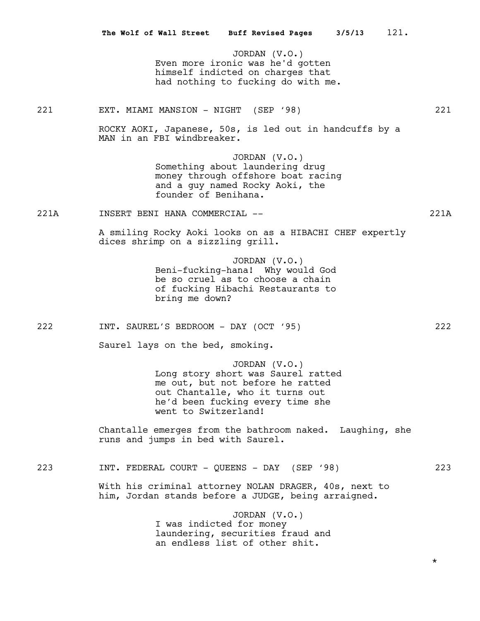|      | The Wolf of Wall Street Buff Revised Pages 3/5/13<br>121.                                                                                                                              |          |
|------|----------------------------------------------------------------------------------------------------------------------------------------------------------------------------------------|----------|
|      | JORDAN (V.O.)<br>Even more ironic was he'd gotten<br>himself indicted on charges that<br>had nothing to fucking do with me.                                                            |          |
| 221  | EXT. MIAMI MANSION - NIGHT (SEP '98)                                                                                                                                                   | 221      |
|      | ROCKY AOKI, Japanese, 50s, is led out in handcuffs by a<br>MAN in an FBI windbreaker.                                                                                                  |          |
|      | JORDAN $(V.O.)$<br>Something about laundering drug<br>money through offshore boat racing<br>and a guy named Rocky Aoki, the<br>founder of Benihana.                                    |          |
| 221A | INSERT BENI HANA COMMERCIAL --                                                                                                                                                         | 221A     |
|      | A smiling Rocky Aoki looks on as a HIBACHI CHEF expertly<br>dices shrimp on a sizzling grill.                                                                                          |          |
|      | JORDAN (V.O.)<br>Beni-fucking-hana! Why would God<br>be so cruel as to choose a chain<br>of fucking Hibachi Restaurants to<br>bring me down?                                           |          |
| 222  | INT. SAUREL'S BEDROOM - DAY (OCT '95)                                                                                                                                                  | 222      |
|      | Saurel lays on the bed, smoking.                                                                                                                                                       |          |
|      | JORDAN (V.O.)<br>Long story short was Saurel ratted<br>me out, but not before he ratted<br>out Chantalle, who it turns out<br>he'd been fucking every time she<br>went to Switzerland! |          |
|      | Chantalle emerges from the bathroom naked. Laughing, she<br>runs and jumps in bed with Saurel.                                                                                         |          |
| 223  | INT. FEDERAL COURT - QUEENS - DAY (SEP '98)                                                                                                                                            | 223      |
|      | With his criminal attorney NOLAN DRAGER, 40s, next to<br>him, Jordan stands before a JUDGE, being arraigned.                                                                           |          |
|      | JORDAN (V.O.)<br>I was indicted for money<br>laundering, securities fraud and<br>an endless list of other shit.                                                                        |          |
|      |                                                                                                                                                                                        | $^\star$ |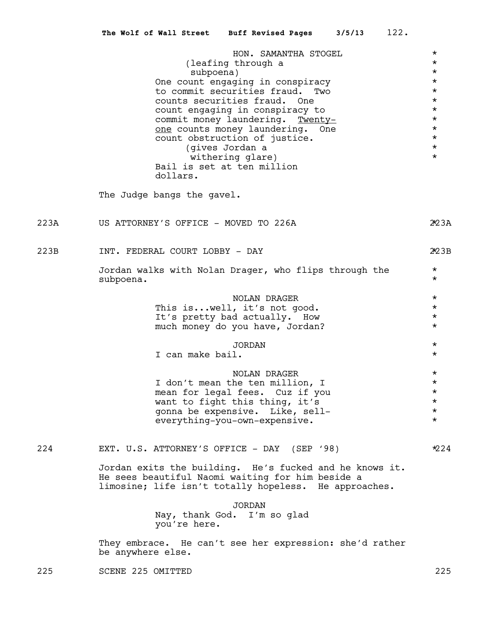| HON. SAMANTHA STOGEL             | $^\star$ |
|----------------------------------|----------|
| (leafing through a               | $\star$  |
| subpoena)                        | $\star$  |
| One count engaging in conspiracy | $\star$  |
| to commit securities fraud. Two  | $\star$  |
| counts securities fraud. One     | $\star$  |
| count engaging in conspiracy to  | $\star$  |
| commit money laundering. Twenty- | $\star$  |
| one counts money laundering. One | $\star$  |
| count obstruction of justice.    | $\star$  |
| (gives Jordan a                  | $\star$  |
| withering glare)                 | $\star$  |
| Bail is set at ten million       |          |
| dollars.                         |          |
|                                  |          |

The Judge bangs the gavel.

223A US ATTORNEY'S OFFICE - MOVED TO 226A  $\gamma$ 23A

223B INT. FEDERAL COURT LOBBY - DAY 223B \*

Jordan walks with Nolan Drager, who flips through the \* subpoena. \*

| NOLAN DRAGER                    | $\star$ |
|---------------------------------|---------|
| This iswell, it's not good.     | $\star$ |
| It's pretty bad actually. How   | $\star$ |
| much money do you have, Jordan? | $\star$ |

|  | JORDAN           | $\star$ |
|--|------------------|---------|
|  | I can make bail. | $\star$ |

NOLAN DRAGER \* I don't mean the ten million, I \*<br>mean for legal fees. Cuz if you \* \* \* mean for legal fees. Cuz if you  $\star$ <br>want to fight this thing. it's want to fight this thing, it's  $\star$ <br>gonna be expensive. Like, sell- $\star$ gonna be expensive. Like, sell- \* everything-you-own-expensive. \* \* \*

224 EXT. U.S. ATTORNEY'S OFFICE - DAY (SEP '98) \*224

Jordan exits the building. He's fucked and he knows it. He sees beautiful Naomi waiting for him beside a limosine; life isn't totally hopeless. He approaches.

> JORDAN Nay, thank God. I'm so glad you're here.

They embrace. He can't see her expression: she'd rather be anywhere else.

225 SCENE 225 OMITTED 225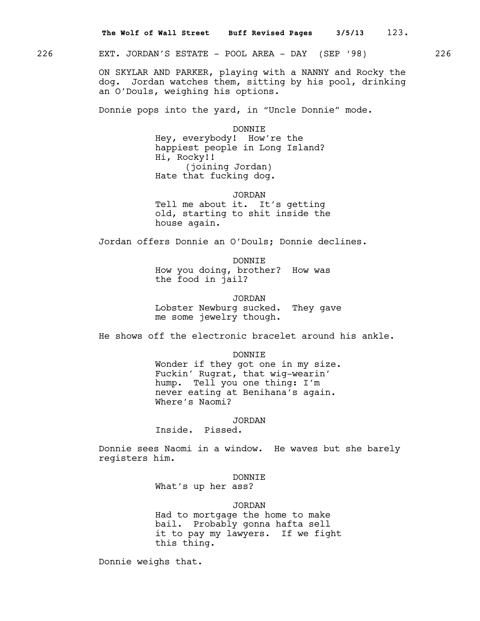226 EXT. JORDAN'S ESTATE - POOL AREA - DAY (SEP '98) 226

ON SKYLAR AND PARKER, playing with a NANNY and Rocky the dog. Jordan watches them, sitting by his pool, drinking an O'Douls, weighing his options.

Donnie pops into the yard, in "Uncle Donnie" mode.

DONNIE

Hey, everybody! How're the happiest people in Long Island? Hi, Rocky!! (joining Jordan) Hate that fucking dog.

JORDAN Tell me about it. It's getting old, starting to shit inside the house again.

Jordan offers Donnie an O'Douls; Donnie declines.

DONNIE How you doing, brother? How was the food in jail?

JORDAN Lobster Newburg sucked. They gave me some jewelry though.

He shows off the electronic bracelet around his ankle.

DONNIE Wonder if they got one in my size. Fuckin' Rugrat, that wig-wearin' hump. Tell you one thing: I'm never eating at Benihana's again. Where's Naomi?

JORDAN

Inside. Pissed.

Donnie sees Naomi in a window. He waves but she barely registers him.

#### DONNIE

What's up her ass?

## JORDAN

Had to mortgage the home to make bail. Probably gonna hafta sell it to pay my lawyers. If we fight this thing.

Donnie weighs that.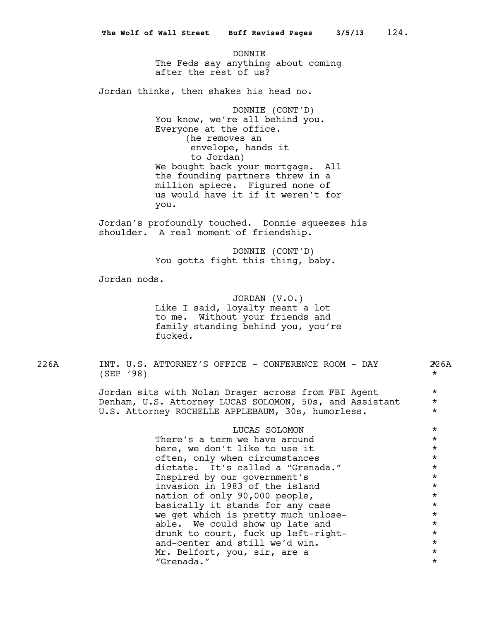DONNIE The Feds say anything about coming after the rest of us?

Jordan thinks, then shakes his head no.

DONNIE (CONT'D) You know, we're all behind you. Everyone at the office. (he removes an envelope, hands it to Jordan) We bought back your mortgage. All the founding partners threw in a million apiece. Figured none of us would have it if it weren't for you.

Jordan's profoundly touched. Donnie squeezes his shoulder. A real moment of friendship.

> DONNIE (CONT'D) You gotta fight this thing, baby.

Jordan nods.

JORDAN (V.O.) Like I said, loyalty meant a lot to me. Without your friends and family standing behind you, you're fucked.

226A INT. U.S. ATTORNEY'S OFFICE - CONFERENCE ROOM - DAY  $\mathcal{Z}$ 6A  $(\text{SEP}$  '98)  $\star$ 

Jordan sits with Nolan Drager across from FBI Agent \* Denham, U.S. Attorney LUCAS SOLOMON, 50s, and Assistant \* U.S. Attorney ROCHELLE APPLEBAUM, 30s, humorless. \*

| LUCAS SOLOMON                       | $\star$  |
|-------------------------------------|----------|
| There's a term we have around       | $\star$  |
| here, we don't like to use it       | $\star$  |
| often, only when circumstances      | $\star$  |
| dictate. It's called a "Grenada."   | $\star$  |
| Inspired by our government's        | $\star$  |
| invasion in 1983 of the island      | $\star$  |
| nation of only 90,000 people,       | $\star$  |
| basically it stands for any case    | $\star$  |
| we get which is pretty much unlose- | $^\star$ |
| able. We could show up late and     | $\star$  |
| drunk to court, fuck up left-right- | $\star$  |
| and-center and still we'd win.      | $\star$  |
| Mr. Belfort, you, sir, are a        | $\star$  |
| "Grenada."                          | $\star$  |
|                                     |          |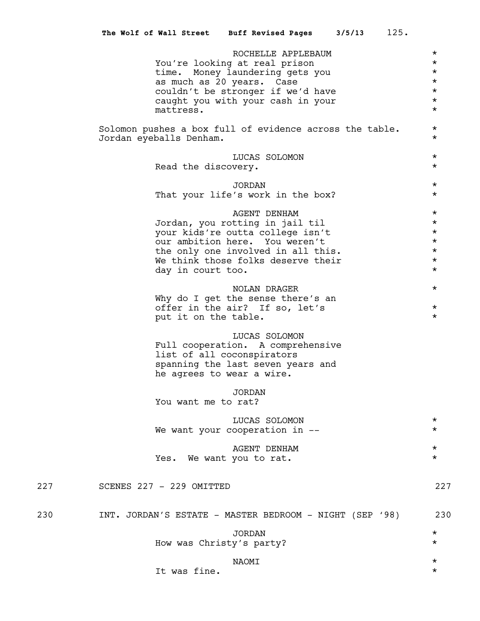|     | 125.<br>3/5/13<br>The Wolf of Wall Street Buff Revised Pages                                                                                                                                                                  |                                                                            |
|-----|-------------------------------------------------------------------------------------------------------------------------------------------------------------------------------------------------------------------------------|----------------------------------------------------------------------------|
|     | ROCHELLE APPLEBAUM<br>You're looking at real prison<br>time. Money laundering gets you<br>as much as 20 years. Case<br>couldn't be stronger if we'd have<br>caught you with your cash in your<br>mattress.                    | $\star$<br>$\star$<br>$\star$<br>$\star$<br>$\star$<br>$\star$<br>$\star$  |
|     | Solomon pushes a box full of evidence across the table.<br>Jordan eyeballs Denham.                                                                                                                                            | $^\star$<br>$\star$                                                        |
|     | LUCAS SOLOMON<br>Read the discovery.                                                                                                                                                                                          | $\star$<br>$\star$                                                         |
|     | <b>JORDAN</b><br>That your life's work in the box?                                                                                                                                                                            | $\star$<br>$\star$                                                         |
|     | <b>AGENT DENHAM</b><br>Jordan, you rotting in jail til<br>your kids're outta college isn't<br>our ambition here. You weren't<br>the only one involved in all this.<br>We think those folks deserve their<br>day in court too. | $\star$<br>$\star$<br>$^\star$<br>$\star$<br>$\star$<br>$\star$<br>$\star$ |
|     | NOLAN DRAGER<br>Why do I get the sense there's an<br>offer in the air? If so, let's<br>put it on the table.                                                                                                                   | $\star$<br>$^\star$<br>$\star$                                             |
|     | LUCAS SOLOMON<br>Full cooperation. A comprehensive<br>list of all coconspirators<br>spanning the last seven years and<br>he agrees to wear a wire.                                                                            |                                                                            |
|     | JORDAN<br>You want me to rat?                                                                                                                                                                                                 |                                                                            |
|     | LUCAS SOLOMON<br>We want your cooperation in --                                                                                                                                                                               | $^\star$<br>$^\star$                                                       |
|     | <b>AGENT DENHAM</b><br>We want you to rat.<br>Yes.                                                                                                                                                                            | $^\star$<br>$\star$                                                        |
| 227 | SCENES 227 - 229 OMITTED                                                                                                                                                                                                      | 227                                                                        |
| 230 | INT. JORDAN'S ESTATE - MASTER BEDROOM - NIGHT (SEP '98)                                                                                                                                                                       | 230                                                                        |
|     | <b>JORDAN</b><br>How was Christy's party?                                                                                                                                                                                     | $\star$<br>$^\star$                                                        |
|     | NAOMI<br>It was fine.                                                                                                                                                                                                         | $^\star$<br>$^\star$                                                       |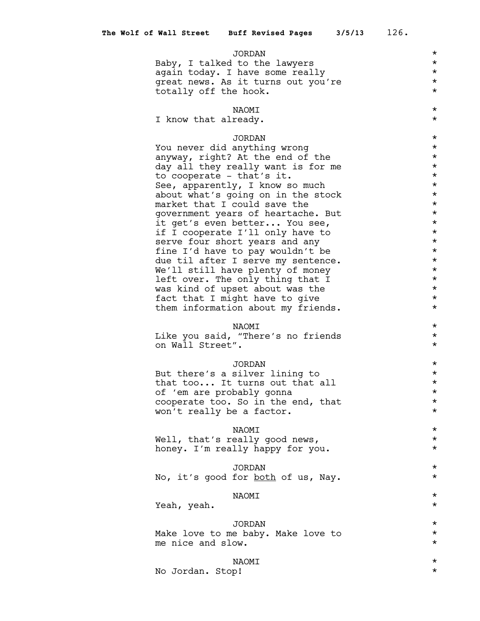#### JORDAN \*

Baby, I talked to the lawyers  $*$ again today. I have some really  $\star$ <br>great news. As it turns out you're  $\star$ great news. As it turns out you're totally off the hook.  $*$ 

# NAOMI \*

I know that already.  $*$ 

## JORDAN \*

You never did anything wrong  $*$ anyway, right? At the end of the  $*$ day all they really want is for me  $*$ to cooperate - that's it.  $\star$ <br>See, apparently, I know so much  $\star$ See, apparently, I know so much about what's going on in the stock  $*$ <br>market that I could save the  $*$ market that I could save the government years of heartache. But  $*$ <br>it get's even better . You see it get's even better... You see,  $\star$ <br>if I cooperate I'll only have to  $\star$ if I cooperate I'll only have to  $*$ <br>serve four short years and any  $*$ serve four short years and any fine I'd have to pay wouldn't be  $*$ due til after I serve my sentence. \* \* We'll still have plenty of money  $*$ left over. The only thing that I  $*$ <br>was kind of upset about was the  $*$ was kind of upset about was the fact that I might have to give  $\star$ <br>them information about my friends. them information about my friends. \*

# NAOMI \*

Like you said, "There's no friends \* on Wall Street".

#### JORDAN \*

But there's a silver lining to  $*$ that too... It turns out that all  $\star$ <br>of 'em are probably gonna of 'em are probably gonna \* cooperate too. So in the end, that  $\star$ <br>won't really be a factor. won't really be a factor.

# NAOMI \*

Well, that's really good news, \* honey. I'm really happy for you. \*

JORDAN \* No, it's good for <u>both</u> of us, Nay.  $*$ 

## $\begin{picture}(20,10) \put(0,0){\vector(1,0){10}} \put(15,0){\vector(1,0){10}} \put(15,0){\vector(1,0){10}} \put(15,0){\vector(1,0){10}} \put(15,0){\vector(1,0){10}} \put(15,0){\vector(1,0){10}} \put(15,0){\vector(1,0){10}} \put(15,0){\vector(1,0){10}} \put(15,0){\vector(1,0){10}} \put(15,0){\vector(1,0){10}} \put(15,0){\vector(1,0){10}} \put(15,0){\vector(1$

Yeah, yeah. \*

JORDAN \* Make love to me baby. Make love to  $*$ <br>me nice and slow me nice and slow.

# NAOMI \*

No Jordan. Stop! \*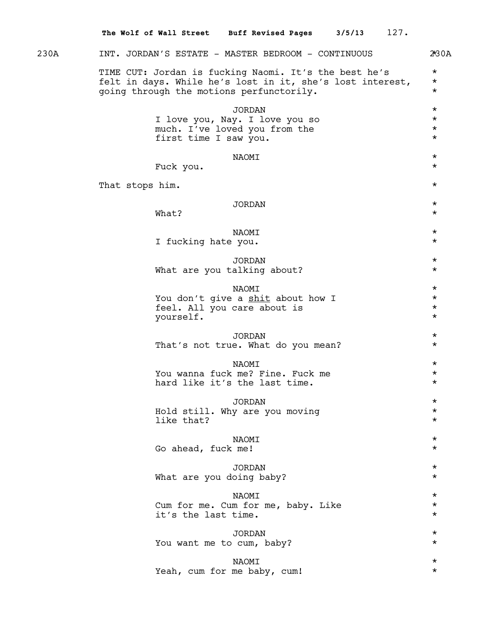230A INT. JORDAN'S ESTATE - MASTER BEDROOM - CONTINUOUS 230A TIME CUT: Jordan is fucking Naomi. It's the best he's \*\*<br>felt in days, While he's lost in it, she's lost interest, \*\* felt in days. While he's lost in it, she's lost interest, \* going through the motions perfunctorily. \* JORDAN \* I love you, Nay. I love you so  $\star$ <br>much. I've loved you from the  $\star$ much. I've loved you from the \* first time I saw you.  $*$ NAOMI \* Fuck you.  $\star$ That stops him.  $\star$ JORDAN \*  $What?$ NAOMI \* I fucking hate you. JORDAN \* What are you talking about?  $*$  $\begin{tabular}{ccccc}\nNAOMI & & & \star\end{tabular}$ You don't give a shit about how I \* feel. All you care about is \* yourself. \* JORDAN \* That's not true. What do you mean? \*\*\* NAOMI \* You wanna fuck me? Fine. Fuck me \* hard like it's the last time.  $*$ JORDAN \* Hold still. Why are you moving \* like that?  $\star$  $\begin{tabular}{ccccc}\nNAOMI & & & \star\end{tabular}$ Go ahead, fuck me! JORDAN \* What are you doing baby?  $*$  $\begin{picture}(20,10) \put(0,0){\vector(1,0){10}} \put(15,0){\vector(1,0){10}} \put(15,0){\vector(1,0){10}} \put(15,0){\vector(1,0){10}} \put(15,0){\vector(1,0){10}} \put(15,0){\vector(1,0){10}} \put(15,0){\vector(1,0){10}} \put(15,0){\vector(1,0){10}} \put(15,0){\vector(1,0){10}} \put(15,0){\vector(1,0){10}} \put(15,0){\vector(1,0){10}} \put(15,0){\vector(1$ Cum for me. Cum for me, baby. Like \* it's the last time. JORDAN \* You want me to cum, baby?  $*$ NAOMI \* Yeah, cum for me baby, cum! \* **The Wolf of Wall Street Buff Revised Pages 3/5/13** 127.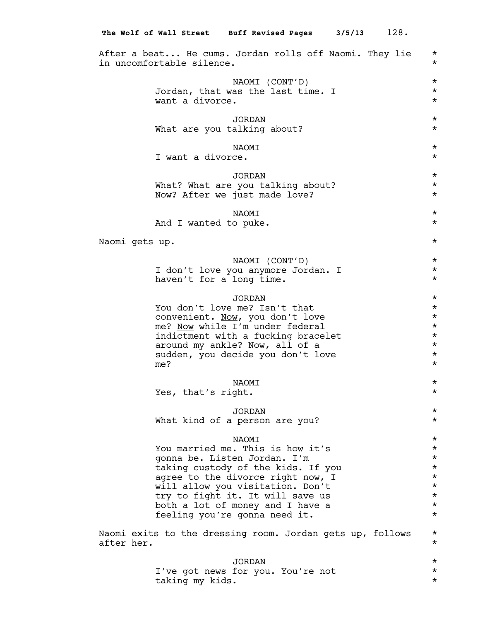|                |     |                           | The Wolf of Wall Street Buff Revised Pages 3/5/13                                                                                                                                                                                                                                                        |  | 128.                                                                                                     |
|----------------|-----|---------------------------|----------------------------------------------------------------------------------------------------------------------------------------------------------------------------------------------------------------------------------------------------------------------------------------------------------|--|----------------------------------------------------------------------------------------------------------|
|                |     | in uncomfortable silence. | After a beat He cums. Jordan rolls off Naomi. They lie                                                                                                                                                                                                                                                   |  | $^\star$<br>$^\star$                                                                                     |
|                |     | want a divorce.           | NAOMI (CONT'D)<br>Jordan, that was the last time. I                                                                                                                                                                                                                                                      |  | $^\star$<br>$^\star$<br>$^\star$                                                                         |
|                |     |                           | <b>JORDAN</b><br>What are you talking about?                                                                                                                                                                                                                                                             |  | $^\star$<br>$^\star$                                                                                     |
|                |     | I want a divorce.         | <b>NAOMI</b>                                                                                                                                                                                                                                                                                             |  | $^\star$<br>$^\star$                                                                                     |
|                |     |                           | <b>JORDAN</b><br>What? What are you talking about?<br>Now? After we just made love?                                                                                                                                                                                                                      |  | $^\star$<br>$^\star$<br>$^\star$                                                                         |
|                |     |                           | <b>NAOMI</b><br>And I wanted to puke.                                                                                                                                                                                                                                                                    |  | $^\star$<br>$^\star$                                                                                     |
| Naomi gets up. |     |                           |                                                                                                                                                                                                                                                                                                          |  | $^\star$                                                                                                 |
|                |     |                           | NAOMI (CONT'D)<br>I don't love you anymore Jordan. I<br>haven't for a long time.                                                                                                                                                                                                                         |  | $^\star$<br>$^\star$<br>$^\star$                                                                         |
|                | me? |                           | <b>JORDAN</b><br>You don't love me? Isn't that<br>convenient. Now, you don't love<br>me? Now while I'm under federal<br>indictment with a fucking bracelet<br>around my ankle? Now, all of a<br>sudden, you decide you don't love                                                                        |  | $^\star$<br>$^\star$<br>$^\star$<br>$^\star$<br>$^\star$<br>$^\star$<br>$^\star$<br>$^\star$             |
|                |     | Yes, that's right.        | NAOMI                                                                                                                                                                                                                                                                                                    |  | $^\star$<br>$^\star$                                                                                     |
|                |     |                           | <b>JORDAN</b><br>What kind of a person are you?                                                                                                                                                                                                                                                          |  | $^\star$<br>$^\star$                                                                                     |
|                |     |                           | <b>NAOMI</b><br>You married me. This is how it's<br>gonna be. Listen Jordan. I'm<br>taking custody of the kids. If you<br>agree to the divorce right now, I<br>will allow you visitation. Don't<br>try to fight it. It will save us<br>both a lot of money and I have a<br>feeling you're gonna need it. |  | $^\star$<br>$^\star$<br>$^\star$<br>$^\star$<br>$^\star$<br>$^\star$<br>$^\star$<br>$^\star$<br>$^\star$ |
| after her.     |     |                           | Naomi exits to the dressing room. Jordan gets up, follows                                                                                                                                                                                                                                                |  | $^\star$<br>$^\star$                                                                                     |
|                |     | taking my kids.           | JORDAN<br>I've got news for you. You're not                                                                                                                                                                                                                                                              |  | $^\star$<br>$^\star$<br>$^\star$                                                                         |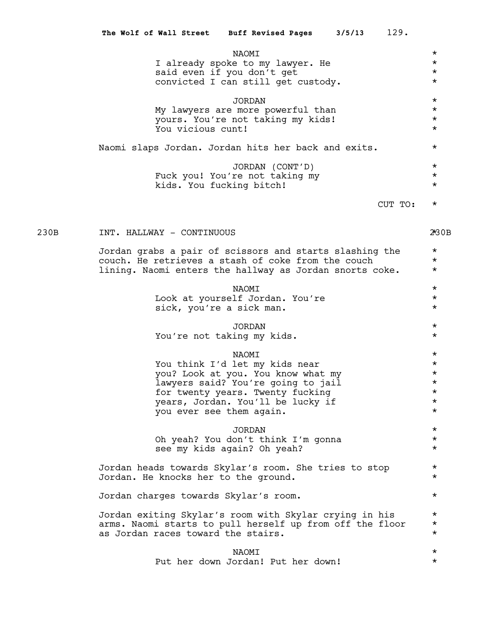| NAOMI                                               | $\star$ |
|-----------------------------------------------------|---------|
| I already spoke to my lawyer. He                    | $\star$ |
| said even if you don't get                          | $\star$ |
| convicted I can still get custody.                  | $\star$ |
| JORDAN                                              | $\star$ |
| My lawyers are more powerful than                   | $\star$ |
| yours. You're not taking my kids!                   | $\star$ |
| You vicious cunt!                                   | $\star$ |
| Naomi slaps Jordan. Jordan hits her back and exits. | $\star$ |
| JORDAN (CONT'D)                                     | $\star$ |
| Fuck you! You're not taking my                      | $\star$ |
| kids. You fucking bitch!                            | $\star$ |
|                                                     | $\star$ |
|                                                     |         |

## 230B INT. HALLWAY - CONTINUOUS 230B 280B

Jordan grabs a pair of scissors and starts slashing the \* couch. He retrieves a stash of coke from the couch \* lining. Naomi enters the hallway as Jordan snorts coke. \*

> $\begin{picture}(20,10) \put(0,0){\vector(1,0){10}} \put(15,0){\vector(1,0){10}} \put(15,0){\vector(1,0){10}} \put(15,0){\vector(1,0){10}} \put(15,0){\vector(1,0){10}} \put(15,0){\vector(1,0){10}} \put(15,0){\vector(1,0){10}} \put(15,0){\vector(1,0){10}} \put(15,0){\vector(1,0){10}} \put(15,0){\vector(1,0){10}} \put(15,0){\vector(1,0){10}} \put(15,0){\vector(1$ Look at yourself Jordan. You're  $\star$ <br>sick. you're a sick man. sick, you're a sick man.

## JORDAN \* You're not taking my kids.

#### NAOMI \*

You think I'd let my kids near  $*$ you? Look at you. You know what my  $*$ lawyers said? You're going to jail  $\star$ <br>for twenty years. Twenty fucking for twenty years. Twenty fucking<br>vears. Jordan. You'll be lucky if  $\star$ years, Jordan. You'll be lucky if  $\star$ <br>You ever see them again. you ever see them again.

JORDAN \*<br>|on't think T'm gonna \* \* \* Oh yeah? You don't think I'm gonna \* see my kids again? Oh yeah?

Jordan heads towards Skylar's room. She tries to stop \* Jordan. He knocks her to the ground. \*

Jordan charges towards Skylar's room. \*

Jordan exiting Skylar's room with Skylar crying in his  $*$ arms. Naomi starts to pull herself up from off the floor  $*$ <br>as Jordan races toward the stairs as Jordan races toward the stairs.

> NAOMI \* Put her down Jordan! Put her down! \* \*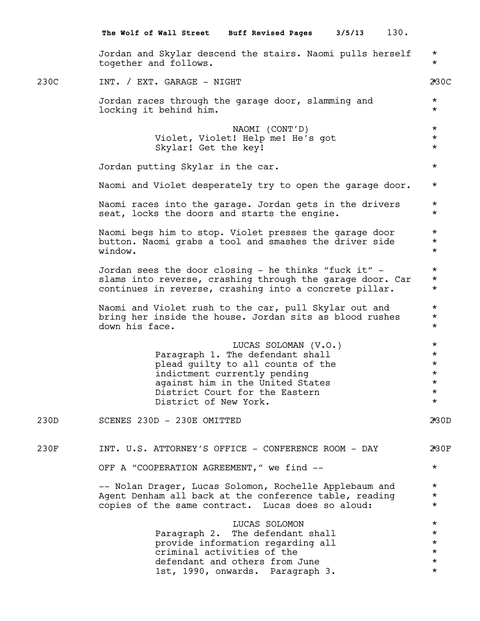|      | 130.<br>The Wolf of Wall Street Buff Revised Pages 3/5/13                                                                                                                                                                    |                                                                               |
|------|------------------------------------------------------------------------------------------------------------------------------------------------------------------------------------------------------------------------------|-------------------------------------------------------------------------------|
|      | Jordan and Skylar descend the stairs. Naomi pulls herself<br>together and follows.                                                                                                                                           | $\star$<br>$^\star$                                                           |
| 230C | INT. / EXT. GARAGE - NIGHT                                                                                                                                                                                                   | 2*30C                                                                         |
|      | Jordan races through the garage door, slamming and<br>locking it behind him.                                                                                                                                                 | $\star$<br>$\star$                                                            |
|      | NAOMI (CONT'D)<br>Violet, Violet! Help me! He's got<br>Skylar! Get the key!                                                                                                                                                  | $\star$<br>$^\star$<br>$^\star$                                               |
|      | Jordan putting Skylar in the car.                                                                                                                                                                                            | $^\star$                                                                      |
|      | Naomi and Violet desperately try to open the garage door.                                                                                                                                                                    | $^\star$                                                                      |
|      | Naomi races into the garage. Jordan gets in the drivers<br>seat, locks the doors and starts the engine.                                                                                                                      | $^\star$<br>$^\star$                                                          |
|      | Naomi begs him to stop. Violet presses the garage door<br>button. Naomi grabs a tool and smashes the driver side<br>window.                                                                                                  | $^\star$<br>$^\star$<br>$^\star$                                              |
|      | Jordan sees the door closing - he thinks "fuck it" -<br>slams into reverse, crashing through the garage door. Car<br>continues in reverse, crashing into a concrete pillar.                                                  | $^\star$<br>$^\star$<br>$\star$                                               |
|      | Naomi and Violet rush to the car, pull Skylar out and<br>bring her inside the house. Jordan sits as blood rushes<br>down his face.                                                                                           | $^\star$<br>$^\star$<br>$^\star$                                              |
|      | LUCAS SOLOMAN (V.O.)<br>Paragraph 1. The defendant shall<br>plead guilty to all counts of the<br>indictment currently pending<br>against him in the United States<br>District Court for the Eastern<br>District of New York. | $\star$<br>$\star$<br>$^\star$<br>$^\star$<br>$^\star$<br>$^\star$<br>$\star$ |
| 230D | SCENES 230D - 230E OMITTED                                                                                                                                                                                                   | 2 <sup>k</sup> 30D                                                            |
| 230F | INT. U.S. ATTORNEY'S OFFICE - CONFERENCE ROOM - DAY                                                                                                                                                                          | 2*30F                                                                         |
|      | OFF A "COOPERATION AGREEMENT," we find --                                                                                                                                                                                    | $\star$                                                                       |
|      | -- Nolan Drager, Lucas Solomon, Rochelle Applebaum and<br>Agent Denham all back at the conference table, reading<br>copies of the same contract. Lucas does so aloud:                                                        | $^\star$<br>$^\star$<br>$\star$                                               |
|      | LUCAS SOLOMON<br>Paragraph 2. The defendant shall<br>provide information regarding all<br>criminal activities of the<br>defendant and others from June<br>1st, 1990, onwards. Paragraph 3.                                   | $^\star$<br>$\star$<br>$\star$<br>$\star$<br>$\star$<br>$\star$               |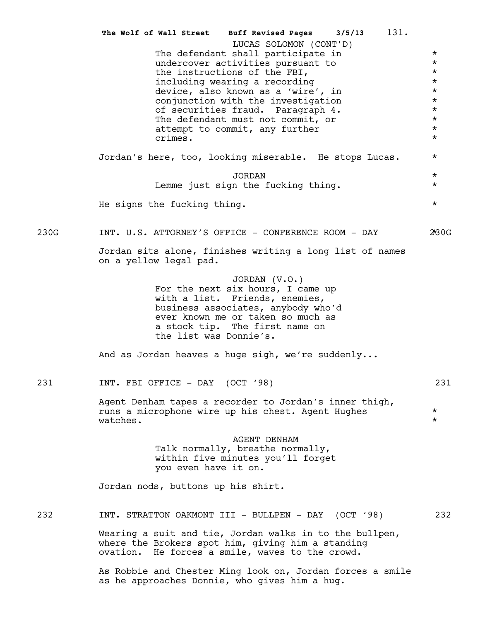The defendant shall participate in  $*$ undercover activities pursuant to  $*$ the instructions of the FBI,<br>including wearing a recording  $\star$ including wearing a recording device, also known as a 'wire', in  $\star$ <br>conjunction with the investigation  $\star$ conjunction with the investigation \* of securities fraud. Paragraph 4.  $*$ <br>The defendant must not commit or  $*$ The defendant must not commit, or  $\star$ <br>attempt to commit, any further  $\star$ attempt to commit, any further  $\star$ <br>crimes crimes. \* Jordan's here, too, looking miserable. He stops Lucas. \* JORDAN \*<br>n the fucking thing. \* \* \* Lemme just sign the fucking thing. He signs the fucking thing.  $*$ 230G INT. U.S. ATTORNEY'S OFFICE - CONFERENCE ROOM - DAY 280G Jordan sits alone, finishes writing a long list of names on a yellow legal pad. JORDAN (V.O.) For the next six hours, I came up with a list. Friends, enemies, business associates, anybody who'd ever known me or taken so much as a stock tip. The first name on the list was Donnie's. And as Jordan heaves a huge sigh, we're suddenly... 231 INT. FBI OFFICE - DAY (OCT '98) 231 Agent Denham tapes a recorder to Jordan's inner thigh, runs a microphone wire up his chest. Agent Hughes \* watches.  $\star$ AGENT DENHAM Talk normally, breathe normally, within five minutes you'll forget you even have it on. Jordan nods, buttons up his shirt. 232 INT. STRATTON OAKMONT III - BULLPEN - DAY (OCT '98) 232 Wearing a suit and tie, Jordan walks in to the bullpen, where the Brokers spot him, giving him a standing ovation. He forces a smile, waves to the crowd. As Robbie and Chester Ming look on, Jordan forces a smile **The Wolf of Wall Street Buff Revised Pages 3/5/13** 131. LUCAS SOLOMON (CONT'D)

as he approaches Donnie, who gives him a hug.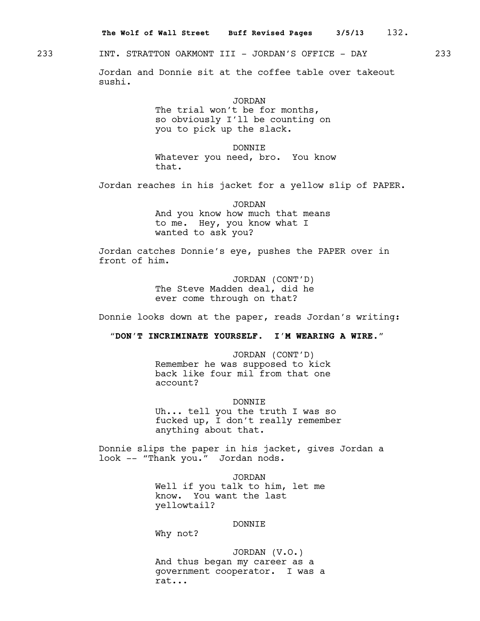233 INT. STRATTON OAKMONT III - JORDAN'S OFFICE - DAY 233

Jordan and Donnie sit at the coffee table over takeout sushi.

JORDAN

The trial won't be for months, so obviously I'll be counting on you to pick up the slack.

DONNIE Whatever you need, bro. You know that.

Jordan reaches in his jacket for a yellow slip of PAPER.

JORDAN And you know how much that means to me. Hey, you know what I wanted to ask you?

Jordan catches Donnie's eye, pushes the PAPER over in front of him.

> JORDAN (CONT'D) The Steve Madden deal, did he ever come through on that?

Donnie looks down at the paper, reads Jordan's writing:

 **"DON'T INCRIMINATE YOURSELF. I'M WEARING A WIRE."**

JORDAN (CONT'D) Remember he was supposed to kick back like four mil from that one account?

DONNIE Uh... tell you the truth I was so fucked up, I don't really remember anything about that.

Donnie slips the paper in his jacket, gives Jordan a look -- "Thank you." Jordan nods.

> JORDAN Well if you talk to him, let me know. You want the last yellowtail?

### DONNIE

Why not?

JORDAN (V.O.) And thus began my career as a government cooperator. I was a rat...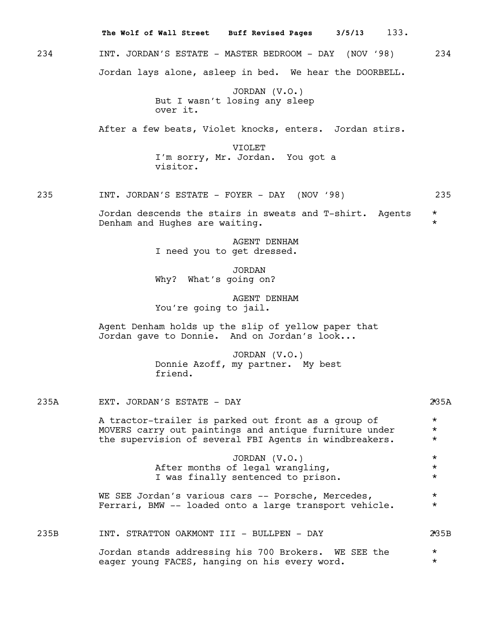|      | The Wolf of Wall Street Buff Revised Pages<br>3/5/13<br>133.                                                                                                            |                                |
|------|-------------------------------------------------------------------------------------------------------------------------------------------------------------------------|--------------------------------|
| 234  | INT. JORDAN'S ESTATE - MASTER BEDROOM - DAY (NOV '98)                                                                                                                   | 234                            |
|      | Jordan lays alone, asleep in bed. We hear the DOORBELL.                                                                                                                 |                                |
|      | JORDAN $(V.O.)$<br>But I wasn't losing any sleep<br>over it.                                                                                                            |                                |
|      | After a few beats, Violet knocks, enters. Jordan stirs.                                                                                                                 |                                |
|      | VIOLET<br>I'm sorry, Mr. Jordan. You got a<br>visitor.                                                                                                                  |                                |
| 235  | INT. JORDAN'S ESTATE - FOYER - DAY (NOV '98)                                                                                                                            | 235                            |
|      | Jordan descends the stairs in sweats and T-shirt. Agents<br>Denham and Hughes are waiting.                                                                              | $\star$<br>$\star$             |
|      | AGENT DENHAM<br>I need you to get dressed.                                                                                                                              |                                |
|      | <b>JORDAN</b><br>Why? What's going on?                                                                                                                                  |                                |
|      | AGENT DENHAM<br>You're going to jail.                                                                                                                                   |                                |
|      | Agent Denham holds up the slip of yellow paper that<br>Jordan gave to Donnie. And on Jordan's look                                                                      |                                |
|      | JORDAN (V.O.)<br>Donnie Azoff, my partner. My best<br>friend.                                                                                                           |                                |
| 235A | EXT. JORDAN'S ESTATE - DAY                                                                                                                                              | 25A                            |
|      | A tractor-trailer is parked out front as a group of<br>MOVERS carry out paintings and antique furniture under<br>the supervision of several FBI Agents in windbreakers. | $\star$<br>$\star$<br>$\star$  |
|      | JORDAN (V.O.)<br>After months of legal wrangling,<br>I was finally sentenced to prison.                                                                                 | $^\star$<br>$\star$<br>$\star$ |
|      | WE SEE Jordan's various cars -- Porsche, Mercedes,<br>Ferrari, BMW -- loaded onto a large transport vehicle.                                                            | $^\star$<br>$^\star$           |
| 235B | INT. STRATTON OAKMONT III - BULLPEN - DAY                                                                                                                               | 2*35B                          |
|      | Jordan stands addressing his 700 Brokers. WE SEE the<br>eager young FACES, hanging on his every word.                                                                   | $\star$<br>$\star$             |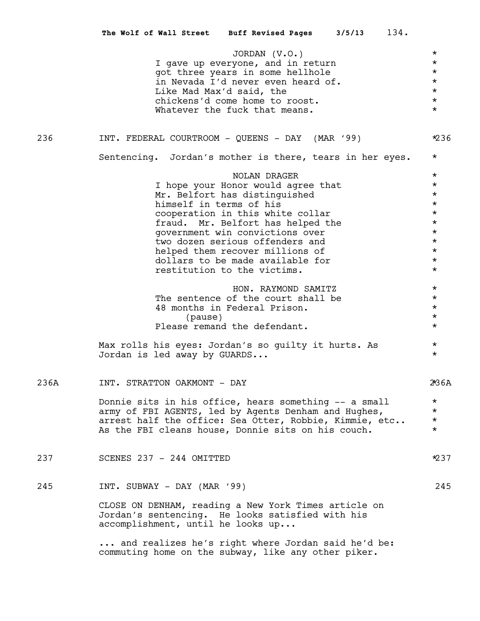|      | 134.<br>The Wolf of Wall Street Buff Revised Pages<br>3/5/13                                                                                  |                     |
|------|-----------------------------------------------------------------------------------------------------------------------------------------------|---------------------|
|      | JORDAN $(V.O.)$                                                                                                                               | $^\star$            |
|      | I gave up everyone, and in return                                                                                                             | $\star$             |
|      | got three years in some hellhole                                                                                                              | $\star$             |
|      | in Nevada I'd never even heard of.                                                                                                            | $\star$             |
|      | Like Mad Max'd said, the                                                                                                                      | $\star$             |
|      | chickens'd come home to roost.<br>Whatever the fuck that means.                                                                               | $\star$<br>$\star$  |
|      |                                                                                                                                               |                     |
| 236  | INT. FEDERAL COURTROOM - QUEENS - DAY (MAR '99)                                                                                               | $*236$              |
|      | Sentencing. Jordan's mother is there, tears in her eyes.                                                                                      | $^\star$            |
|      | NOLAN DRAGER                                                                                                                                  | $^\star$            |
|      | I hope your Honor would agree that                                                                                                            | $\star$<br>$^\star$ |
|      | Mr. Belfort has distinguished<br>himself in terms of his                                                                                      | $\star$             |
|      | cooperation in this white collar                                                                                                              | $\star$             |
|      | fraud. Mr. Belfort has helped the                                                                                                             | $\star$             |
|      | government win convictions over                                                                                                               | $\star$             |
|      | two dozen serious offenders and                                                                                                               | $\star$             |
|      | helped them recover millions of                                                                                                               | $\star$             |
|      | dollars to be made available for                                                                                                              | $\star$             |
|      | restitution to the victims.                                                                                                                   | $\star$             |
|      | HON. RAYMOND SAMITZ                                                                                                                           | $^\star$            |
|      | The sentence of the court shall be                                                                                                            | $^\star$            |
|      | 48 months in Federal Prison.                                                                                                                  | $\star$             |
|      | (pause)                                                                                                                                       | $\star$<br>$\star$  |
|      | Please remand the defendant.                                                                                                                  |                     |
|      | Max rolls his eyes: Jordan's so guilty it hurts. As<br>Jordan is led away by GUARDS                                                           | $^\star$<br>$\star$ |
| 236A | INT. STRATTON OAKMONT - DAY                                                                                                                   | 2*36A               |
|      | Donnie sits in his office, hears something -- a small                                                                                         | $\star$             |
|      | army of FBI AGENTS, led by Agents Denham and Hughes,                                                                                          | $\star$             |
|      | arrest half the office: Sea Otter, Robbie, Kimmie, etc                                                                                        | $\star$             |
|      | As the FBI cleans house, Donnie sits on his couch.                                                                                            | $\star$             |
| 237  | SCENES 237 - 244 OMITTED                                                                                                                      | *237                |
| 245  | INT. SUBWAY - DAY (MAR '99)                                                                                                                   | 245                 |
|      | CLOSE ON DENHAM, reading a New York Times article on<br>Jordan's sentencing. He looks satisfied with his<br>accomplishment, until he looks up |                     |
|      | and realizes he's right where Jordan said he'd be:<br>commuting home on the subway, like any other piker.                                     |                     |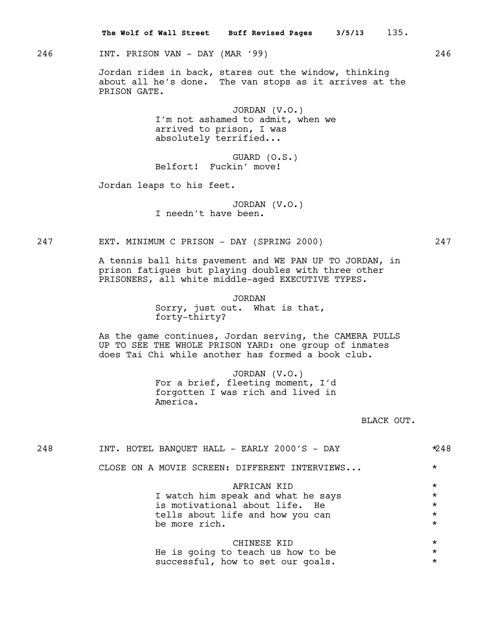246 INT. PRISON VAN - DAY (MAR '99) 246

Jordan rides in back, stares out the window, thinking about all he's done. The van stops as it arrives at the PRISON GATE.

> JORDAN (V.O.) I'm not ashamed to admit, when we arrived to prison, I was absolutely terrified...

GUARD (O.S.) Belfort! Fuckin' move!

Jordan leaps to his feet.

JORDAN (V.O.) I needn't have been.

247 EXT. MINIMUM C PRISON - DAY (SPRING 2000) 247

A tennis ball hits pavement and WE PAN UP TO JORDAN, in prison fatigues but playing doubles with three other PRISONERS, all white middle-aged EXECUTIVE TYPES.

> JORDAN Sorry, just out. What is that, forty-thirty?

As the game continues, Jordan serving, the CAMERA PULLS UP TO SEE THE WHOLE PRISON YARD: one group of inmates does Tai Chi while another has formed a book club.

> JORDAN (V.O.) For a brief, fleeting moment, I'd forgotten I was rich and lived in America.

> > BLACK OUT.

| 248 | INT. HOTEL BANQUET HALL - EARLY 2000'S - DAY  | $*248$   |
|-----|-----------------------------------------------|----------|
|     | CLOSE ON A MOVIE SCREEN: DIFFERENT INTERVIEWS | $\star$  |
|     | AFRICAN KID                                   | $\star$  |
|     | I watch him speak and what he says            | $^\star$ |
|     | is motivational about life. He                | $\star$  |
|     | tells about life and how you can              | $\star$  |
|     | be more rich.                                 | $\star$  |
|     | CHINESE KID                                   | $^\star$ |
|     | He is going to teach us how to be             | $\star$  |
|     | successful, how to set our goals.             | $\star$  |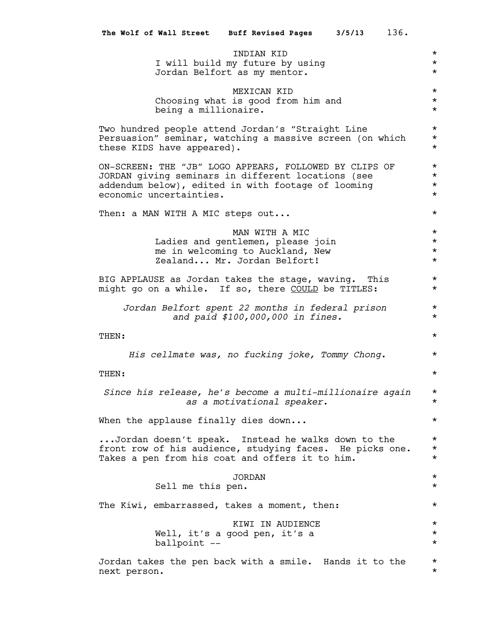|                                  |                            | The Wolf of Wall Street Buff Revised Pages 3/5/13                                                                                                                  | 136.                                       |
|----------------------------------|----------------------------|--------------------------------------------------------------------------------------------------------------------------------------------------------------------|--------------------------------------------|
|                                  |                            | <b>TNDTAN KTD</b><br>I will build my future by using<br>Jordan Belfort as my mentor.                                                                               | $^\star$<br>$^\star$<br>$^\star$           |
|                                  | being a millionaire.       | MEXICAN KID<br>Choosing what is good from him and                                                                                                                  | $^\star$<br>$^\star$<br>$\star$            |
|                                  | these KIDS have appeared). | Two hundred people attend Jordan's "Straight Line<br>Persuasion" seminar, watching a massive screen (on which                                                      | $\star$<br>$^\star$<br>$^\star$            |
| economic uncertainties.          |                            | ON-SCREEN: THE "JB" LOGO APPEARS, FOLLOWED BY CLIPS OF<br>JORDAN giving seminars in different locations (see<br>addendum below), edited in with footage of looming | $\star$<br>$^\star$<br>$^\star$<br>$\star$ |
| Then: a MAN WITH A MIC steps out |                            |                                                                                                                                                                    | $^\star$                                   |
|                                  |                            | MAN WITH A MIC<br>Ladies and gentlemen, please join<br>me in welcoming to Auckland, New<br>Zealand Mr. Jordan Belfort!                                             | $^\star$<br>$^\star$<br>$\star$<br>$\star$ |
|                                  |                            | BIG APPLAUSE as Jordan takes the stage, waving. This<br>might go on a while. If so, there COULD be TITLES:                                                         | $^\star$<br>$\star$                        |
|                                  |                            | Jordan Belfort spent 22 months in federal prison<br>and paid \$100,000,000 in fines.                                                                               | $^\star$<br>$^\star$                       |
| THEN:                            |                            |                                                                                                                                                                    | $^\star$                                   |
| THEN:                            |                            | His cellmate was, no fucking joke, Tommy Chong.                                                                                                                    | $^\star$<br>$^\star$                       |
|                                  |                            | Since his release, he's become a multi-millionaire again<br>as a motivational speaker.                                                                             | $^\star$<br>$\star$                        |
|                                  |                            | When the applause finally dies down                                                                                                                                | $^\star$                                   |
|                                  |                            | Jordan doesn't speak. Instead he walks down to the<br>front row of his audience, studying faces. He picks one.<br>Takes a pen from his coat and offers it to him.  | $^\star$<br>$^\star$<br>$\star$            |
|                                  | Sell me this pen.          | <b>JORDAN</b>                                                                                                                                                      | $^\star$<br>$^\star$                       |
|                                  |                            | The Kiwi, embarrassed, takes a moment, then:                                                                                                                       | $^\star$                                   |
|                                  | ballpoint --               | KIWI IN AUDIENCE<br>Well, it's a good pen, it's a                                                                                                                  | $^\star$<br>$^\star$<br>$\star$            |
| next person.                     |                            | Jordan takes the pen back with a smile. Hands it to the                                                                                                            | $^\star$<br>$^\star$                       |